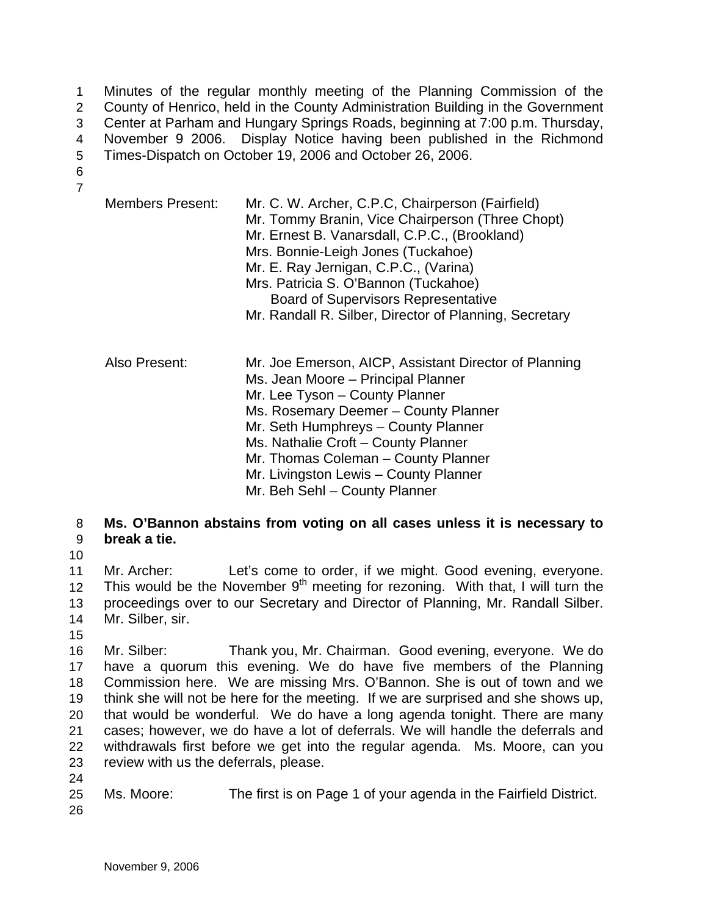Minutes of the regular monthly meeting of the Planning Commission of the County of Henrico, held in the County Administration Building in the Government Center at Parham and Hungary Springs Roads, beginning at 7:00 p.m. Thursday, November 9 2006. Display Notice having been published in the Richmond Times-Dispatch on October 19, 2006 and October 26, 2006. 1  $\mathcal{P}$ 3 4 5

6 7

| <b>Members Present:</b> | Mr. C. W. Archer, C.P.C, Chairperson (Fairfield)<br>Mr. Tommy Branin, Vice Chairperson (Three Chopt)<br>Mr. Ernest B. Vanarsdall, C.P.C., (Brookland)<br>Mrs. Bonnie-Leigh Jones (Tuckahoe)<br>Mr. E. Ray Jernigan, C.P.C., (Varina)<br>Mrs. Patricia S. O'Bannon (Tuckahoe)<br><b>Board of Supervisors Representative</b><br>Mr. Randall R. Silber, Director of Planning, Secretary |
|-------------------------|--------------------------------------------------------------------------------------------------------------------------------------------------------------------------------------------------------------------------------------------------------------------------------------------------------------------------------------------------------------------------------------|
| Also Present:           | Mr. Joe Emerson, AICP, Assistant Director of Planning<br>Ms. Jean Moore - Principal Planner<br>Mr. Lee Tyson - County Planner<br>Ms. Rosemary Deemer - County Planner<br>Mr. Seth Humphreys - County Planner<br>Ms. Nathalie Croft - County Planner<br>Mr. Thomas Coleman - County Planner<br>Mr. Livingston Lewis - County Planner<br>Mr. Beh Sehl - County Planner                 |

- 8 9 **Ms. O'Bannon abstains from voting on all cases unless it is necessary to break a tie.**
- 10

11 12 13 14 Mr. Archer: Let's come to order, if we might. Good evening, everyone. This would be the November  $9<sup>th</sup>$  meeting for rezoning. With that, I will turn the proceedings over to our Secretary and Director of Planning, Mr. Randall Silber. Mr. Silber, sir.

15

24

16 17 18 19 20 21 22 23 Mr. Silber: Thank you, Mr. Chairman. Good evening, everyone. We do have a quorum this evening. We do have five members of the Planning Commission here. We are missing Mrs. O'Bannon. She is out of town and we think she will not be here for the meeting. If we are surprised and she shows up, that would be wonderful. We do have a long agenda tonight. There are many cases; however, we do have a lot of deferrals. We will handle the deferrals and withdrawals first before we get into the regular agenda. Ms. Moore, can you review with us the deferrals, please.

25 26 Ms. Moore: The first is on Page 1 of your agenda in the Fairfield District.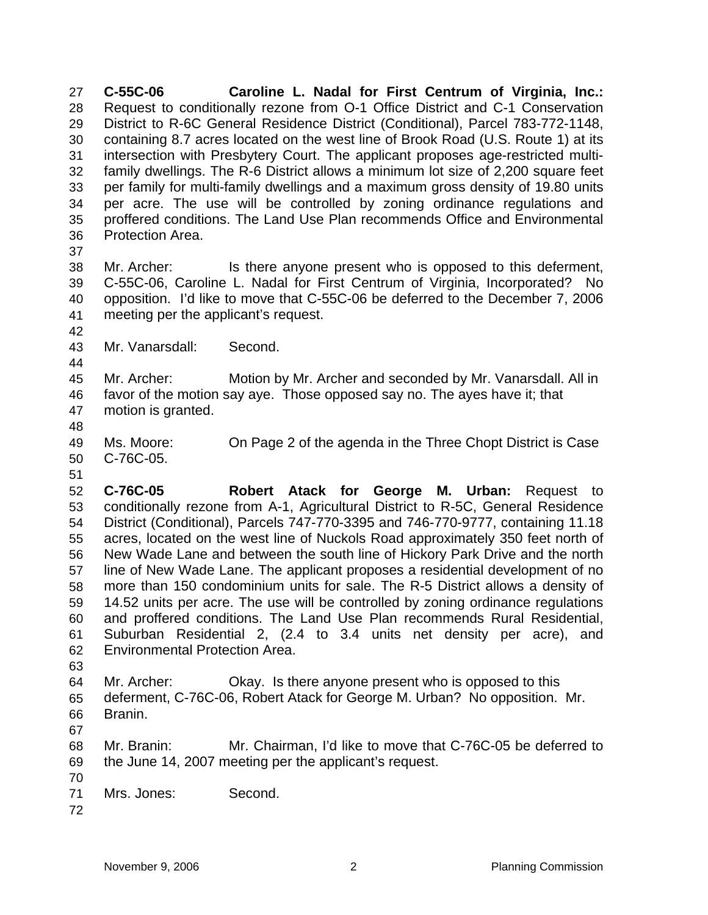**C-55C-06 Caroline L. Nadal for First Centrum of Virginia, Inc.:** Request to conditionally rezone from O-1 Office District and C-1 Conservation District to R-6C General Residence District (Conditional), Parcel 783-772-1148, containing 8.7 acres located on the west line of Brook Road (U.S. Route 1) at its intersection with Presbytery Court. The applicant proposes age-restricted multifamily dwellings. The R-6 District allows a minimum lot size of 2,200 square feet per family for multi-family dwellings and a maximum gross density of 19.80 units per acre. The use will be controlled by zoning ordinance regulations and proffered conditions. The Land Use Plan recommends Office and Environmental Protection Area. 27 28 29 30 31 32 33 34 35 36

37

38 39 40 41 Mr. Archer: Is there anyone present who is opposed to this deferment, C-55C-06, Caroline L. Nadal for First Centrum of Virginia, Incorporated? No opposition. I'd like to move that C-55C-06 be deferred to the December 7, 2006 meeting per the applicant's request.

- 43 Mr. Vanarsdall: Second.
- 44

42

45 46 47 Mr. Archer: Motion by Mr. Archer and seconded by Mr. Vanarsdall. All in favor of the motion say aye. Those opposed say no. The ayes have it; that motion is granted.

48

51

49 50 Ms. Moore: On Page 2 of the agenda in the Three Chopt District is Case C-76C-05.

52 53 54 55 56 57 58 59 60 61 62 **C-76C-05 Robert Atack for George M. Urban:** Request to conditionally rezone from A-1, Agricultural District to R-5C, General Residence District (Conditional), Parcels 747-770-3395 and 746-770-9777, containing 11.18 acres, located on the west line of Nuckols Road approximately 350 feet north of New Wade Lane and between the south line of Hickory Park Drive and the north line of New Wade Lane. The applicant proposes a residential development of no more than 150 condominium units for sale. The R-5 District allows a density of 14.52 units per acre. The use will be controlled by zoning ordinance regulations and proffered conditions. The Land Use Plan recommends Rural Residential, Suburban Residential 2, (2.4 to 3.4 units net density per acre), and Environmental Protection Area.

63

64 65 66 Mr. Archer: Okay. Is there anyone present who is opposed to this deferment, C-76C-06, Robert Atack for George M. Urban? No opposition. Mr. Branin.

67 68 69 Mr. Branin: Mr. Chairman, I'd like to move that C-76C-05 be deferred to the June 14, 2007 meeting per the applicant's request.

- 70 71 Mrs. Jones: Second.
- 72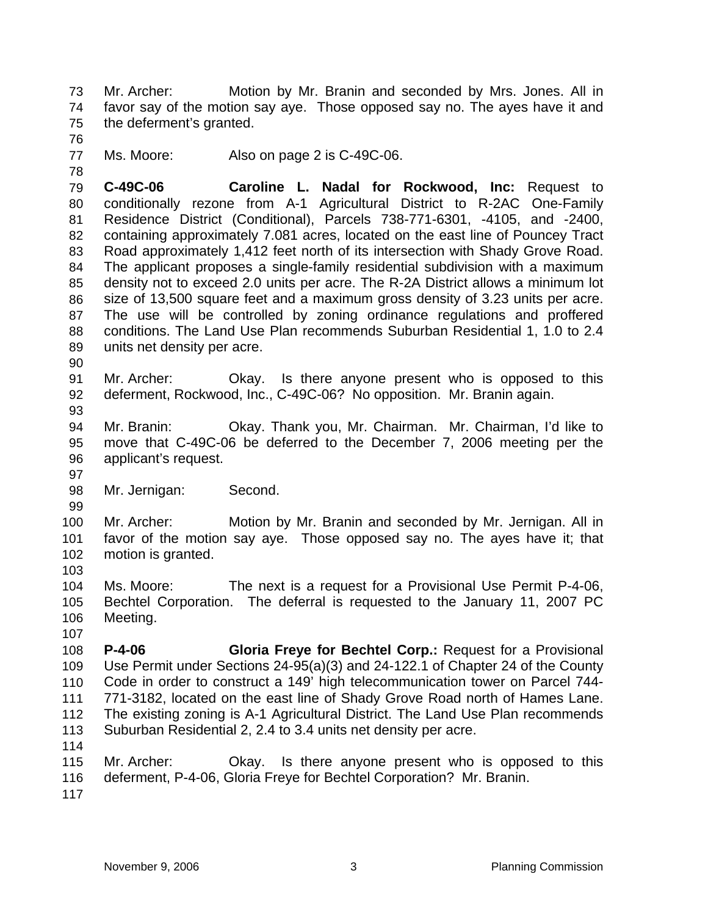Mr. Archer: Motion by Mr. Branin and seconded by Mrs. Jones. All in favor say of the motion say aye. Those opposed say no. The ayes have it and the deferment's granted. 73 74 75

76

78

77 Ms. Moore: Also on page 2 is C-49C-06.

79 80 81 82 83 84 85 86 87 88 89 **C-49C-06 Caroline L. Nadal for Rockwood, Inc:** Request to conditionally rezone from A-1 Agricultural District to R-2AC One-Family Residence District (Conditional), Parcels 738-771-6301, -4105, and -2400, containing approximately 7.081 acres, located on the east line of Pouncey Tract Road approximately 1,412 feet north of its intersection with Shady Grove Road. The applicant proposes a single-family residential subdivision with a maximum density not to exceed 2.0 units per acre. The R-2A District allows a minimum lot size of 13,500 square feet and a maximum gross density of 3.23 units per acre. The use will be controlled by zoning ordinance regulations and proffered conditions. The Land Use Plan recommends Suburban Residential 1, 1.0 to 2.4 units net density per acre.

90

91 92 93 Mr. Archer: Okay. Is there anyone present who is opposed to this deferment, Rockwood, Inc., C-49C-06? No opposition. Mr. Branin again.

94 95 96 Mr. Branin: Okay. Thank you, Mr. Chairman. Mr. Chairman, I'd like to move that C-49C-06 be deferred to the December 7, 2006 meeting per the applicant's request.

98 Mr. Jernigan: Second.

100 101 102 Mr. Archer: Motion by Mr. Branin and seconded by Mr. Jernigan. All in favor of the motion say aye. Those opposed say no. The ayes have it; that motion is granted.

103

97

99

104 105 106 Ms. Moore: The next is a request for a Provisional Use Permit P-4-06, Bechtel Corporation. The deferral is requested to the January 11, 2007 PC Meeting.

107

108 109 110 111 112 113 **P-4-06 Gloria Freye for Bechtel Corp.:** Request for a Provisional Use Permit under Sections 24-95(a)(3) and 24-122.1 of Chapter 24 of the County Code in order to construct a 149' high telecommunication tower on Parcel 744- 771-3182, located on the east line of Shady Grove Road north of Hames Lane. The existing zoning is A-1 Agricultural District. The Land Use Plan recommends Suburban Residential 2, 2.4 to 3.4 units net density per acre.

114

115 116 Mr. Archer: Okay. Is there anyone present who is opposed to this deferment, P-4-06, Gloria Freye for Bechtel Corporation? Mr. Branin.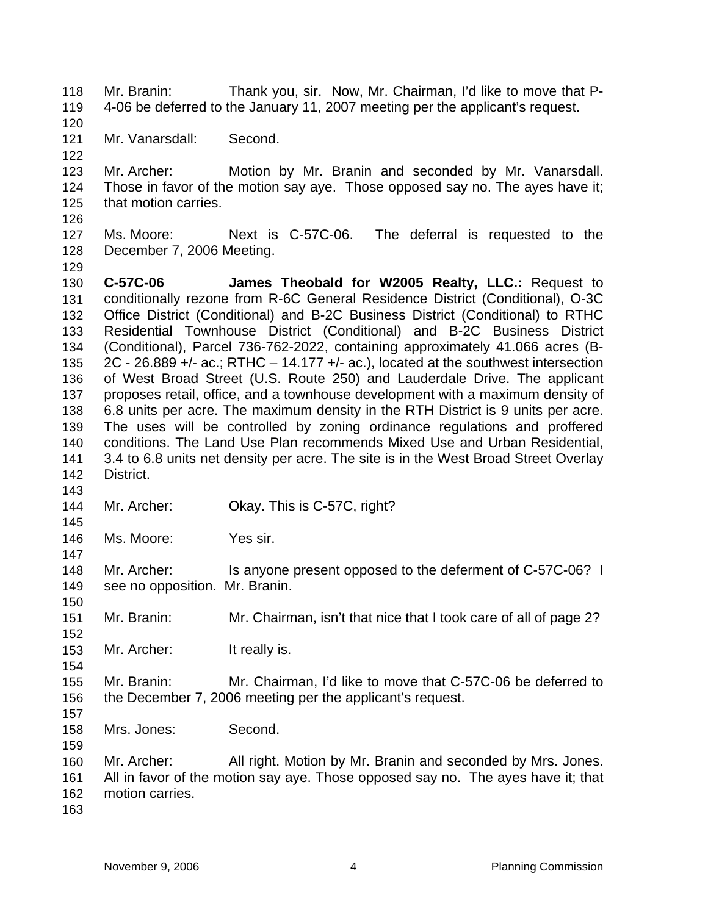Mr. Branin: Thank you, sir. Now, Mr. Chairman, I'd like to move that P-4-06 be deferred to the January 11, 2007 meeting per the applicant's request. 118 119 120 121 122 123 124 125 126 127 128 129 130 131 132 133 134 135 136 137 138 139 140 141 142 143 144 145 146 147 148 149 150 151 152 153 154 155 156 157 158 159 160 161 162 Mr. Vanarsdall: Second. Mr. Archer: Motion by Mr. Branin and seconded by Mr. Vanarsdall. Those in favor of the motion say aye. Those opposed say no. The ayes have it; that motion carries. Ms. Moore: Next is C-57C-06. The deferral is requested to the December 7, 2006 Meeting. **C-57C-06 James Theobald for W2005 Realty, LLC.:** Request to conditionally rezone from R-6C General Residence District (Conditional), O-3C Office District (Conditional) and B-2C Business District (Conditional) to RTHC Residential Townhouse District (Conditional) and B-2C Business District (Conditional), Parcel 736-762-2022, containing approximately 41.066 acres (B-2C - 26.889 +/- ac.; RTHC  $-$  14.177 +/- ac.), located at the southwest intersection of West Broad Street (U.S. Route 250) and Lauderdale Drive. The applicant proposes retail, office, and a townhouse development with a maximum density of 6.8 units per acre. The maximum density in the RTH District is 9 units per acre. The uses will be controlled by zoning ordinance regulations and proffered conditions. The Land Use Plan recommends Mixed Use and Urban Residential, 3.4 to 6.8 units net density per acre. The site is in the West Broad Street Overlay District. Mr. Archer: Okay. This is C-57C, right? Ms. Moore: Yes sir. Mr. Archer: Is anyone present opposed to the deferment of C-57C-06? I see no opposition. Mr. Branin. Mr. Branin: Mr. Chairman, isn't that nice that I took care of all of page 2? Mr. Archer: It really is. Mr. Branin: Mr. Chairman, I'd like to move that C-57C-06 be deferred to the December 7, 2006 meeting per the applicant's request. Mrs. Jones: Second. Mr. Archer: All right. Motion by Mr. Branin and seconded by Mrs. Jones. All in favor of the motion say aye. Those opposed say no. The ayes have it; that motion carries.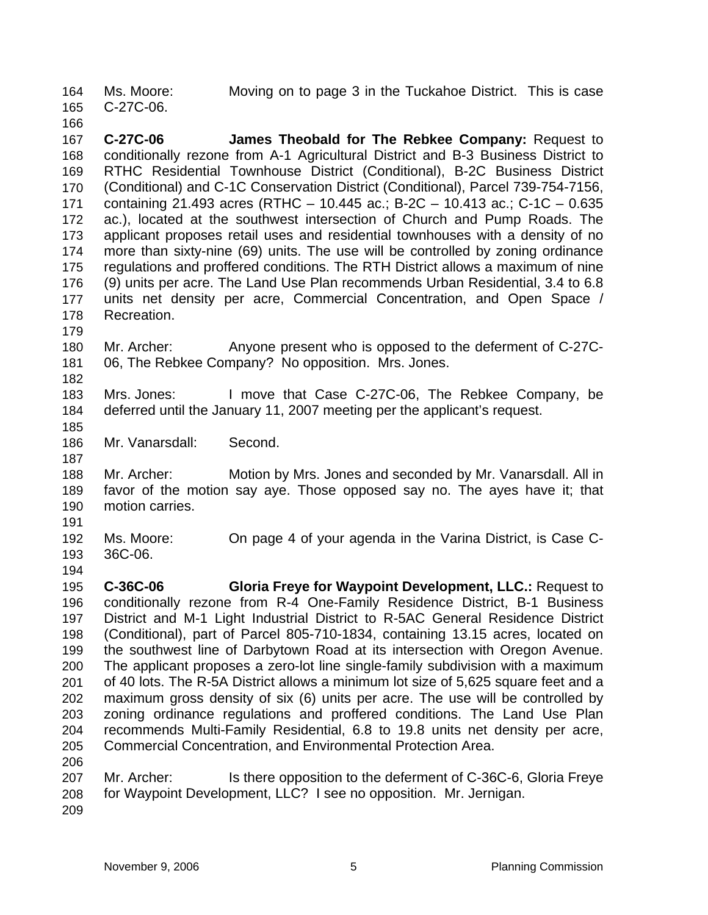Ms. Moore: Moving on to page 3 in the Tuckahoe District. This is case C-27C-06. 164 165

166 167 168 169 170 171 172 173 174 175 176 177 178 **C-27C-06 James Theobald for The Rebkee Company:** Request to conditionally rezone from A-1 Agricultural District and B-3 Business District to RTHC Residential Townhouse District (Conditional), B-2C Business District (Conditional) and C-1C Conservation District (Conditional), Parcel 739-754-7156, containing 21.493 acres (RTHC – 10.445 ac.; B-2C – 10.413 ac.; C-1C – 0.635 ac.), located at the southwest intersection of Church and Pump Roads. The applicant proposes retail uses and residential townhouses with a density of no more than sixty-nine (69) units. The use will be controlled by zoning ordinance regulations and proffered conditions. The RTH District allows a maximum of nine (9) units per acre. The Land Use Plan recommends Urban Residential, 3.4 to 6.8 units net density per acre, Commercial Concentration, and Open Space / Recreation.

180 181 Mr. Archer: Anyone present who is opposed to the deferment of C-27C-06, The Rebkee Company? No opposition. Mrs. Jones.

183 184 Mrs. Jones: I move that Case C-27C-06, The Rebkee Company, be deferred until the January 11, 2007 meeting per the applicant's request.

186 Mr. Vanarsdall: Second.

188 189 190 Mr. Archer: Motion by Mrs. Jones and seconded by Mr. Vanarsdall. All in favor of the motion say aye. Those opposed say no. The ayes have it; that motion carries.

191

194

179

182

185

187

192 193 Ms. Moore: On page 4 of your agenda in the Varina District, is Case C-36C-06.

195 196 197 198 199 200 201 202 203 204 205 206 **C-36C-06 Gloria Freye for Waypoint Development, LLC.:** Request to conditionally rezone from R-4 One-Family Residence District, B-1 Business District and M-1 Light Industrial District to R-5AC General Residence District (Conditional), part of Parcel 805-710-1834, containing 13.15 acres, located on the southwest line of Darbytown Road at its intersection with Oregon Avenue. The applicant proposes a zero-lot line single-family subdivision with a maximum of 40 lots. The R-5A District allows a minimum lot size of 5,625 square feet and a maximum gross density of six (6) units per acre. The use will be controlled by zoning ordinance regulations and proffered conditions. The Land Use Plan recommends Multi-Family Residential, 6.8 to 19.8 units net density per acre, Commercial Concentration, and Environmental Protection Area.

207 208 Mr. Archer: Is there opposition to the deferment of C-36C-6, Gloria Freye for Waypoint Development, LLC? I see no opposition. Mr. Jernigan.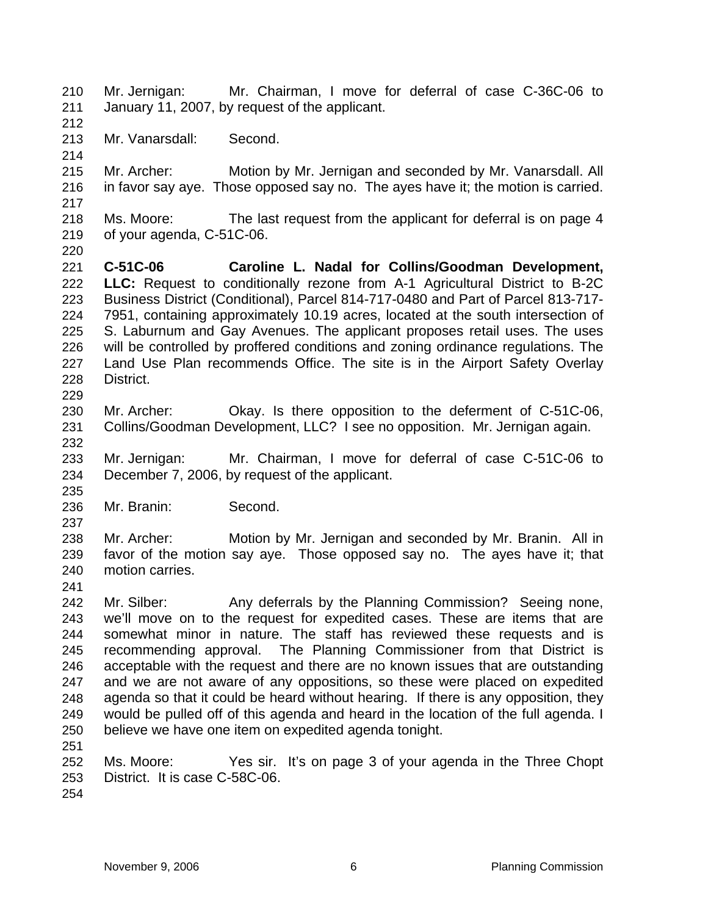Mr. Jernigan: Mr. Chairman, I move for deferral of case C-36C-06 to January 11, 2007, by request of the applicant. 210 211 212 213 214 215 216 217 218 219 220 221 222 223 224 225 226 227 228 229 230 231 232 233 234 235 236 237 238 239 240 241 242 243 244 245 246 247 248 249 250 251 252 253 Mr. Vanarsdall: Second. Mr. Archer: Motion by Mr. Jernigan and seconded by Mr. Vanarsdall. All in favor say aye. Those opposed say no. The ayes have it; the motion is carried. Ms. Moore: The last request from the applicant for deferral is on page 4 of your agenda, C-51C-06. **C-51C-06 Caroline L. Nadal for Collins/Goodman Development, LLC:** Request to conditionally rezone from A-1 Agricultural District to B-2C Business District (Conditional), Parcel 814-717-0480 and Part of Parcel 813-717- 7951, containing approximately 10.19 acres, located at the south intersection of S. Laburnum and Gay Avenues. The applicant proposes retail uses. The uses will be controlled by proffered conditions and zoning ordinance regulations. The Land Use Plan recommends Office. The site is in the Airport Safety Overlay District. Mr. Archer: Okay. Is there opposition to the deferment of C-51C-06, Collins/Goodman Development, LLC? I see no opposition. Mr. Jernigan again. Mr. Jernigan: Mr. Chairman, I move for deferral of case C-51C-06 to December 7, 2006, by request of the applicant. Mr. Branin: Second. Mr. Archer: Motion by Mr. Jernigan and seconded by Mr. Branin. All in favor of the motion say aye. Those opposed say no. The ayes have it; that motion carries. Mr. Silber: Any deferrals by the Planning Commission? Seeing none, we'll move on to the request for expedited cases. These are items that are somewhat minor in nature. The staff has reviewed these requests and is recommending approval. The Planning Commissioner from that District is acceptable with the request and there are no known issues that are outstanding and we are not aware of any oppositions, so these were placed on expedited agenda so that it could be heard without hearing. If there is any opposition, they would be pulled off of this agenda and heard in the location of the full agenda. I believe we have one item on expedited agenda tonight. Ms. Moore: Yes sir. It's on page 3 of your agenda in the Three Chopt District. It is case C-58C-06.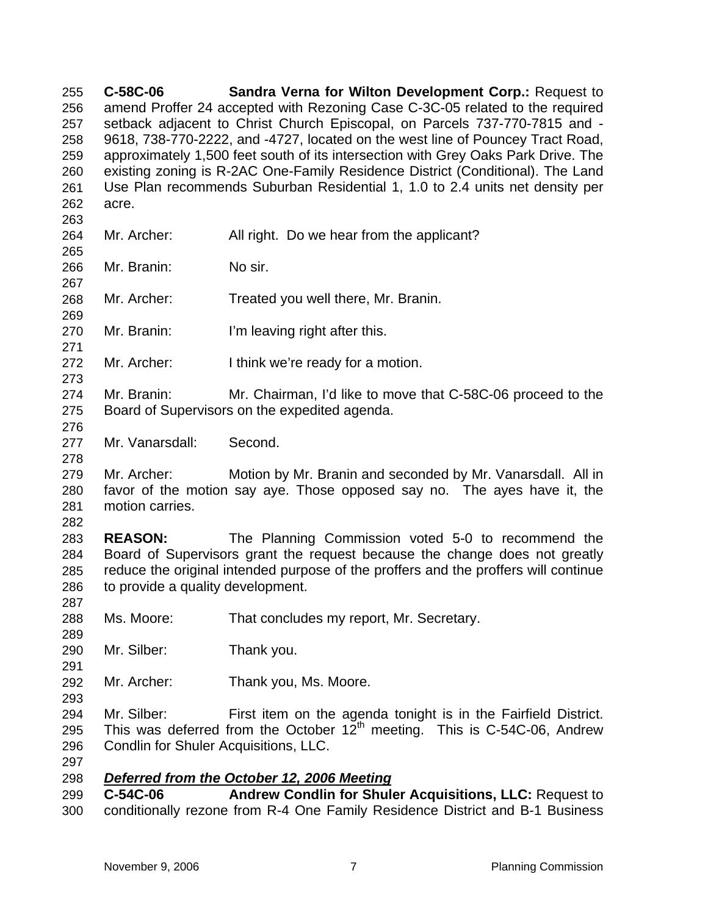**C-58C-06 Sandra Verna for Wilton Development Corp.:** Request to amend Proffer 24 accepted with Rezoning Case C-3C-05 related to the required setback adjacent to Christ Church Episcopal, on Parcels 737-770-7815 and - 9618, 738-770-2222, and -4727, located on the west line of Pouncey Tract Road, approximately 1,500 feet south of its intersection with Grey Oaks Park Drive. The existing zoning is R-2AC One-Family Residence District (Conditional). The Land Use Plan recommends Suburban Residential 1, 1.0 to 2.4 units net density per acre. 255 256 257 258 259 260 261 262 263 264 265 266 267 268 269 270 271 272 273 274 275 276 277 278 279 280 281 282 283 284 285 286 287 288 289 290 291 292 293 294 295 296 297 Mr. Archer: All right. Do we hear from the applicant? Mr. Branin: No sir. Mr. Archer: Treated you well there, Mr. Branin. Mr. Branin: I'm leaving right after this. Mr. Archer: I think we're ready for a motion. Mr. Branin: Mr. Chairman, I'd like to move that C-58C-06 proceed to the Board of Supervisors on the expedited agenda. Mr. Vanarsdall: Second. Mr. Archer: Motion by Mr. Branin and seconded by Mr. Vanarsdall. All in favor of the motion say aye. Those opposed say no. The ayes have it, the motion carries. **REASON:** The Planning Commission voted 5-0 to recommend the Board of Supervisors grant the request because the change does not greatly reduce the original intended purpose of the proffers and the proffers will continue to provide a quality development. Ms. Moore: That concludes my report, Mr. Secretary. Mr. Silber: Thank you. Mr. Archer: Thank you, Ms. Moore. Mr. Silber: First item on the agenda tonight is in the Fairfield District. This was deferred from the October  $12^{th}$  meeting. This is C-54C-06, Andrew Condlin for Shuler Acquisitions, LLC. 298 *Deferred from the October 12, 2006 Meeting* 299 300 **C-54C-06 Andrew Condlin for Shuler Acquisitions, LLC:** Request to conditionally rezone from R-4 One Family Residence District and B-1 Business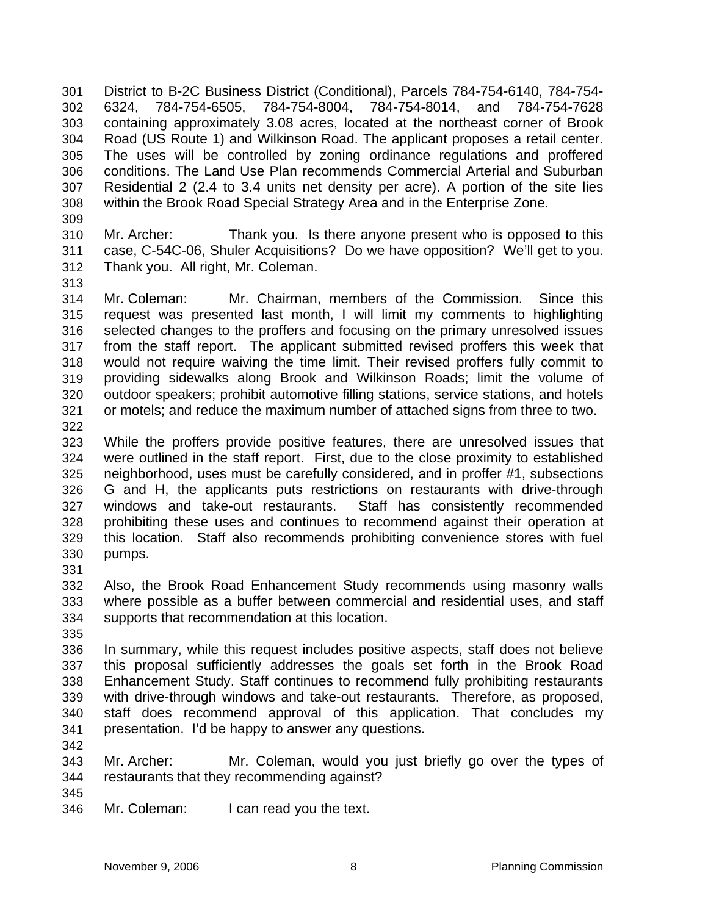District to B-2C Business District (Conditional), Parcels 784-754-6140, 784-754- 6324, 784-754-6505, 784-754-8004, 784-754-8014, and 784-754-7628 containing approximately 3.08 acres, located at the northeast corner of Brook Road (US Route 1) and Wilkinson Road. The applicant proposes a retail center. The uses will be controlled by zoning ordinance regulations and proffered conditions. The Land Use Plan recommends Commercial Arterial and Suburban Residential 2 (2.4 to 3.4 units net density per acre). A portion of the site lies within the Brook Road Special Strategy Area and in the Enterprise Zone. 301 302 303 304 305 306 307 308 309

- 310 311 312 Mr. Archer: Thank you. Is there anyone present who is opposed to this case, C-54C-06, Shuler Acquisitions? Do we have opposition? We'll get to you. Thank you. All right, Mr. Coleman.
- 313

314 315 316 317 318 319 320 321 Mr. Coleman: Mr. Chairman, members of the Commission. Since this request was presented last month, I will limit my comments to highlighting selected changes to the proffers and focusing on the primary unresolved issues from the staff report. The applicant submitted revised proffers this week that would not require waiving the time limit. Their revised proffers fully commit to providing sidewalks along Brook and Wilkinson Roads; limit the volume of outdoor speakers; prohibit automotive filling stations, service stations, and hotels or motels; and reduce the maximum number of attached signs from three to two.

322

323 324 325 326 327 328 329 330 While the proffers provide positive features, there are unresolved issues that were outlined in the staff report. First, due to the close proximity to established neighborhood, uses must be carefully considered, and in proffer #1, subsections G and H, the applicants puts restrictions on restaurants with drive-through windows and take-out restaurants. Staff has consistently recommended prohibiting these uses and continues to recommend against their operation at this location. Staff also recommends prohibiting convenience stores with fuel pumps.

331

332 333 334 Also, the Brook Road Enhancement Study recommends using masonry walls where possible as a buffer between commercial and residential uses, and staff supports that recommendation at this location.

335

336 337 338 339 340 341 In summary, while this request includes positive aspects, staff does not believe this proposal sufficiently addresses the goals set forth in the Brook Road Enhancement Study. Staff continues to recommend fully prohibiting restaurants with drive-through windows and take-out restaurants. Therefore, as proposed, staff does recommend approval of this application. That concludes my presentation. I'd be happy to answer any questions.

342

343 344 Mr. Archer: Mr. Coleman, would you just briefly go over the types of restaurants that they recommending against?

345

346 Mr. Coleman: I can read you the text.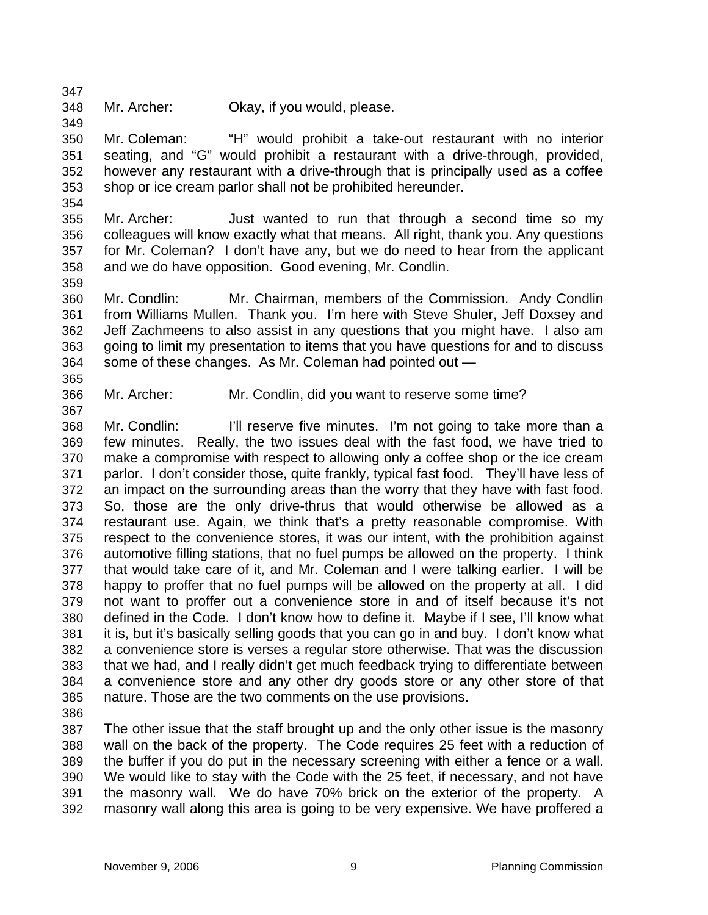348 Mr. Archer: Okay, if you would, please.

350 351 352 353 Mr. Coleman: "H" would prohibit a take-out restaurant with no interior seating, and "G" would prohibit a restaurant with a drive-through, provided, however any restaurant with a drive-through that is principally used as a coffee shop or ice cream parlor shall not be prohibited hereunder.

354

359

365

367

347

349

355 356 357 358 Mr. Archer: Just wanted to run that through a second time so my colleagues will know exactly what that means. All right, thank you. Any questions for Mr. Coleman? I don't have any, but we do need to hear from the applicant and we do have opposition. Good evening, Mr. Condlin.

360 361 362 363 364 Mr. Condlin: Mr. Chairman, members of the Commission. Andy Condlin from Williams Mullen. Thank you. I'm here with Steve Shuler, Jeff Doxsey and Jeff Zachmeens to also assist in any questions that you might have. I also am going to limit my presentation to items that you have questions for and to discuss some of these changes. As Mr. Coleman had pointed out —

- 366
	- Mr. Archer: Mr. Condlin, did you want to reserve some time?

368 369 370 371 372 373 374 375 376 377 378 379 380 381 382 383 384 385 Mr. Condlin: I'll reserve five minutes. I'm not going to take more than a few minutes. Really, the two issues deal with the fast food, we have tried to make a compromise with respect to allowing only a coffee shop or the ice cream parlor. I don't consider those, quite frankly, typical fast food. They'll have less of an impact on the surrounding areas than the worry that they have with fast food. So, those are the only drive-thrus that would otherwise be allowed as a restaurant use. Again, we think that's a pretty reasonable compromise. With respect to the convenience stores, it was our intent, with the prohibition against automotive filling stations, that no fuel pumps be allowed on the property. I think that would take care of it, and Mr. Coleman and I were talking earlier. I will be happy to proffer that no fuel pumps will be allowed on the property at all. I did not want to proffer out a convenience store in and of itself because it's not defined in the Code. I don't know how to define it. Maybe if I see, I'll know what it is, but it's basically selling goods that you can go in and buy. I don't know what a convenience store is verses a regular store otherwise. That was the discussion that we had, and I really didn't get much feedback trying to differentiate between a convenience store and any other dry goods store or any other store of that nature. Those are the two comments on the use provisions.

386

387 388 389 390 391 392 The other issue that the staff brought up and the only other issue is the masonry wall on the back of the property. The Code requires 25 feet with a reduction of the buffer if you do put in the necessary screening with either a fence or a wall. We would like to stay with the Code with the 25 feet, if necessary, and not have the masonry wall. We do have 70% brick on the exterior of the property. A masonry wall along this area is going to be very expensive. We have proffered a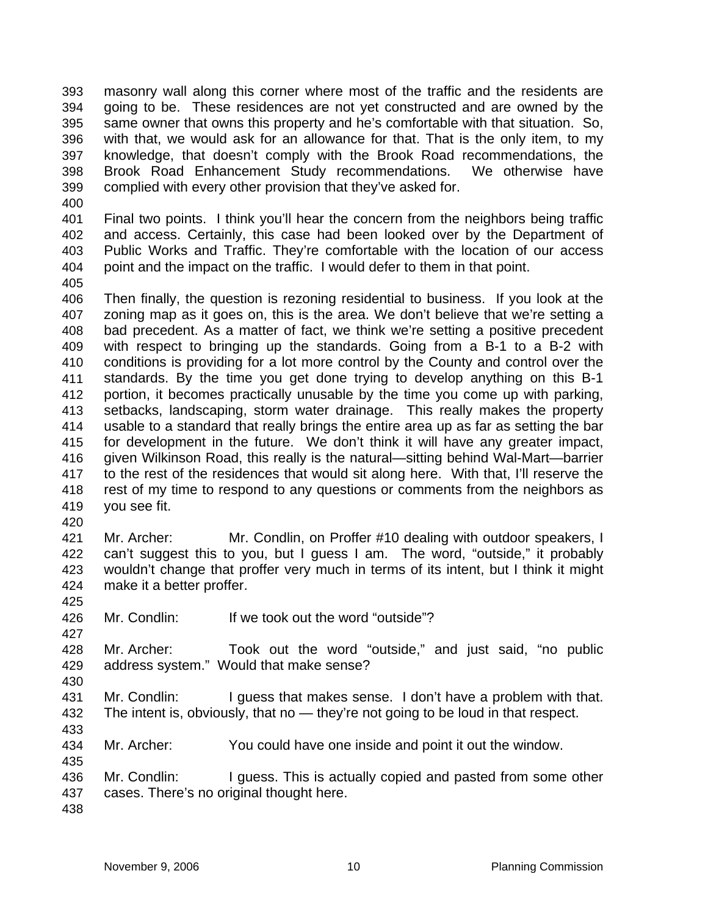masonry wall along this corner where most of the traffic and the residents are going to be. These residences are not yet constructed and are owned by the same owner that owns this property and he's comfortable with that situation. So, with that, we would ask for an allowance for that. That is the only item, to my knowledge, that doesn't comply with the Brook Road recommendations, the Brook Road Enhancement Study recommendations. We otherwise have complied with every other provision that they've asked for. 393 394 395 396 397 398 399

400

401 402 403 404 Final two points. I think you'll hear the concern from the neighbors being traffic and access. Certainly, this case had been looked over by the Department of Public Works and Traffic. They're comfortable with the location of our access point and the impact on the traffic. I would defer to them in that point.

405

406 407 408 409 410 411 412 413 414 415 416 417 418 419 Then finally, the question is rezoning residential to business. If you look at the zoning map as it goes on, this is the area. We don't believe that we're setting a bad precedent. As a matter of fact, we think we're setting a positive precedent with respect to bringing up the standards. Going from a B-1 to a B-2 with conditions is providing for a lot more control by the County and control over the standards. By the time you get done trying to develop anything on this B-1 portion, it becomes practically unusable by the time you come up with parking, setbacks, landscaping, storm water drainage. This really makes the property usable to a standard that really brings the entire area up as far as setting the bar for development in the future. We don't think it will have any greater impact, given Wilkinson Road, this really is the natural—sitting behind Wal-Mart—barrier to the rest of the residences that would sit along here. With that, I'll reserve the rest of my time to respond to any questions or comments from the neighbors as you see fit.

420

421 422 423 424 Mr. Archer: Mr. Condlin, on Proffer #10 dealing with outdoor speakers, I can't suggest this to you, but I guess I am. The word, "outside," it probably wouldn't change that proffer very much in terms of its intent, but I think it might make it a better proffer.

425

427

430

433

435

426 Mr. Condlin: If we took out the word "outside"?

428 429 Mr. Archer: Took out the word "outside," and just said, "no public address system." Would that make sense?

431 432 Mr. Condlin: I guess that makes sense. I don't have a problem with that. The intent is, obviously, that no — they're not going to be loud in that respect.

434 Mr. Archer: You could have one inside and point it out the window.

436 437 Mr. Condlin: I guess. This is actually copied and pasted from some other cases. There's no original thought here.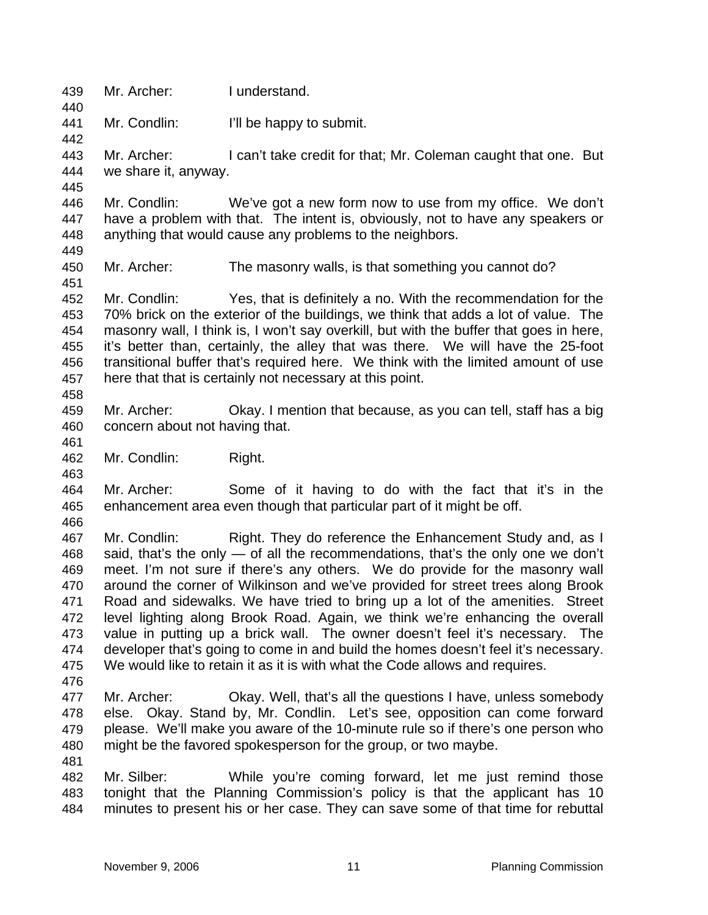439 Mr. Archer: I understand. 440 441 442 443 444 445 446 447 448 449 450 451 452 453 454 455 456 457 458 459 460 461 462 463 464 465 466 467 468 469 470 471 472 473 474 475 476 477 478 479 480 481 482 483 484 Mr. Condlin: I'll be happy to submit. Mr. Archer: I can't take credit for that; Mr. Coleman caught that one. But we share it, anyway. Mr. Condlin: We've got a new form now to use from my office. We don't have a problem with that. The intent is, obviously, not to have any speakers or anything that would cause any problems to the neighbors. Mr. Archer: The masonry walls, is that something you cannot do? Mr. Condlin: Yes, that is definitely a no. With the recommendation for the 70% brick on the exterior of the buildings, we think that adds a lot of value. The masonry wall, I think is, I won't say overkill, but with the buffer that goes in here, it's better than, certainly, the alley that was there. We will have the 25-foot transitional buffer that's required here. We think with the limited amount of use here that that is certainly not necessary at this point. Mr. Archer: Okay. I mention that because, as you can tell, staff has a big concern about not having that. Mr. Condlin: Right. Mr. Archer: Some of it having to do with the fact that it's in the enhancement area even though that particular part of it might be off. Mr. Condlin: Right. They do reference the Enhancement Study and, as I said, that's the only — of all the recommendations, that's the only one we don't meet. I'm not sure if there's any others. We do provide for the masonry wall around the corner of Wilkinson and we've provided for street trees along Brook Road and sidewalks. We have tried to bring up a lot of the amenities. Street level lighting along Brook Road. Again, we think we're enhancing the overall value in putting up a brick wall. The owner doesn't feel it's necessary. The developer that's going to come in and build the homes doesn't feel it's necessary. We would like to retain it as it is with what the Code allows and requires. Mr. Archer: Okay. Well, that's all the questions I have, unless somebody else. Okay. Stand by, Mr. Condlin. Let's see, opposition can come forward please. We'll make you aware of the 10-minute rule so if there's one person who might be the favored spokesperson for the group, or two maybe. Mr. Silber: While you're coming forward, let me just remind those tonight that the Planning Commission's policy is that the applicant has 10 minutes to present his or her case. They can save some of that time for rebuttal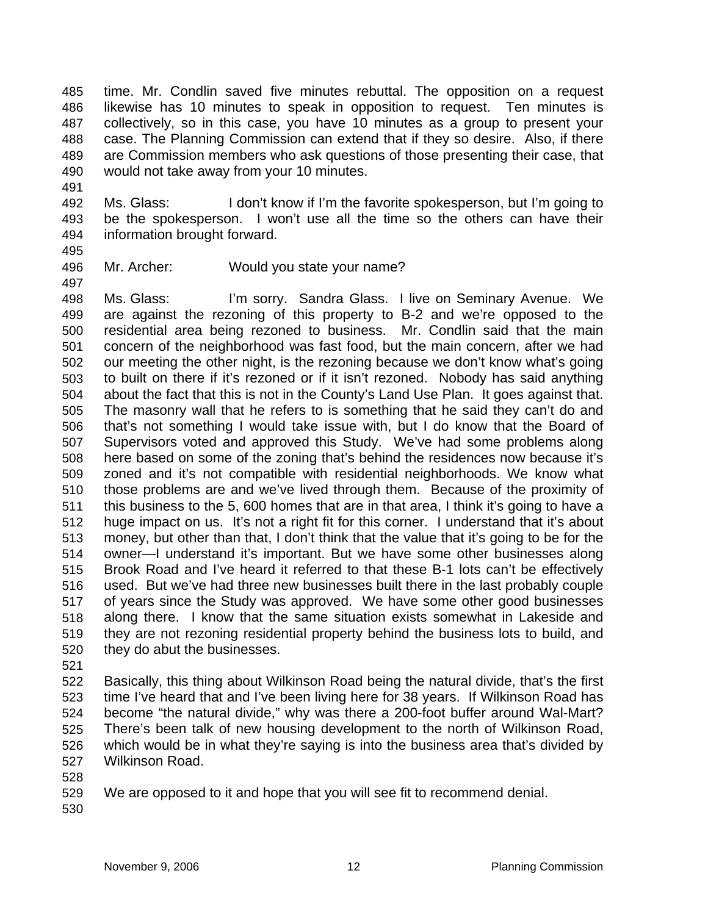time. Mr. Condlin saved five minutes rebuttal. The opposition on a request likewise has 10 minutes to speak in opposition to request. Ten minutes is collectively, so in this case, you have 10 minutes as a group to present your case. The Planning Commission can extend that if they so desire. Also, if there are Commission members who ask questions of those presenting their case, that would not take away from your 10 minutes. 485 486 487 488 489 490

492 493 494 Ms. Glass: I don't know if I'm the favorite spokesperson, but I'm going to be the spokesperson. I won't use all the time so the others can have their information brought forward.

495

497

491

496 Mr. Archer: Would you state your name?

498 499 500 501 502 503 504 505 506 507 508 509 510 511 512 513 514 515 516 517 518 519 520 Ms. Glass: I'm sorry. Sandra Glass. I live on Seminary Avenue. We are against the rezoning of this property to B-2 and we're opposed to the residential area being rezoned to business. Mr. Condlin said that the main concern of the neighborhood was fast food, but the main concern, after we had our meeting the other night, is the rezoning because we don't know what's going to built on there if it's rezoned or if it isn't rezoned. Nobody has said anything about the fact that this is not in the County's Land Use Plan. It goes against that. The masonry wall that he refers to is something that he said they can't do and that's not something I would take issue with, but I do know that the Board of Supervisors voted and approved this Study. We've had some problems along here based on some of the zoning that's behind the residences now because it's zoned and it's not compatible with residential neighborhoods. We know what those problems are and we've lived through them. Because of the proximity of this business to the 5, 600 homes that are in that area, I think it's going to have a huge impact on us. It's not a right fit for this corner. I understand that it's about money, but other than that, I don't think that the value that it's going to be for the owner—I understand it's important. But we have some other businesses along Brook Road and I've heard it referred to that these B-1 lots can't be effectively used. But we've had three new businesses built there in the last probably couple of years since the Study was approved. We have some other good businesses along there. I know that the same situation exists somewhat in Lakeside and they are not rezoning residential property behind the business lots to build, and they do abut the businesses.

521

522 523 524 525 526 527 Basically, this thing about Wilkinson Road being the natural divide, that's the first time I've heard that and I've been living here for 38 years. If Wilkinson Road has become "the natural divide," why was there a 200-foot buffer around Wal-Mart? There's been talk of new housing development to the north of Wilkinson Road, which would be in what they're saying is into the business area that's divided by Wilkinson Road.

528

529 We are opposed to it and hope that you will see fit to recommend denial.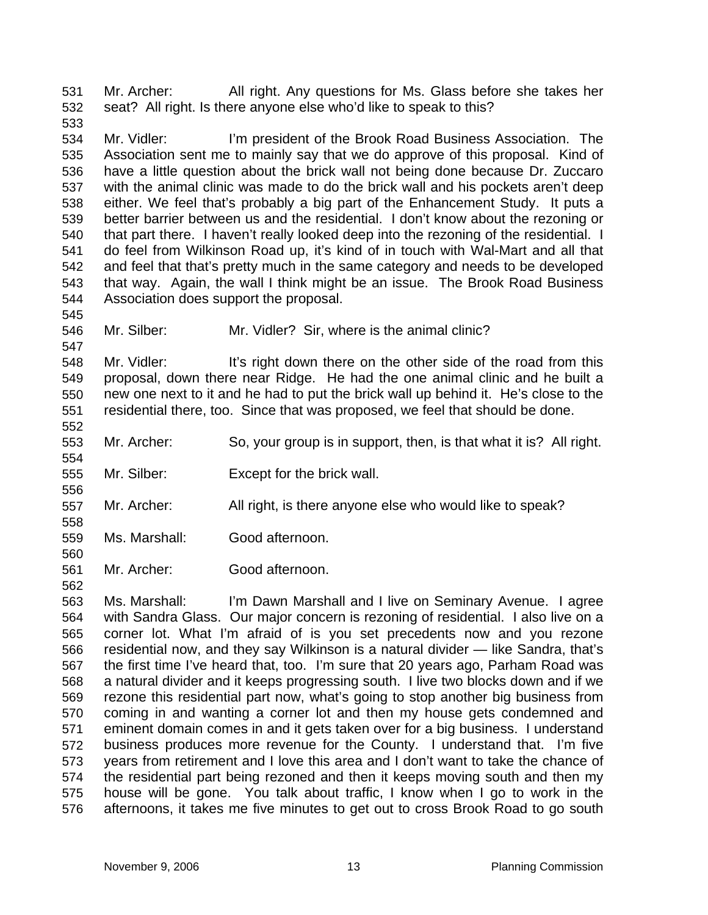Mr. Archer: All right. Any questions for Ms. Glass before she takes her seat? All right. Is there anyone else who'd like to speak to this? 531 532

534 535 536 537 538 539 540 541 542 543 544 Mr. Vidler: I'm president of the Brook Road Business Association. The Association sent me to mainly say that we do approve of this proposal. Kind of have a little question about the brick wall not being done because Dr. Zuccaro with the animal clinic was made to do the brick wall and his pockets aren't deep either. We feel that's probably a big part of the Enhancement Study. It puts a better barrier between us and the residential. I don't know about the rezoning or that part there. I haven't really looked deep into the rezoning of the residential. I do feel from Wilkinson Road up, it's kind of in touch with Wal-Mart and all that and feel that that's pretty much in the same category and needs to be developed that way. Again, the wall I think might be an issue. The Brook Road Business Association does support the proposal.

546 Mr. Silber: Mr. Vidler? Sir, where is the animal clinic?

548 549 550 551 552 Mr. Vidler: It's right down there on the other side of the road from this proposal, down there near Ridge. He had the one animal clinic and he built a new one next to it and he had to put the brick wall up behind it. He's close to the residential there, too. Since that was proposed, we feel that should be done.

- 553 Mr. Archer: So, your group is in support, then, is that what it is? All right.
- 555 Mr. Silber: Except for the brick wall.
- 557 Mr. Archer: All right, is there anyone else who would like to speak?
- 559 Ms. Marshall: Good afternoon.

533

545

547

554

556

558

560

562

561 Mr. Archer: Good afternoon.

563 564 565 566 567 568 569 570 571 572 573 574 575 576 Ms. Marshall: I'm Dawn Marshall and I live on Seminary Avenue. I agree with Sandra Glass. Our major concern is rezoning of residential. I also live on a corner lot. What I'm afraid of is you set precedents now and you rezone residential now, and they say Wilkinson is a natural divider — like Sandra, that's the first time I've heard that, too. I'm sure that 20 years ago, Parham Road was a natural divider and it keeps progressing south. I live two blocks down and if we rezone this residential part now, what's going to stop another big business from coming in and wanting a corner lot and then my house gets condemned and eminent domain comes in and it gets taken over for a big business. I understand business produces more revenue for the County. I understand that. I'm five years from retirement and I love this area and I don't want to take the chance of the residential part being rezoned and then it keeps moving south and then my house will be gone. You talk about traffic, I know when I go to work in the afternoons, it takes me five minutes to get out to cross Brook Road to go south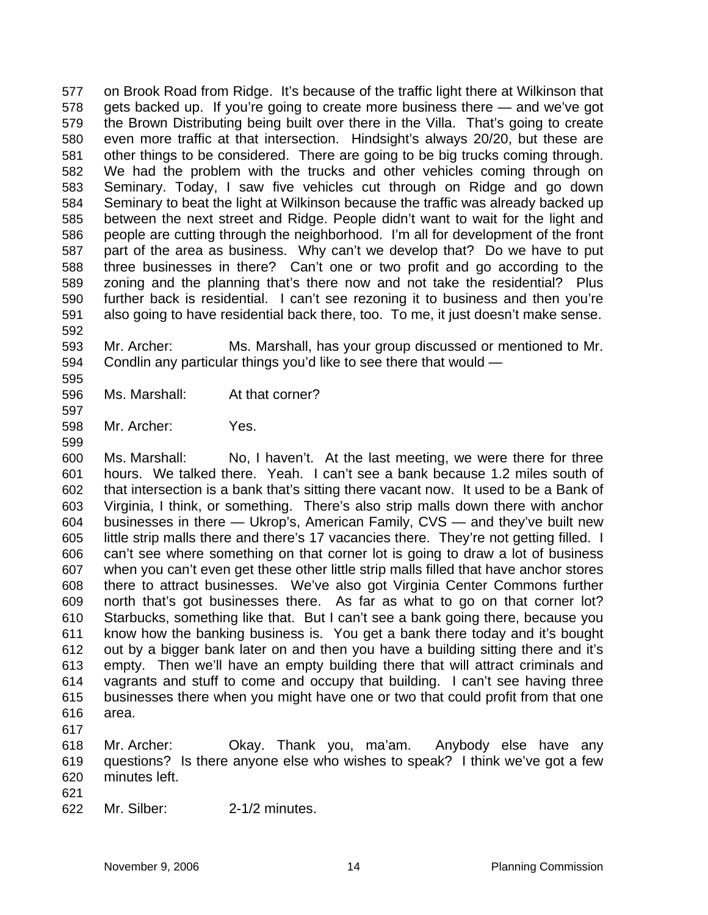on Brook Road from Ridge. It's because of the traffic light there at Wilkinson that gets backed up. If you're going to create more business there — and we've got the Brown Distributing being built over there in the Villa. That's going to create even more traffic at that intersection. Hindsight's always 20/20, but these are other things to be considered. There are going to be big trucks coming through. We had the problem with the trucks and other vehicles coming through on Seminary. Today, I saw five vehicles cut through on Ridge and go down Seminary to beat the light at Wilkinson because the traffic was already backed up between the next street and Ridge. People didn't want to wait for the light and people are cutting through the neighborhood. I'm all for development of the front part of the area as business. Why can't we develop that? Do we have to put three businesses in there? Can't one or two profit and go according to the zoning and the planning that's there now and not take the residential? Plus further back is residential. I can't see rezoning it to business and then you're also going to have residential back there, too. To me, it just doesn't make sense. 577 578 579 580 581 582 583 584 585 586 587 588 589 590 591

593 594 Mr. Archer: Ms. Marshall, has your group discussed or mentioned to Mr. Condlin any particular things you'd like to see there that would —

- 596 Ms. Marshall: At that corner?
- 598 Mr. Archer: Yes.

600 601 602 603 604 605 606 607 608 609 610 611 612 613 614 615 616 Ms. Marshall: No, I haven't. At the last meeting, we were there for three hours. We talked there. Yeah. I can't see a bank because 1.2 miles south of that intersection is a bank that's sitting there vacant now. It used to be a Bank of Virginia, I think, or something. There's also strip malls down there with anchor businesses in there — Ukrop's, American Family, CVS — and they've built new little strip malls there and there's 17 vacancies there. They're not getting filled. I can't see where something on that corner lot is going to draw a lot of business when you can't even get these other little strip malls filled that have anchor stores there to attract businesses. We've also got Virginia Center Commons further north that's got businesses there. As far as what to go on that corner lot? Starbucks, something like that. But I can't see a bank going there, because you know how the banking business is. You get a bank there today and it's bought out by a bigger bank later on and then you have a building sitting there and it's empty. Then we'll have an empty building there that will attract criminals and vagrants and stuff to come and occupy that building. I can't see having three businesses there when you might have one or two that could profit from that one area.

617

592

595

597

599

618 619 620 Mr. Archer: Okay. Thank you, ma'am. Anybody else have any questions? Is there anyone else who wishes to speak? I think we've got a few minutes left.

621

622 Mr. Silber: 2-1/2 minutes.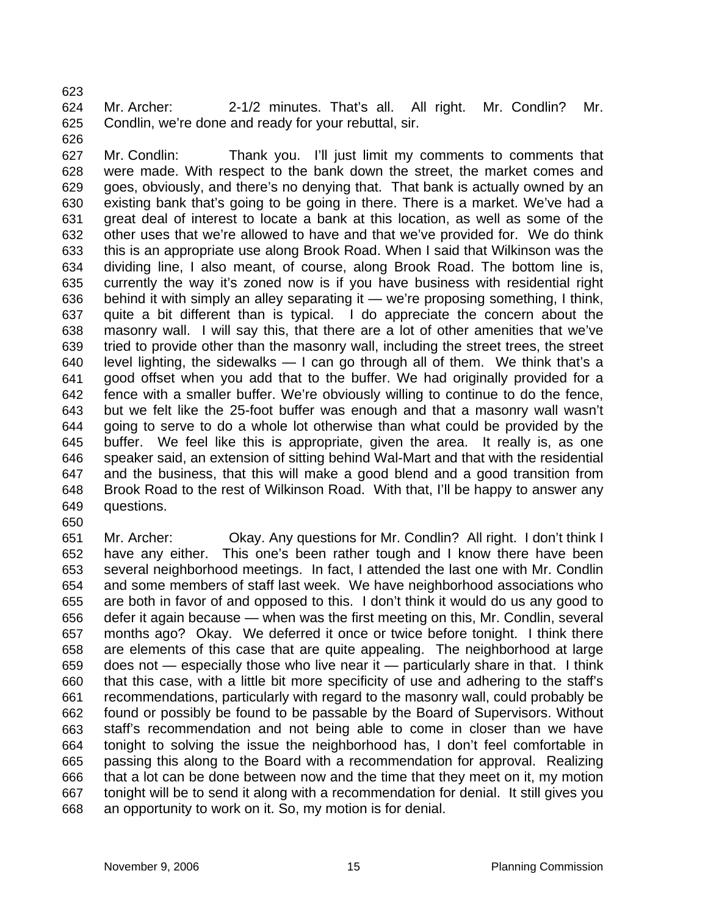623 624 625 Mr. Archer: 2-1/2 minutes. That's all. All right. Mr. Condlin? Mr. Condlin, we're done and ready for your rebuttal, sir.

626

627 628 629 630 631 632 633 634 635 636 637 638 639 640 641 642 643 644 645 646 647 648 649 Mr. Condlin: Thank you. I'll just limit my comments to comments that were made. With respect to the bank down the street, the market comes and goes, obviously, and there's no denying that. That bank is actually owned by an existing bank that's going to be going in there. There is a market. We've had a great deal of interest to locate a bank at this location, as well as some of the other uses that we're allowed to have and that we've provided for. We do think this is an appropriate use along Brook Road. When I said that Wilkinson was the dividing line, I also meant, of course, along Brook Road. The bottom line is, currently the way it's zoned now is if you have business with residential right behind it with simply an alley separating it — we're proposing something, I think, quite a bit different than is typical. I do appreciate the concern about the masonry wall. I will say this, that there are a lot of other amenities that we've tried to provide other than the masonry wall, including the street trees, the street level lighting, the sidewalks — I can go through all of them. We think that's a good offset when you add that to the buffer. We had originally provided for a fence with a smaller buffer. We're obviously willing to continue to do the fence, but we felt like the 25-foot buffer was enough and that a masonry wall wasn't going to serve to do a whole lot otherwise than what could be provided by the buffer. We feel like this is appropriate, given the area. It really is, as one speaker said, an extension of sitting behind Wal-Mart and that with the residential and the business, that this will make a good blend and a good transition from Brook Road to the rest of Wilkinson Road. With that, I'll be happy to answer any questions.

650

651 652 653 654 655 656 657 658 659 660 661 662 663 664 665 666 667 668 Mr. Archer: Okay. Any questions for Mr. Condlin? All right. I don't think I have any either. This one's been rather tough and I know there have been several neighborhood meetings. In fact, I attended the last one with Mr. Condlin and some members of staff last week. We have neighborhood associations who are both in favor of and opposed to this. I don't think it would do us any good to defer it again because — when was the first meeting on this, Mr. Condlin, several months ago? Okay. We deferred it once or twice before tonight. I think there are elements of this case that are quite appealing. The neighborhood at large does not — especially those who live near it — particularly share in that. I think that this case, with a little bit more specificity of use and adhering to the staff's recommendations, particularly with regard to the masonry wall, could probably be found or possibly be found to be passable by the Board of Supervisors. Without staff's recommendation and not being able to come in closer than we have tonight to solving the issue the neighborhood has, I don't feel comfortable in passing this along to the Board with a recommendation for approval. Realizing that a lot can be done between now and the time that they meet on it, my motion tonight will be to send it along with a recommendation for denial. It still gives you an opportunity to work on it. So, my motion is for denial.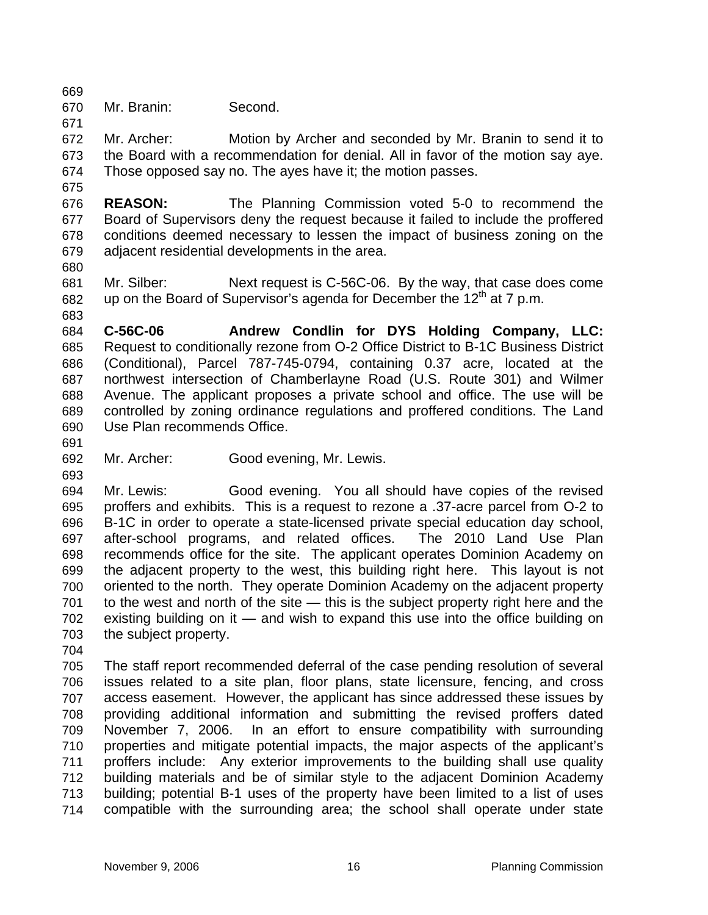669

675

670 Mr. Branin: Second.

671 672 673 674 Mr. Archer: Motion by Archer and seconded by Mr. Branin to send it to the Board with a recommendation for denial. All in favor of the motion say aye. Those opposed say no. The ayes have it; the motion passes.

676 677 678 679 **REASON:** The Planning Commission voted 5-0 to recommend the Board of Supervisors deny the request because it failed to include the proffered conditions deemed necessary to lessen the impact of business zoning on the adjacent residential developments in the area.

680

681 682 683 Mr. Silber: Next request is C-56C-06. By the way, that case does come up on the Board of Supervisor's agenda for December the  $12<sup>th</sup>$  at 7 p.m.

684 685 686 687 688 689 690 **C-56C-06 Andrew Condlin for DYS Holding Company, LLC:** Request to conditionally rezone from O-2 Office District to B-1C Business District (Conditional), Parcel 787-745-0794, containing 0.37 acre, located at the northwest intersection of Chamberlayne Road (U.S. Route 301) and Wilmer Avenue. The applicant proposes a private school and office. The use will be controlled by zoning ordinance regulations and proffered conditions. The Land Use Plan recommends Office.

691

693

692 Mr. Archer: Good evening, Mr. Lewis.

694 695 696 697 698 699 700 701 702 703 Mr. Lewis: Good evening. You all should have copies of the revised proffers and exhibits. This is a request to rezone a .37-acre parcel from O-2 to B-1C in order to operate a state-licensed private special education day school, after-school programs, and related offices. The 2010 Land Use Plan recommends office for the site. The applicant operates Dominion Academy on the adjacent property to the west, this building right here. This layout is not oriented to the north. They operate Dominion Academy on the adjacent property to the west and north of the site — this is the subject property right here and the existing building on it — and wish to expand this use into the office building on the subject property.

704

705 706 707 708 709 710 711 712 713 714 The staff report recommended deferral of the case pending resolution of several issues related to a site plan, floor plans, state licensure, fencing, and cross access easement. However, the applicant has since addressed these issues by providing additional information and submitting the revised proffers dated November 7, 2006. In an effort to ensure compatibility with surrounding properties and mitigate potential impacts, the major aspects of the applicant's proffers include: Any exterior improvements to the building shall use quality building materials and be of similar style to the adjacent Dominion Academy building; potential B-1 uses of the property have been limited to a list of uses compatible with the surrounding area; the school shall operate under state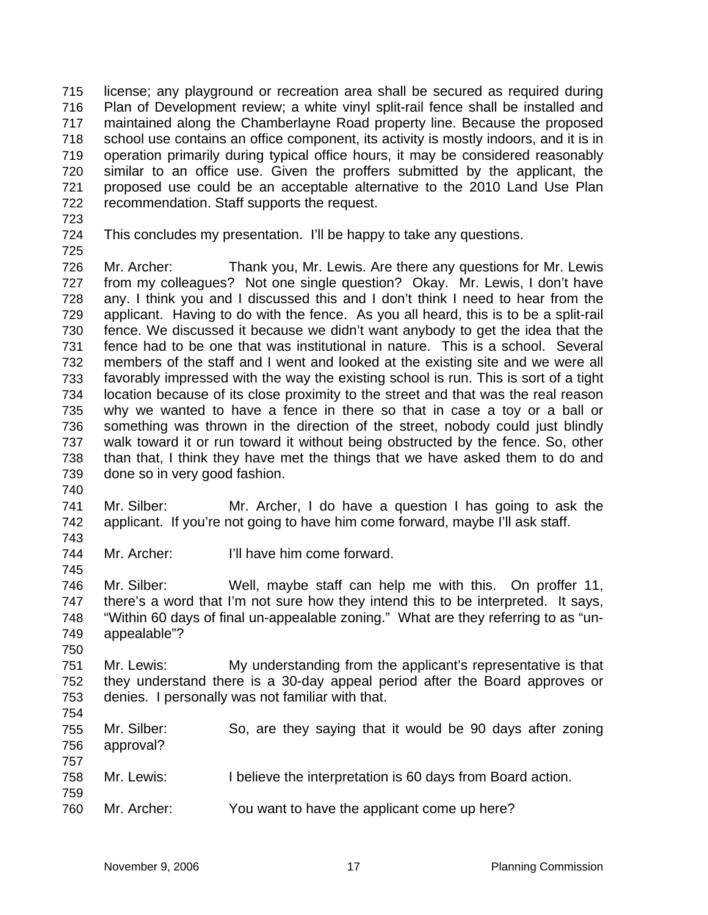license; any playground or recreation area shall be secured as required during Plan of Development review; a white vinyl split-rail fence shall be installed and maintained along the Chamberlayne Road property line. Because the proposed school use contains an office component, its activity is mostly indoors, and it is in operation primarily during typical office hours, it may be considered reasonably similar to an office use. Given the proffers submitted by the applicant, the proposed use could be an acceptable alternative to the 2010 Land Use Plan recommendation. Staff supports the request. 715 716 717 718 719 720 721 722

- 723
- 724

This concludes my presentation. I'll be happy to take any questions.

725

726 727 728 729 730 731 732 733 734 735 736 737 738 739 740 Mr. Archer: Thank you, Mr. Lewis. Are there any questions for Mr. Lewis from my colleagues? Not one single question? Okay. Mr. Lewis, I don't have any. I think you and I discussed this and I don't think I need to hear from the applicant. Having to do with the fence. As you all heard, this is to be a split-rail fence. We discussed it because we didn't want anybody to get the idea that the fence had to be one that was institutional in nature. This is a school. Several members of the staff and I went and looked at the existing site and we were all favorably impressed with the way the existing school is run. This is sort of a tight location because of its close proximity to the street and that was the real reason why we wanted to have a fence in there so that in case a toy or a ball or something was thrown in the direction of the street, nobody could just blindly walk toward it or run toward it without being obstructed by the fence. So, other than that, I think they have met the things that we have asked them to do and done so in very good fashion.

741 742 Mr. Silber: Mr. Archer, I do have a question I has going to ask the applicant. If you're not going to have him come forward, maybe I'll ask staff.

744 Mr. Archer: I'll have him come forward.

746 747 748 749 Mr. Silber: Well, maybe staff can help me with this. On proffer 11, there's a word that I'm not sure how they intend this to be interpreted. It says, "Within 60 days of final un-appealable zoning." What are they referring to as "unappealable"?

750

743

745

751 752 753 Mr. Lewis: My understanding from the applicant's representative is that they understand there is a 30-day appeal period after the Board approves or denies. I personally was not familiar with that.

754

755 756 757 758 759 Mr. Silber: So, are they saying that it would be 90 days after zoning approval? Mr. Lewis: I believe the interpretation is 60 days from Board action.

760 Mr. Archer: You want to have the applicant come up here?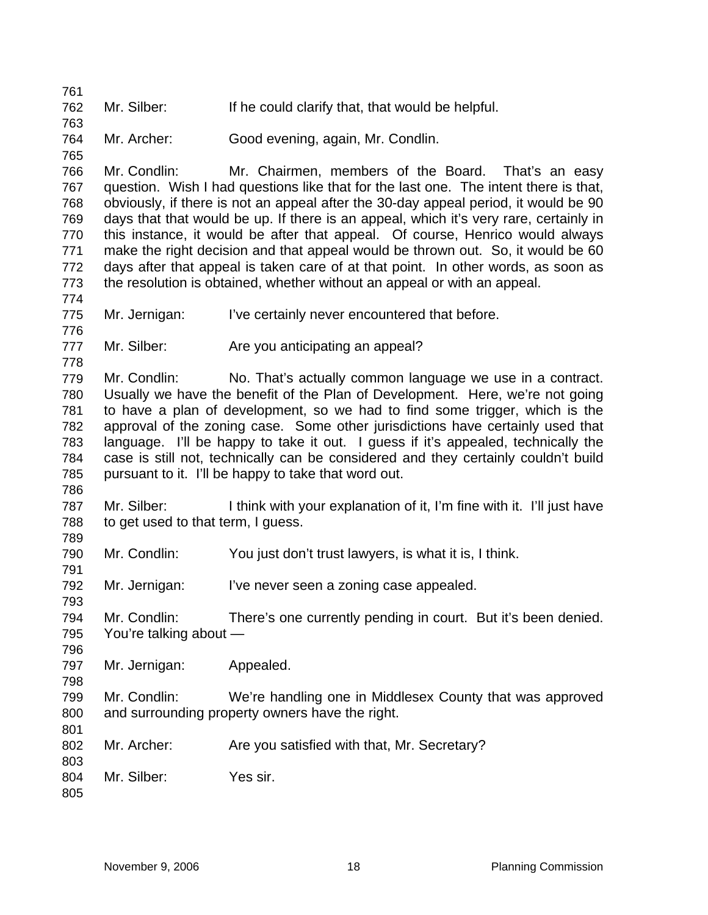762 Mr. Silber: If he could clarify that, that would be helpful.

764 Mr. Archer: Good evening, again, Mr. Condlin.

766 767 768 769 770 771 772 773 Mr. Condlin: Mr. Chairmen, members of the Board. That's an easy question. Wish I had questions like that for the last one. The intent there is that, obviously, if there is not an appeal after the 30-day appeal period, it would be 90 days that that would be up. If there is an appeal, which it's very rare, certainly in this instance, it would be after that appeal. Of course, Henrico would always make the right decision and that appeal would be thrown out. So, it would be 60 days after that appeal is taken care of at that point. In other words, as soon as the resolution is obtained, whether without an appeal or with an appeal.

775 Mr. Jernigan: I've certainly never encountered that before.

777 Mr. Silber: Are you anticipating an appeal?

779 780 781 782 783 784 785 Mr. Condlin: No. That's actually common language we use in a contract. Usually we have the benefit of the Plan of Development. Here, we're not going to have a plan of development, so we had to find some trigger, which is the approval of the zoning case. Some other jurisdictions have certainly used that language. I'll be happy to take it out. I guess if it's appealed, technically the case is still not, technically can be considered and they certainly couldn't build pursuant to it. I'll be happy to take that word out.

787 788 Mr. Silber: I think with your explanation of it, I'm fine with it. I'll just have to get used to that term, I guess.

790 Mr. Condlin: You just don't trust lawyers, is what it is, I think.

792 Mr. Jernigan: I've never seen a zoning case appealed.

794 795 Mr. Condlin: There's one currently pending in court. But it's been denied. You're talking about —

797 Mr. Jernigan: Appealed.

799 800 Mr. Condlin: We're handling one in Middlesex County that was approved and surrounding property owners have the right.

802 Mr. Archer: Are you satisfied with that, Mr. Secretary?

804 Mr. Silber: Yes sir.

805

761

763

765

774

776

778

786

789

791

793

796

798

801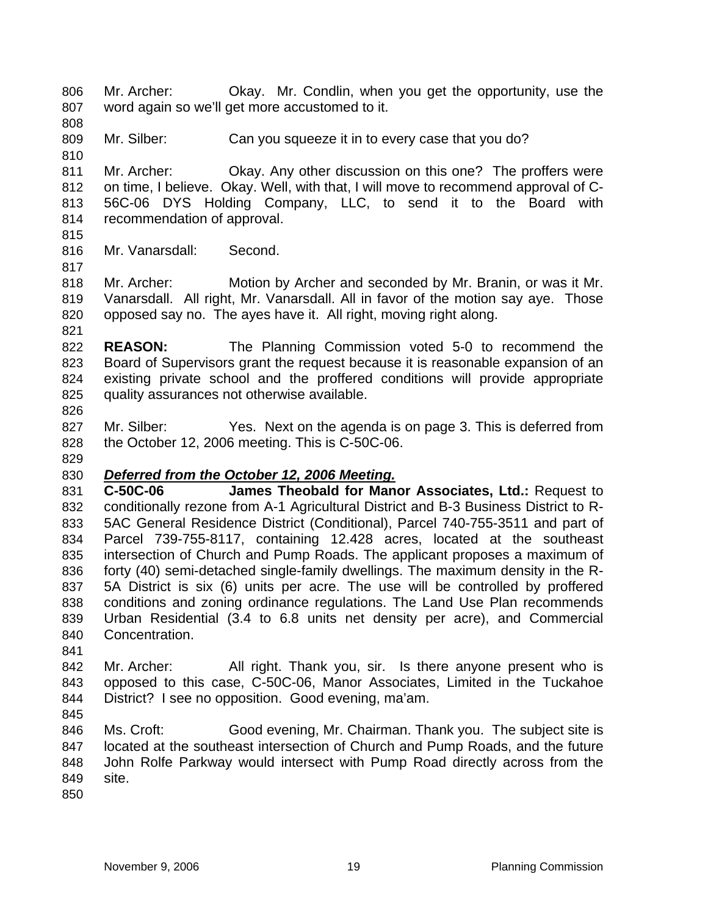Mr. Archer: Okay. Mr. Condlin, when you get the opportunity, use the word again so we'll get more accustomed to it. 806 807

809 Mr. Silber: Can you squeeze it in to every case that you do?

811 812 813 814 Mr. Archer: Okay. Any other discussion on this one? The proffers were on time, I believe. Okay. Well, with that, I will move to recommend approval of C-56C-06 DYS Holding Company, LLC, to send it to the Board with recommendation of approval.

815

808

810

816 Mr. Vanarsdall: Second.

817

821

818 819 820 Mr. Archer: Motion by Archer and seconded by Mr. Branin, or was it Mr. Vanarsdall. All right, Mr. Vanarsdall. All in favor of the motion say aye. Those opposed say no. The ayes have it. All right, moving right along.

822 823 824 825 826 **REASON:** The Planning Commission voted 5-0 to recommend the Board of Supervisors grant the request because it is reasonable expansion of an existing private school and the proffered conditions will provide appropriate quality assurances not otherwise available.

827 828 Mr. Silber: Yes. Next on the agenda is on page 3. This is deferred from the October 12, 2006 meeting. This is C-50C-06.

829

## 830 *Deferred from the October 12, 2006 Meeting.*

831 832 833 834 835 836 837 838 839 840 **C-50C-06 James Theobald for Manor Associates, Ltd.:** Request to conditionally rezone from A-1 Agricultural District and B-3 Business District to R-5AC General Residence District (Conditional), Parcel 740-755-3511 and part of Parcel 739-755-8117, containing 12.428 acres, located at the southeast intersection of Church and Pump Roads. The applicant proposes a maximum of forty (40) semi-detached single-family dwellings. The maximum density in the R-5A District is six (6) units per acre. The use will be controlled by proffered conditions and zoning ordinance regulations. The Land Use Plan recommends Urban Residential (3.4 to 6.8 units net density per acre), and Commercial Concentration.

841

842 843 844 Mr. Archer: All right. Thank you, sir. Is there anyone present who is opposed to this case, C-50C-06, Manor Associates, Limited in the Tuckahoe District? I see no opposition. Good evening, ma'am.

845

846 847 848 849 Ms. Croft: Good evening, Mr. Chairman. Thank you. The subject site is located at the southeast intersection of Church and Pump Roads, and the future John Rolfe Parkway would intersect with Pump Road directly across from the site.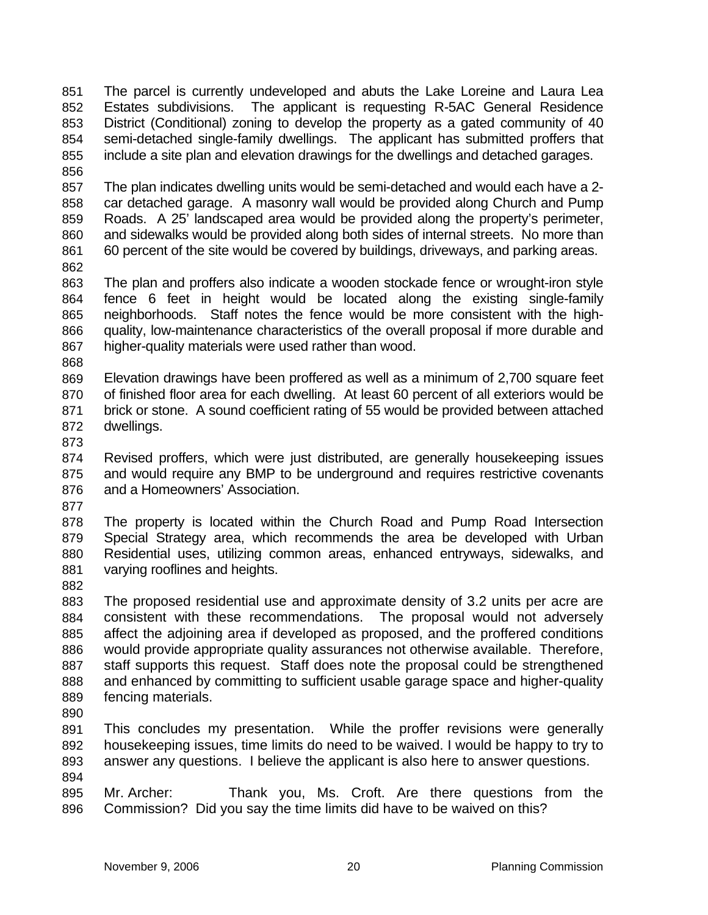The parcel is currently undeveloped and abuts the Lake Loreine and Laura Lea Estates subdivisions. The applicant is requesting R-5AC General Residence District (Conditional) zoning to develop the property as a gated community of 40 semi-detached single-family dwellings. The applicant has submitted proffers that include a site plan and elevation drawings for the dwellings and detached garages. 851 852 853 854 855 856

857 858 859 860 861 The plan indicates dwelling units would be semi-detached and would each have a 2 car detached garage. A masonry wall would be provided along Church and Pump Roads. A 25' landscaped area would be provided along the property's perimeter, and sidewalks would be provided along both sides of internal streets. No more than 60 percent of the site would be covered by buildings, driveways, and parking areas.

862

863 864 865 866 867 The plan and proffers also indicate a wooden stockade fence or wrought-iron style fence 6 feet in height would be located along the existing single-family neighborhoods. Staff notes the fence would be more consistent with the highquality, low-maintenance characteristics of the overall proposal if more durable and higher-quality materials were used rather than wood.

868

869 870 871 872 Elevation drawings have been proffered as well as a minimum of 2,700 square feet of finished floor area for each dwelling. At least 60 percent of all exteriors would be brick or stone. A sound coefficient rating of 55 would be provided between attached dwellings.

873

874 875 876 Revised proffers, which were just distributed, are generally housekeeping issues and would require any BMP to be underground and requires restrictive covenants and a Homeowners' Association.

877

878 879 880 881 The property is located within the Church Road and Pump Road Intersection Special Strategy area, which recommends the area be developed with Urban Residential uses, utilizing common areas, enhanced entryways, sidewalks, and varying rooflines and heights.

882

883 884 885 886 887 888 889 The proposed residential use and approximate density of 3.2 units per acre are consistent with these recommendations. The proposal would not adversely affect the adjoining area if developed as proposed, and the proffered conditions would provide appropriate quality assurances not otherwise available. Therefore, staff supports this request. Staff does note the proposal could be strengthened and enhanced by committing to sufficient usable garage space and higher-quality fencing materials.

890

891 892 893 894 This concludes my presentation. While the proffer revisions were generally housekeeping issues, time limits do need to be waived. I would be happy to try to answer any questions. I believe the applicant is also here to answer questions.

895 896 Mr. Archer: Thank you, Ms. Croft. Are there questions from the Commission? Did you say the time limits did have to be waived on this?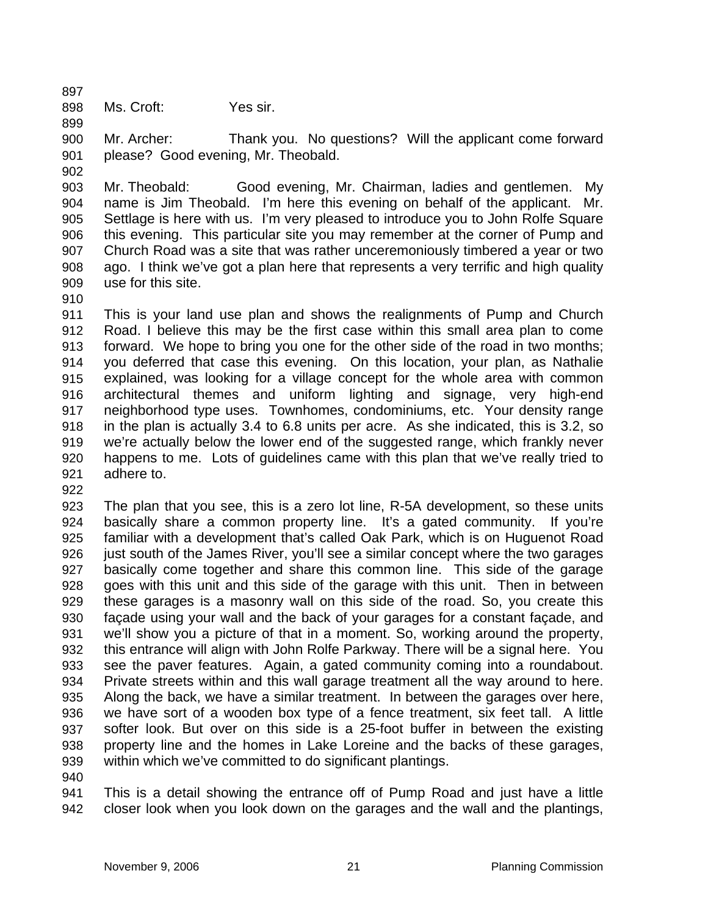897 898

899

Ms. Croft: Yes sir.

900 901 Mr. Archer: Thank you. No questions? Will the applicant come forward please? Good evening, Mr. Theobald.

902

903 904 905 906 907 908 909 Mr. Theobald: Good evening, Mr. Chairman, ladies and gentlemen. My name is Jim Theobald. I'm here this evening on behalf of the applicant. Mr. Settlage is here with us. I'm very pleased to introduce you to John Rolfe Square this evening. This particular site you may remember at the corner of Pump and Church Road was a site that was rather unceremoniously timbered a year or two ago. I think we've got a plan here that represents a very terrific and high quality use for this site.

910

911 912 913 914 915 916 917 918 919 920 921 This is your land use plan and shows the realignments of Pump and Church Road. I believe this may be the first case within this small area plan to come forward. We hope to bring you one for the other side of the road in two months; you deferred that case this evening. On this location, your plan, as Nathalie explained, was looking for a village concept for the whole area with common architectural themes and uniform lighting and signage, very high-end neighborhood type uses. Townhomes, condominiums, etc. Your density range in the plan is actually 3.4 to 6.8 units per acre. As she indicated, this is 3.2, so we're actually below the lower end of the suggested range, which frankly never happens to me. Lots of guidelines came with this plan that we've really tried to adhere to.

922

923 924 925 926 927 928 929 930 931 932 933 934 935 936 937 938 939 The plan that you see, this is a zero lot line, R-5A development, so these units basically share a common property line. It's a gated community. If you're familiar with a development that's called Oak Park, which is on Huguenot Road just south of the James River, you'll see a similar concept where the two garages basically come together and share this common line. This side of the garage goes with this unit and this side of the garage with this unit. Then in between these garages is a masonry wall on this side of the road. So, you create this façade using your wall and the back of your garages for a constant façade, and we'll show you a picture of that in a moment. So, working around the property, this entrance will align with John Rolfe Parkway. There will be a signal here. You see the paver features. Again, a gated community coming into a roundabout. Private streets within and this wall garage treatment all the way around to here. Along the back, we have a similar treatment. In between the garages over here, we have sort of a wooden box type of a fence treatment, six feet tall. A little softer look. But over on this side is a 25-foot buffer in between the existing property line and the homes in Lake Loreine and the backs of these garages, within which we've committed to do significant plantings.

940

941 942 This is a detail showing the entrance off of Pump Road and just have a little closer look when you look down on the garages and the wall and the plantings,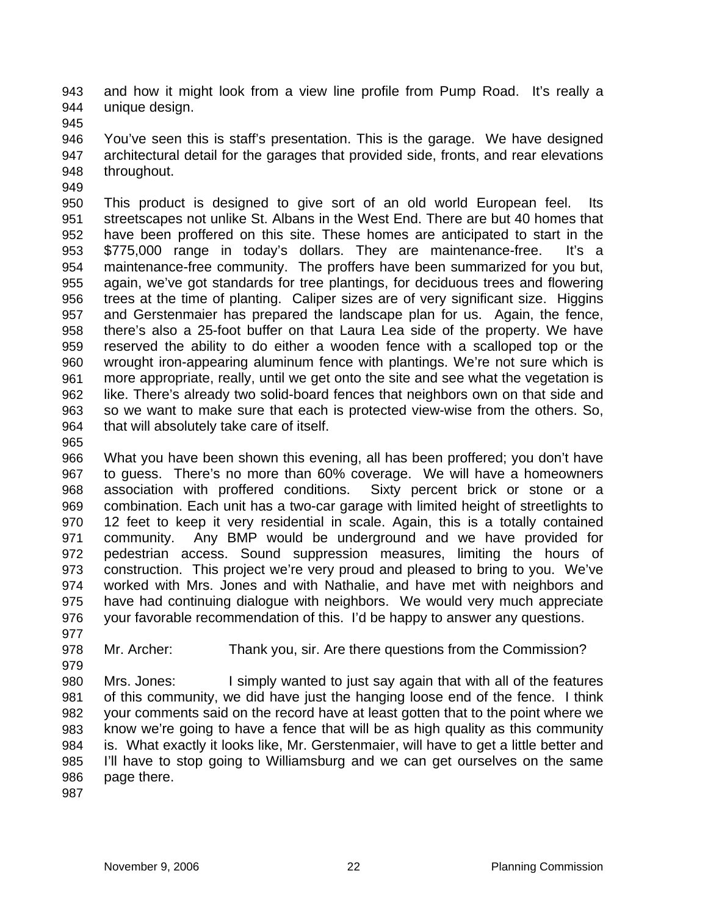and how it might look from a view line profile from Pump Road. It's really a unique design. 943 944

945

946 947 948 You've seen this is staff's presentation. This is the garage. We have designed architectural detail for the garages that provided side, fronts, and rear elevations throughout.

949

950 951 952 953 954 955 956 957 958 959 960 961 962 963 964 This product is designed to give sort of an old world European feel. Its streetscapes not unlike St. Albans in the West End. There are but 40 homes that have been proffered on this site. These homes are anticipated to start in the \$775,000 range in today's dollars. They are maintenance-free. It's a maintenance-free community. The proffers have been summarized for you but, again, we've got standards for tree plantings, for deciduous trees and flowering trees at the time of planting. Caliper sizes are of very significant size. Higgins and Gerstenmaier has prepared the landscape plan for us. Again, the fence, there's also a 25-foot buffer on that Laura Lea side of the property. We have reserved the ability to do either a wooden fence with a scalloped top or the wrought iron-appearing aluminum fence with plantings. We're not sure which is more appropriate, really, until we get onto the site and see what the vegetation is like. There's already two solid-board fences that neighbors own on that side and so we want to make sure that each is protected view-wise from the others. So, that will absolutely take care of itself.

965

966 967 968 969 970 971 972 973 974 975 976 What you have been shown this evening, all has been proffered; you don't have to guess. There's no more than 60% coverage. We will have a homeowners association with proffered conditions. Sixty percent brick or stone or a combination. Each unit has a two-car garage with limited height of streetlights to 12 feet to keep it very residential in scale. Again, this is a totally contained community. Any BMP would be underground and we have provided for pedestrian access. Sound suppression measures, limiting the hours of construction. This project we're very proud and pleased to bring to you. We've worked with Mrs. Jones and with Nathalie, and have met with neighbors and have had continuing dialogue with neighbors. We would very much appreciate your favorable recommendation of this. I'd be happy to answer any questions.

977

978 Mr. Archer: Thank you, sir. Are there questions from the Commission?

979 980

981 982 983 984 985 986 Mrs. Jones: I simply wanted to just say again that with all of the features of this community, we did have just the hanging loose end of the fence. I think your comments said on the record have at least gotten that to the point where we know we're going to have a fence that will be as high quality as this community is. What exactly it looks like, Mr. Gerstenmaier, will have to get a little better and I'll have to stop going to Williamsburg and we can get ourselves on the same page there.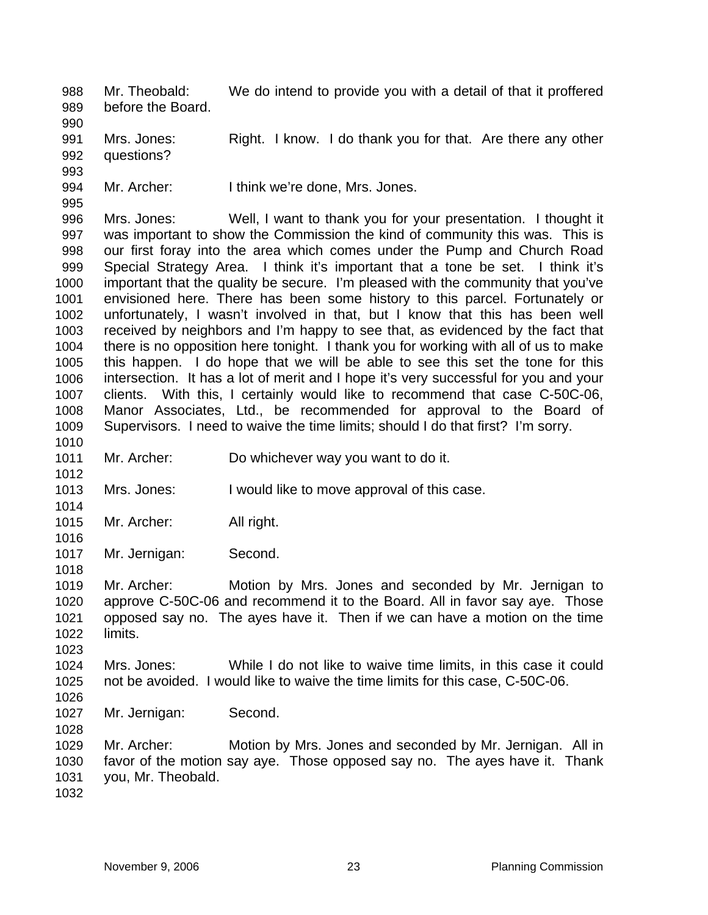Mr. Theobald: We do intend to provide you with a detail of that it proffered before the Board. 988 989

991 992 Mrs. Jones: Right. I know. I do thank you for that. Are there any other questions?

994 Mr. Archer: I think we're done, Mrs. Jones.

996 997 998 999 1000 1001 1002 1003 1004 1005 1006 1007 1008 1009 1010 Mrs. Jones: Well, I want to thank you for your presentation. I thought it was important to show the Commission the kind of community this was. This is our first foray into the area which comes under the Pump and Church Road Special Strategy Area. I think it's important that a tone be set. I think it's important that the quality be secure. I'm pleased with the community that you've envisioned here. There has been some history to this parcel. Fortunately or unfortunately, I wasn't involved in that, but I know that this has been well received by neighbors and I'm happy to see that, as evidenced by the fact that there is no opposition here tonight. I thank you for working with all of us to make this happen. I do hope that we will be able to see this set the tone for this intersection. It has a lot of merit and I hope it's very successful for you and your clients. With this, I certainly would like to recommend that case C-50C-06, Manor Associates, Ltd., be recommended for approval to the Board of Supervisors. I need to waive the time limits; should I do that first? I'm sorry.

1011 Mr. Archer: Do whichever way you want to do it.

1013 Mrs. Jones: I would like to move approval of this case.

1015 Mr. Archer: All right.

1017 Mr. Jernigan: Second.

1019 1020 1021 1022 Mr. Archer: Motion by Mrs. Jones and seconded by Mr. Jernigan to approve C-50C-06 and recommend it to the Board. All in favor say aye. Those opposed say no. The ayes have it. Then if we can have a motion on the time limits.

1024 1025 Mrs. Jones: While I do not like to waive time limits, in this case it could not be avoided. I would like to waive the time limits for this case, C-50C-06.

1026 1027

1028

1023

1012

1014

1016

1018

990

993

995

Mr. Jernigan: Second.

1029 1030 1031 Mr. Archer: Motion by Mrs. Jones and seconded by Mr. Jernigan. All in favor of the motion say aye. Those opposed say no. The ayes have it. Thank you, Mr. Theobald.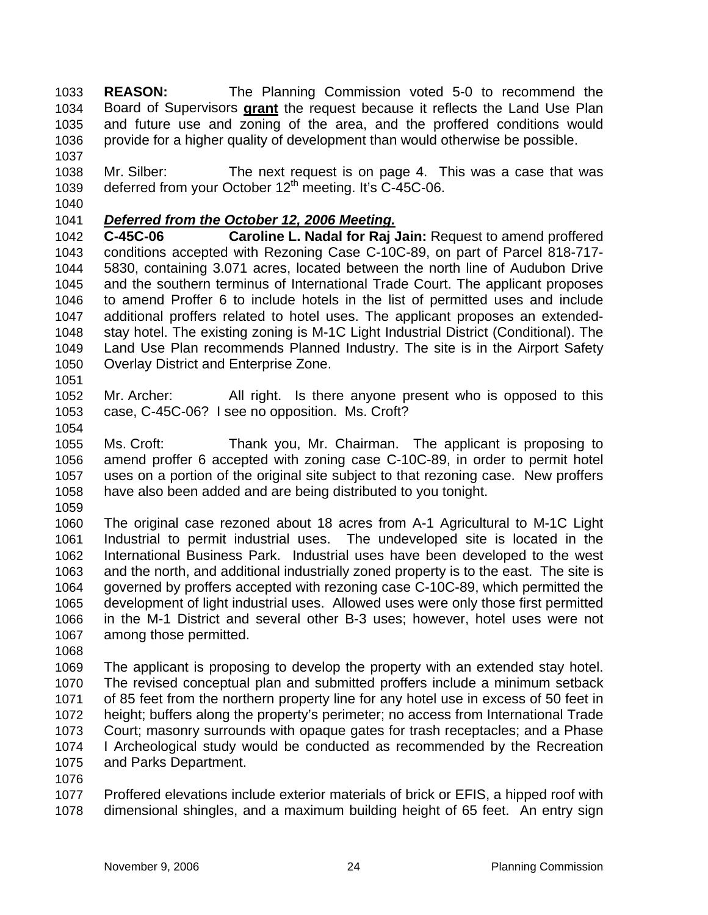**REASON:** The Planning Commission voted 5-0 to recommend the Board of Supervisors **grant** the request because it reflects the Land Use Plan 1033 and future use and zoning of the area, and the proffered conditions would provide for a higher quality of development than would otherwise be possible. 1034 1035 1036

1038 1039 Mr. Silber: The next request is on page 4. This was a case that was deferred from your October  $12<sup>th</sup>$  meeting. It's C-45C-06.

1040

1037

## 1041 *Deferred from the October 12, 2006 Meeting.*

1042 1043 1044 1045 1046 1047 1048 1049 1050 **C-45C-06 Caroline L. Nadal for Raj Jain:** Request to amend proffered conditions accepted with Rezoning Case C-10C-89, on part of Parcel 818-717- 5830, containing 3.071 acres, located between the north line of Audubon Drive and the southern terminus of International Trade Court. The applicant proposes to amend Proffer 6 to include hotels in the list of permitted uses and include additional proffers related to hotel uses. The applicant proposes an extendedstay hotel. The existing zoning is M-1C Light Industrial District (Conditional). The Land Use Plan recommends Planned Industry. The site is in the Airport Safety Overlay District and Enterprise Zone.

1052 1053 Mr. Archer: All right. Is there anyone present who is opposed to this case, C-45C-06? I see no opposition. Ms. Croft?

1054

1051

1055 1056 1057 1058 Ms. Croft: Thank you, Mr. Chairman. The applicant is proposing to amend proffer 6 accepted with zoning case C-10C-89, in order to permit hotel uses on a portion of the original site subject to that rezoning case. New proffers have also been added and are being distributed to you tonight.

1059

1060 1061 1062 1063 1064 1065 1066 1067 The original case rezoned about 18 acres from A-1 Agricultural to M-1C Light Industrial to permit industrial uses. The undeveloped site is located in the International Business Park. Industrial uses have been developed to the west and the north, and additional industrially zoned property is to the east. The site is governed by proffers accepted with rezoning case C-10C-89, which permitted the development of light industrial uses. Allowed uses were only those first permitted in the M-1 District and several other B-3 uses; however, hotel uses were not among those permitted.

1068

1069 1070 1071 1072 1073 1074 1075 The applicant is proposing to develop the property with an extended stay hotel. The revised conceptual plan and submitted proffers include a minimum setback of 85 feet from the northern property line for any hotel use in excess of 50 feet in height; buffers along the property's perimeter; no access from International Trade Court; masonry surrounds with opaque gates for trash receptacles; and a Phase I Archeological study would be conducted as recommended by the Recreation and Parks Department.

1076

1077 1078 Proffered elevations include exterior materials of brick or EFIS, a hipped roof with dimensional shingles, and a maximum building height of 65 feet. An entry sign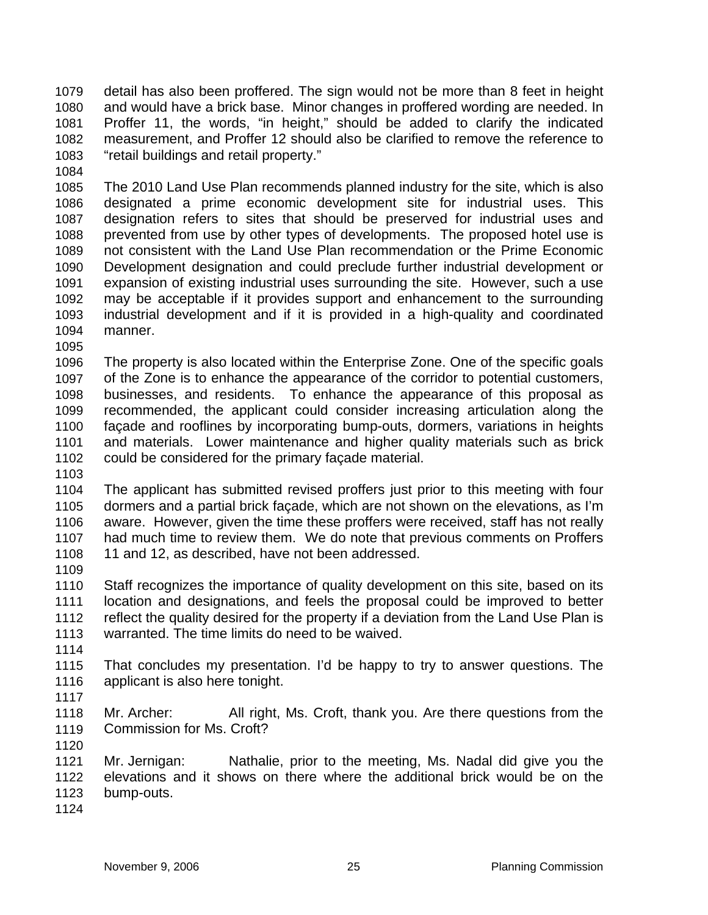detail has also been proffered. The sign would not be more than 8 feet in height and would have a brick base. Minor changes in proffered wording are needed. In Proffer 11, the words, "in height," should be added to clarify the indicated measurement, and Proffer 12 should also be clarified to remove the reference to "retail buildings and retail property." 1079 1080 1081 1082 1083

1084

1085 1086 1087 1088 1089 1090 1091 1092 1093 1094 The 2010 Land Use Plan recommends planned industry for the site, which is also designated a prime economic development site for industrial uses. This designation refers to sites that should be preserved for industrial uses and prevented from use by other types of developments. The proposed hotel use is not consistent with the Land Use Plan recommendation or the Prime Economic Development designation and could preclude further industrial development or expansion of existing industrial uses surrounding the site. However, such a use may be acceptable if it provides support and enhancement to the surrounding industrial development and if it is provided in a high-quality and coordinated manner.

1095

1096 1097 1098 1099 1100 1101 1102 The property is also located within the Enterprise Zone. One of the specific goals of the Zone is to enhance the appearance of the corridor to potential customers, businesses, and residents. To enhance the appearance of this proposal as recommended, the applicant could consider increasing articulation along the façade and rooflines by incorporating bump-outs, dormers, variations in heights and materials. Lower maintenance and higher quality materials such as brick could be considered for the primary façade material.

1103

1104 1105 1106 1107 1108 The applicant has submitted revised proffers just prior to this meeting with four dormers and a partial brick façade, which are not shown on the elevations, as I'm aware. However, given the time these proffers were received, staff has not really had much time to review them. We do note that previous comments on Proffers 11 and 12, as described, have not been addressed.

1109

1110 1111 1112 1113 Staff recognizes the importance of quality development on this site, based on its location and designations, and feels the proposal could be improved to better reflect the quality desired for the property if a deviation from the Land Use Plan is warranted. The time limits do need to be waived.

1114

1115 1116 That concludes my presentation. I'd be happy to try to answer questions. The applicant is also here tonight.

1117

1118 1119 Mr. Archer: All right, Ms. Croft, thank you. Are there questions from the Commission for Ms. Croft?

1120

1121 1122 1123 Mr. Jernigan: Nathalie, prior to the meeting, Ms. Nadal did give you the elevations and it shows on there where the additional brick would be on the bump-outs.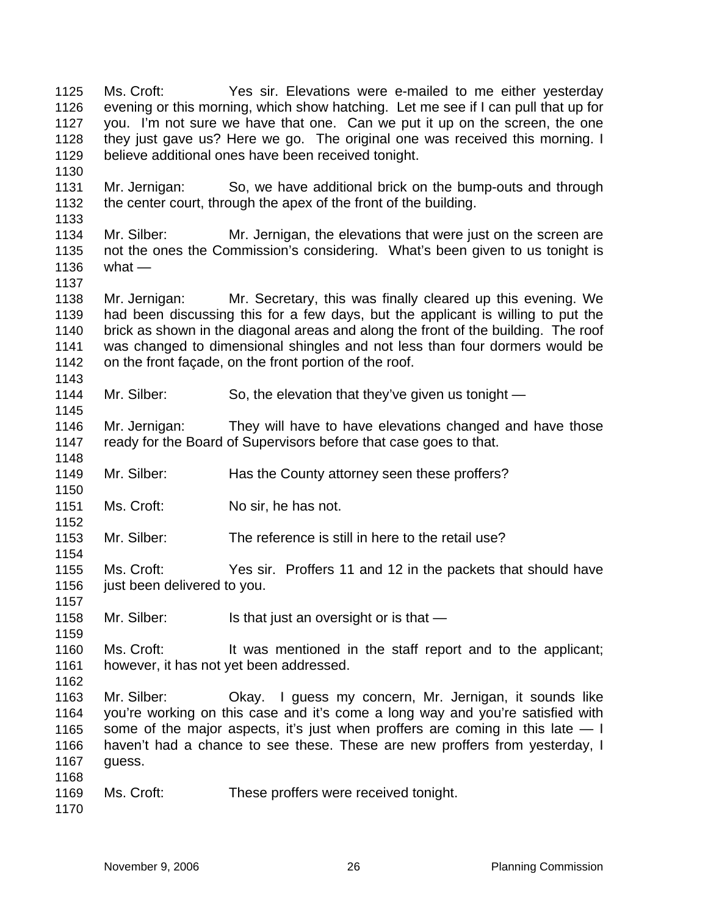Ms. Croft: Yes sir. Elevations were e-mailed to me either yesterday evening or this morning, which show hatching. Let me see if I can pull that up for you. I'm not sure we have that one. Can we put it up on the screen, the one they just gave us? Here we go. The original one was received this morning. I believe additional ones have been received tonight. 1125 1126 1127 1128 1129 1130 1131 1132 1133 1134 1135 1136 1137 1138 1139 1140 1141 1142 1143 1144 1145 1146 1147 1148 1149 1150 1151 1152 1153 1154 1155 1156 1157 1158 1159 1160 1161 1162 1163 1164 1165 1166 1167 1168 1169 1170 Mr. Jernigan: So, we have additional brick on the bump-outs and through the center court, through the apex of the front of the building. Mr. Silber: Mr. Jernigan, the elevations that were just on the screen are not the ones the Commission's considering. What's been given to us tonight is what — Mr. Jernigan: Mr. Secretary, this was finally cleared up this evening. We had been discussing this for a few days, but the applicant is willing to put the brick as shown in the diagonal areas and along the front of the building. The roof was changed to dimensional shingles and not less than four dormers would be on the front façade, on the front portion of the roof. Mr. Silber: So, the elevation that they've given us tonight — Mr. Jernigan: They will have to have elevations changed and have those ready for the Board of Supervisors before that case goes to that. Mr. Silber: Has the County attorney seen these proffers? Ms. Croft: No sir, he has not. Mr. Silber: The reference is still in here to the retail use? Ms. Croft: Yes sir. Proffers 11 and 12 in the packets that should have just been delivered to you. Mr. Silber: Is that just an oversight or is that — Ms. Croft: It was mentioned in the staff report and to the applicant; however, it has not yet been addressed. Mr. Silber: Okay. I guess my concern, Mr. Jernigan, it sounds like you're working on this case and it's come a long way and you're satisfied with some of the major aspects, it's just when proffers are coming in this late  $-1$ haven't had a chance to see these. These are new proffers from yesterday, I guess. Ms. Croft: These proffers were received tonight.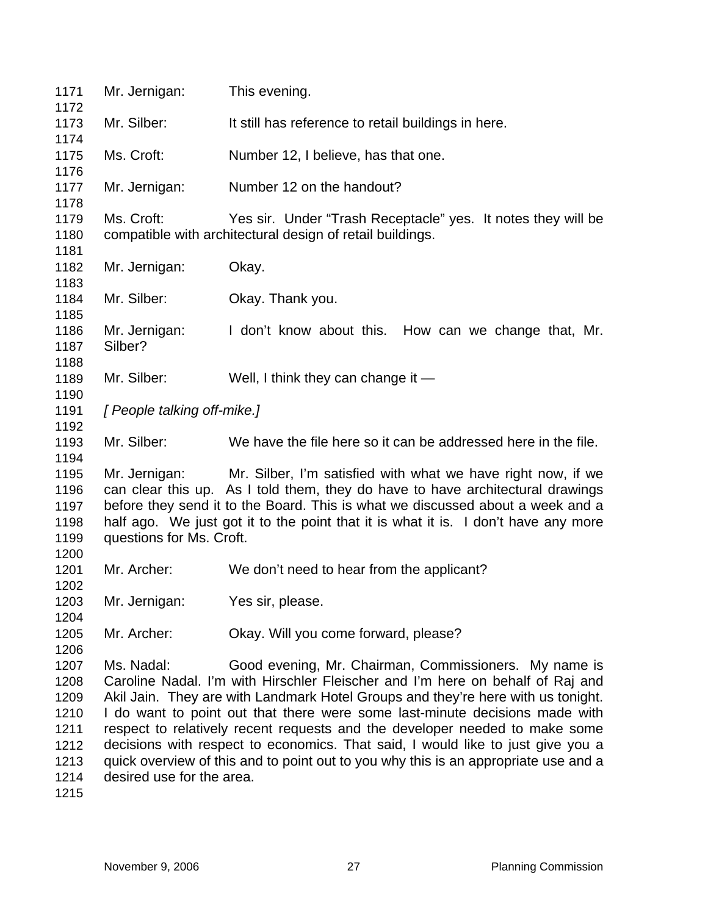| 1171<br>1172                                                         | Mr. Jernigan:                           | This evening.                                                                                                                                                                                                                                                                                                                                                                                                                                                                                                                                                       |
|----------------------------------------------------------------------|-----------------------------------------|---------------------------------------------------------------------------------------------------------------------------------------------------------------------------------------------------------------------------------------------------------------------------------------------------------------------------------------------------------------------------------------------------------------------------------------------------------------------------------------------------------------------------------------------------------------------|
| 1173                                                                 | Mr. Silber:                             | It still has reference to retail buildings in here.                                                                                                                                                                                                                                                                                                                                                                                                                                                                                                                 |
| 1174<br>1175                                                         | Ms. Croft:                              | Number 12, I believe, has that one.                                                                                                                                                                                                                                                                                                                                                                                                                                                                                                                                 |
| 1176<br>1177                                                         | Mr. Jernigan:                           | Number 12 on the handout?                                                                                                                                                                                                                                                                                                                                                                                                                                                                                                                                           |
| 1178<br>1179<br>1180                                                 | Ms. Croft:                              | Yes sir. Under "Trash Receptacle" yes. It notes they will be<br>compatible with architectural design of retail buildings.                                                                                                                                                                                                                                                                                                                                                                                                                                           |
| 1181<br>1182<br>1183                                                 | Mr. Jernigan:                           | Okay.                                                                                                                                                                                                                                                                                                                                                                                                                                                                                                                                                               |
| 1184<br>1185                                                         | Mr. Silber:                             | Okay. Thank you.                                                                                                                                                                                                                                                                                                                                                                                                                                                                                                                                                    |
| 1186<br>1187<br>1188                                                 | Mr. Jernigan:<br>Silber?                | I don't know about this. How can we change that, Mr.                                                                                                                                                                                                                                                                                                                                                                                                                                                                                                                |
| 1189<br>1190                                                         | Mr. Silber:                             | Well, I think they can change it $-$                                                                                                                                                                                                                                                                                                                                                                                                                                                                                                                                |
| 1191<br>1192                                                         | [ People talking off-mike.]             |                                                                                                                                                                                                                                                                                                                                                                                                                                                                                                                                                                     |
| 1193<br>1194                                                         | Mr. Silber:                             | We have the file here so it can be addressed here in the file.                                                                                                                                                                                                                                                                                                                                                                                                                                                                                                      |
| 1195<br>1196<br>1197<br>1198<br>1199                                 | questions for Ms. Croft.                | Mr. Jernigan: Mr. Silber, I'm satisfied with what we have right now, if we<br>can clear this up. As I told them, they do have to have architectural drawings<br>before they send it to the Board. This is what we discussed about a week and a<br>half ago. We just got it to the point that it is what it is. I don't have any more                                                                                                                                                                                                                                |
| 1200<br>1201<br>1202                                                 | Mr. Archer:                             | We don't need to hear from the applicant?                                                                                                                                                                                                                                                                                                                                                                                                                                                                                                                           |
| 1203<br>1204                                                         | Mr. Jernigan:                           | Yes sir, please.                                                                                                                                                                                                                                                                                                                                                                                                                                                                                                                                                    |
| 1205<br>1206                                                         | Mr. Archer:                             | Okay. Will you come forward, please?                                                                                                                                                                                                                                                                                                                                                                                                                                                                                                                                |
| 1207<br>1208<br>1209<br>1210<br>1211<br>1212<br>1213<br>1214<br>1215 | Ms. Nadal:<br>desired use for the area. | Good evening, Mr. Chairman, Commissioners. My name is<br>Caroline Nadal. I'm with Hirschler Fleischer and I'm here on behalf of Raj and<br>Akil Jain. They are with Landmark Hotel Groups and they're here with us tonight.<br>I do want to point out that there were some last-minute decisions made with<br>respect to relatively recent requests and the developer needed to make some<br>decisions with respect to economics. That said, I would like to just give you a<br>quick overview of this and to point out to you why this is an appropriate use and a |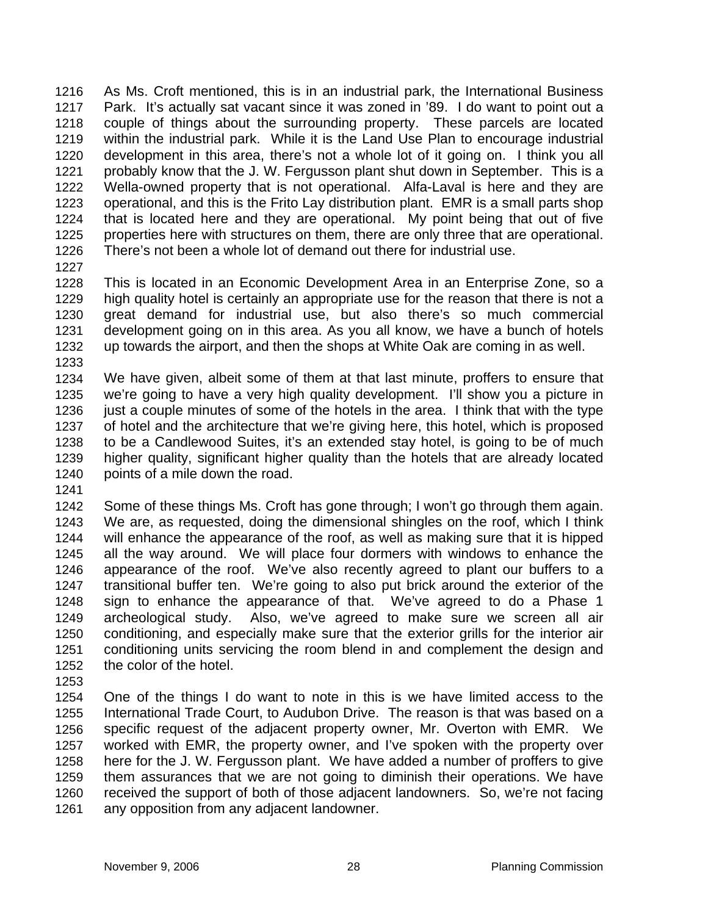As Ms. Croft mentioned, this is in an industrial park, the International Business Park. It's actually sat vacant since it was zoned in '89. I do want to point out a couple of things about the surrounding property. These parcels are located within the industrial park. While it is the Land Use Plan to encourage industrial development in this area, there's not a whole lot of it going on. I think you all probably know that the J. W. Fergusson plant shut down in September. This is a Wella-owned property that is not operational. Alfa-Laval is here and they are operational, and this is the Frito Lay distribution plant. EMR is a small parts shop that is located here and they are operational. My point being that out of five properties here with structures on them, there are only three that are operational. There's not been a whole lot of demand out there for industrial use. 1216 1217 1218 1219 1220 1221 1222 1223 1224 1225 1226

1227

1228 1229 1230 1231 1232 1233 This is located in an Economic Development Area in an Enterprise Zone, so a high quality hotel is certainly an appropriate use for the reason that there is not a great demand for industrial use, but also there's so much commercial development going on in this area. As you all know, we have a bunch of hotels up towards the airport, and then the shops at White Oak are coming in as well.

1234 1235 1236 1237 1238 1239 1240 We have given, albeit some of them at that last minute, proffers to ensure that we're going to have a very high quality development. I'll show you a picture in just a couple minutes of some of the hotels in the area. I think that with the type of hotel and the architecture that we're giving here, this hotel, which is proposed to be a Candlewood Suites, it's an extended stay hotel, is going to be of much higher quality, significant higher quality than the hotels that are already located points of a mile down the road.

1241

1242 1243 1244 1245 1246 1247 1248 1249 1250 1251 1252 Some of these things Ms. Croft has gone through; I won't go through them again. We are, as requested, doing the dimensional shingles on the roof, which I think will enhance the appearance of the roof, as well as making sure that it is hipped all the way around. We will place four dormers with windows to enhance the appearance of the roof. We've also recently agreed to plant our buffers to a transitional buffer ten. We're going to also put brick around the exterior of the sign to enhance the appearance of that. We've agreed to do a Phase 1 archeological study. Also, we've agreed to make sure we screen all air conditioning, and especially make sure that the exterior grills for the interior air conditioning units servicing the room blend in and complement the design and the color of the hotel.

1253

1254 1255 1256 1257 1258 1259 1260 1261 One of the things I do want to note in this is we have limited access to the International Trade Court, to Audubon Drive. The reason is that was based on a specific request of the adjacent property owner, Mr. Overton with EMR. We worked with EMR, the property owner, and I've spoken with the property over here for the J. W. Fergusson plant. We have added a number of proffers to give them assurances that we are not going to diminish their operations. We have received the support of both of those adjacent landowners. So, we're not facing any opposition from any adjacent landowner.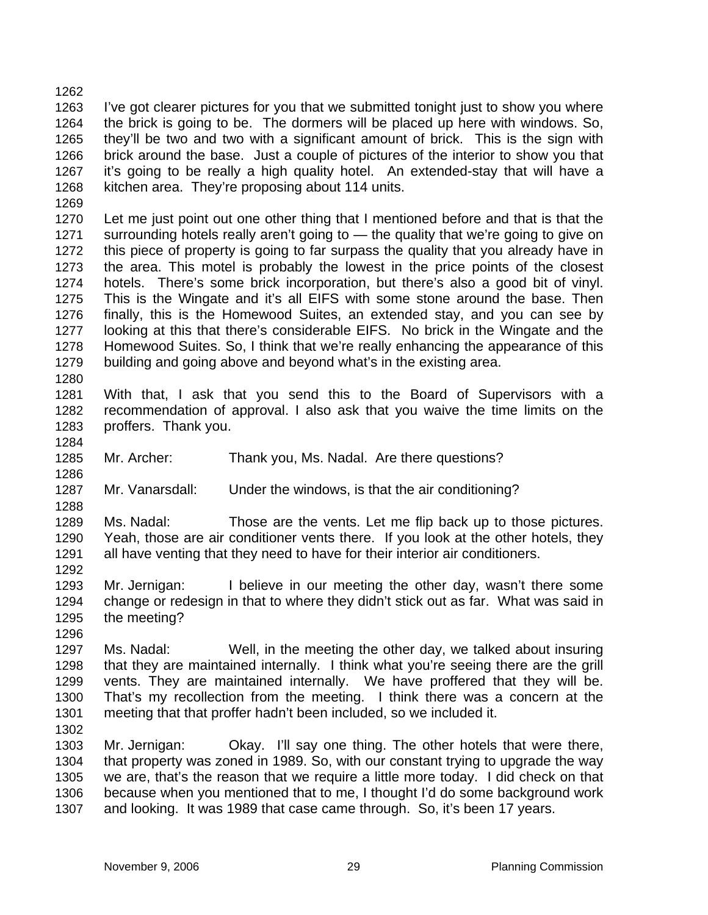1263 1264 1265 1266 1267 1268 I've got clearer pictures for you that we submitted tonight just to show you where the brick is going to be. The dormers will be placed up here with windows. So, they'll be two and two with a significant amount of brick. This is the sign with brick around the base. Just a couple of pictures of the interior to show you that it's going to be really a high quality hotel. An extended-stay that will have a kitchen area. They're proposing about 114 units.

1269

1262

1270 1271 1272 1273 1274 1275 1276 1277 1278 1279 Let me just point out one other thing that I mentioned before and that is that the surrounding hotels really aren't going to — the quality that we're going to give on this piece of property is going to far surpass the quality that you already have in the area. This motel is probably the lowest in the price points of the closest hotels. There's some brick incorporation, but there's also a good bit of vinyl. This is the Wingate and it's all EIFS with some stone around the base. Then finally, this is the Homewood Suites, an extended stay, and you can see by looking at this that there's considerable EIFS. No brick in the Wingate and the Homewood Suites. So, I think that we're really enhancing the appearance of this building and going above and beyond what's in the existing area.

- 1281 1282 1283 With that, I ask that you send this to the Board of Supervisors with a recommendation of approval. I also ask that you waive the time limits on the proffers. Thank you.
- 1284

1286

1288

1292

1280

- 1285 Mr. Archer: Thank you, Ms. Nadal. Are there questions?
- 1287 Mr. Vanarsdall: Under the windows, is that the air conditioning?

1289 1290 1291 Ms. Nadal: Those are the vents. Let me flip back up to those pictures. Yeah, those are air conditioner vents there. If you look at the other hotels, they all have venting that they need to have for their interior air conditioners.

- 1293 1294 1295 Mr. Jernigan: I believe in our meeting the other day, wasn't there some change or redesign in that to where they didn't stick out as far. What was said in the meeting?
- 1296

1297 1298 1299 1300 1301 Ms. Nadal: Well, in the meeting the other day, we talked about insuring that they are maintained internally. I think what you're seeing there are the grill vents. They are maintained internally. We have proffered that they will be. That's my recollection from the meeting. I think there was a concern at the meeting that that proffer hadn't been included, so we included it.

1302

1303 1304 1305 1306 1307 Mr. Jernigan: Okay. I'll say one thing. The other hotels that were there, that property was zoned in 1989. So, with our constant trying to upgrade the way we are, that's the reason that we require a little more today. I did check on that because when you mentioned that to me, I thought I'd do some background work and looking. It was 1989 that case came through. So, it's been 17 years.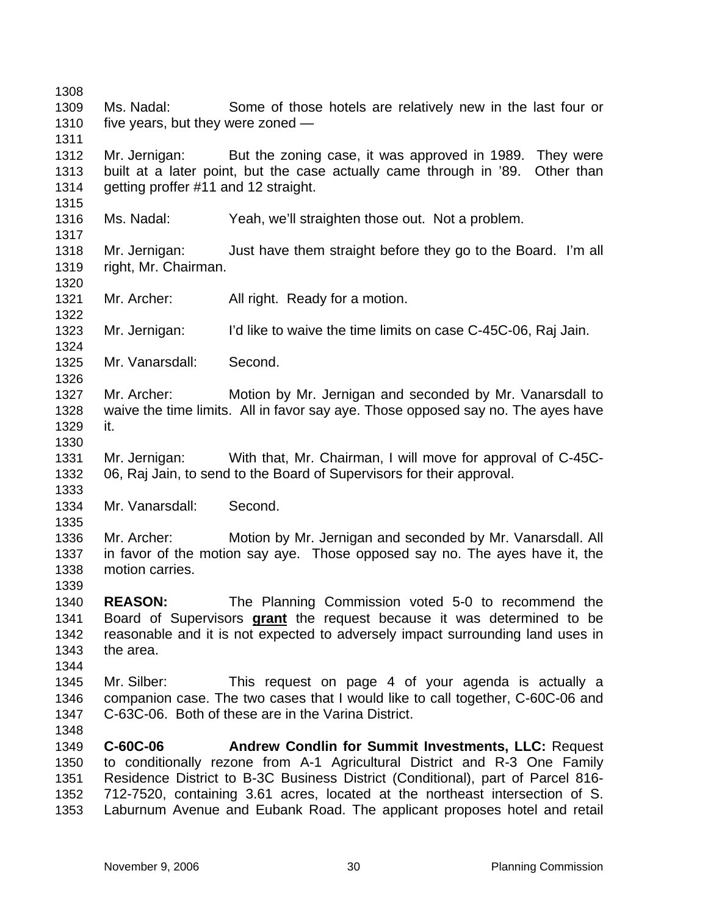1308 1309 1310 1311 1312 1313 1314 1315 1316 1317 1318 1319 1320 1321 1322 1323 1324 1325 1326 1327 1328 1329 1330 1331 1332 1333 1334 1335 1336 1337 1338 1339 1340 Ms. Nadal: Some of those hotels are relatively new in the last four or five years, but they were zoned — Mr. Jernigan: But the zoning case, it was approved in 1989. They were built at a later point, but the case actually came through in '89. Other than getting proffer #11 and 12 straight. Ms. Nadal: Yeah, we'll straighten those out. Not a problem. Mr. Jernigan: Just have them straight before they go to the Board. I'm all right, Mr. Chairman. Mr. Archer: All right. Ready for a motion. Mr. Jernigan: I'd like to waive the time limits on case C-45C-06, Raj Jain. Mr. Vanarsdall: Second. Mr. Archer: Motion by Mr. Jernigan and seconded by Mr. Vanarsdall to waive the time limits. All in favor say aye. Those opposed say no. The ayes have it. Mr. Jernigan: With that, Mr. Chairman, I will move for approval of C-45C-06, Raj Jain, to send to the Board of Supervisors for their approval. Mr. Vanarsdall: Second. Mr. Archer: Motion by Mr. Jernigan and seconded by Mr. Vanarsdall. All in favor of the motion say aye. Those opposed say no. The ayes have it, the motion carries. **REASON:** The Planning Commission voted 5-0 to recommend the Board of Supervisors **grant** the request because it was determined to be reasonable and it is not expected to adversely impact surrounding land uses in the area. 1341 1342 1343 1344 1345 1346 1347 1348 1349 1350 1351 1352 1353 Mr. Silber: This request on page 4 of your agenda is actually a companion case. The two cases that I would like to call together, C-60C-06 and C-63C-06. Both of these are in the Varina District. **C-60C-06 Andrew Condlin for Summit Investments, LLC:** Request to conditionally rezone from A-1 Agricultural District and R-3 One Family Residence District to B-3C Business District (Conditional), part of Parcel 816- 712-7520, containing 3.61 acres, located at the northeast intersection of S. Laburnum Avenue and Eubank Road. The applicant proposes hotel and retail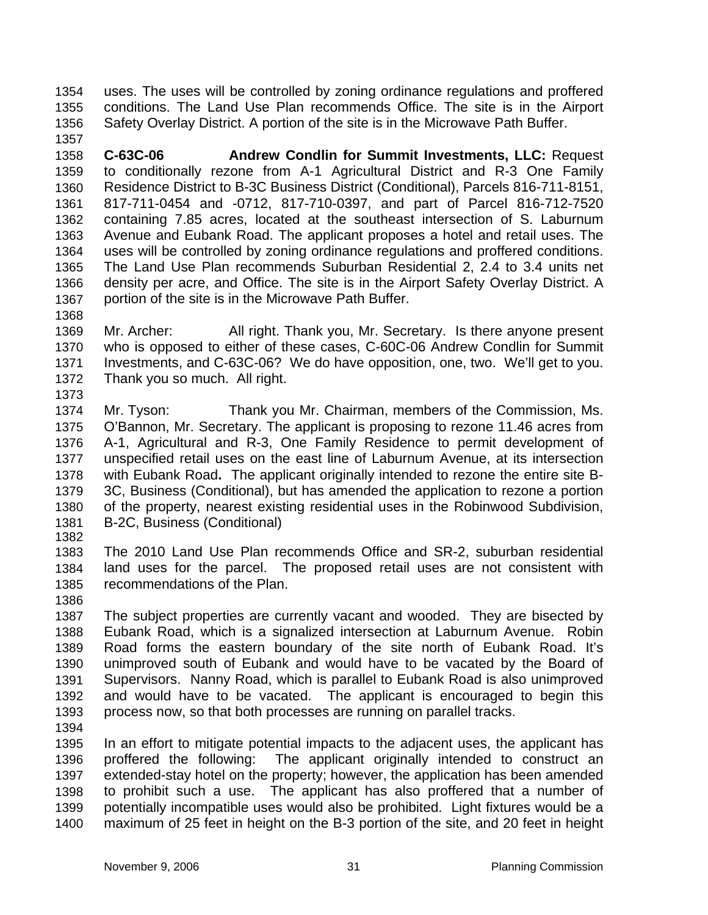uses. The uses will be controlled by zoning ordinance regulations and proffered conditions. The Land Use Plan recommends Office. The site is in the Airport Safety Overlay District. A portion of the site is in the Microwave Path Buffer. 1354 1355 1356

1358 1359 1360 1361 1362 1363 1364 1365 1366 1367 **C-63C-06 Andrew Condlin for Summit Investments, LLC:** Request to conditionally rezone from A-1 Agricultural District and R-3 One Family Residence District to B-3C Business District (Conditional), Parcels 816-711-8151, 817-711-0454 and -0712, 817-710-0397, and part of Parcel 816-712-7520 containing 7.85 acres, located at the southeast intersection of S. Laburnum Avenue and Eubank Road. The applicant proposes a hotel and retail uses. The uses will be controlled by zoning ordinance regulations and proffered conditions. The Land Use Plan recommends Suburban Residential 2, 2.4 to 3.4 units net density per acre, and Office. The site is in the Airport Safety Overlay District. A portion of the site is in the Microwave Path Buffer.

1368

1357

1369 1370 1371 1372 1373 Mr. Archer: All right. Thank you, Mr. Secretary. Is there anyone present who is opposed to either of these cases, C-60C-06 Andrew Condlin for Summit Investments, and C-63C-06? We do have opposition, one, two. We'll get to you. Thank you so much. All right.

- 1374 1375 1376 1377 1378 1379 1380 1381 Mr. Tyson: Thank you Mr. Chairman, members of the Commission, Ms. O'Bannon, Mr. Secretary. The applicant is proposing to rezone 11.46 acres from A-1, Agricultural and R-3, One Family Residence to permit development of unspecified retail uses on the east line of Laburnum Avenue, at its intersection with Eubank Road**.** The applicant originally intended to rezone the entire site B-3C, Business (Conditional), but has amended the application to rezone a portion of the property, nearest existing residential uses in the Robinwood Subdivision, B-2C, Business (Conditional)
- 1382
- 1383 1384 1385 The 2010 Land Use Plan recommends Office and SR-2, suburban residential land uses for the parcel. The proposed retail uses are not consistent with recommendations of the Plan.
- 1386

1387 1388 1389 1390 1391 1392 1393 1394 The subject properties are currently vacant and wooded. They are bisected by Eubank Road, which is a signalized intersection at Laburnum Avenue. Robin Road forms the eastern boundary of the site north of Eubank Road. It's unimproved south of Eubank and would have to be vacated by the Board of Supervisors. Nanny Road, which is parallel to Eubank Road is also unimproved and would have to be vacated. The applicant is encouraged to begin this process now, so that both processes are running on parallel tracks.

1395 1396 1397 1398 1399 1400 In an effort to mitigate potential impacts to the adjacent uses, the applicant has proffered the following: The applicant originally intended to construct an extended-stay hotel on the property; however, the application has been amended to prohibit such a use. The applicant has also proffered that a number of potentially incompatible uses would also be prohibited. Light fixtures would be a maximum of 25 feet in height on the B-3 portion of the site, and 20 feet in height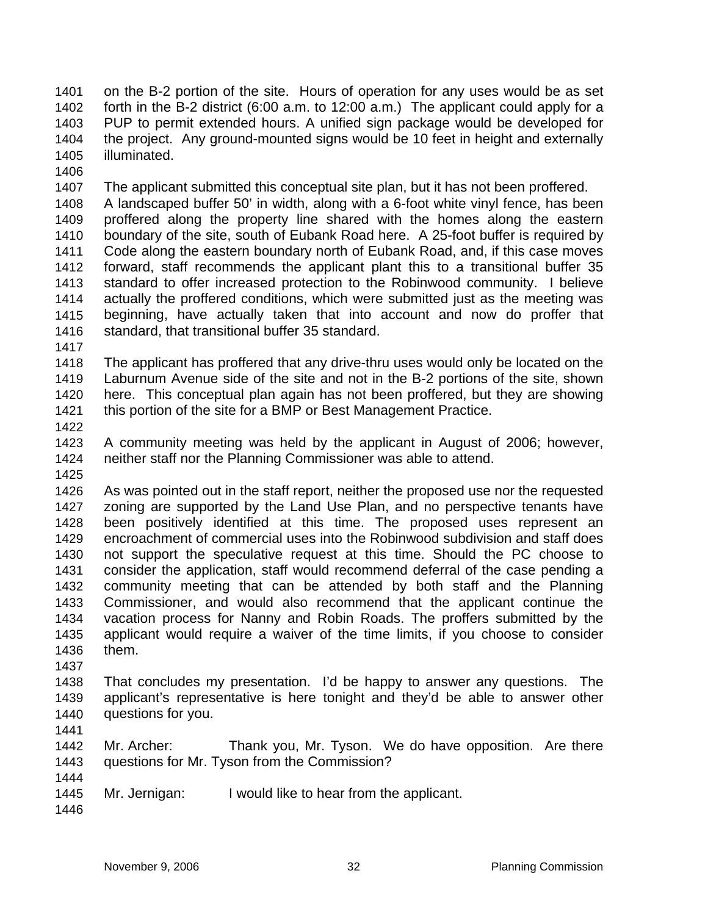on the B-2 portion of the site. Hours of operation for any uses would be as set forth in the B-2 district (6:00 a.m. to 12:00 a.m.) The applicant could apply for a PUP to permit extended hours. A unified sign package would be developed for the project. Any ground-mounted signs would be 10 feet in height and externally illuminated. 1401 1402 1403 1404 1405

1406

1407 1408 1409 1410 1411 1412 1413 1414 1415 1416 The applicant submitted this conceptual site plan, but it has not been proffered. A landscaped buffer 50' in width, along with a 6-foot white vinyl fence, has been proffered along the property line shared with the homes along the eastern boundary of the site, south of Eubank Road here. A 25-foot buffer is required by Code along the eastern boundary north of Eubank Road, and, if this case moves forward, staff recommends the applicant plant this to a transitional buffer 35 standard to offer increased protection to the Robinwood community. I believe actually the proffered conditions, which were submitted just as the meeting was beginning, have actually taken that into account and now do proffer that standard, that transitional buffer 35 standard.

1417

1418 1419 1420 1421 The applicant has proffered that any drive-thru uses would only be located on the Laburnum Avenue side of the site and not in the B-2 portions of the site, shown here. This conceptual plan again has not been proffered, but they are showing this portion of the site for a BMP or Best Management Practice.

1422

1423 1424 A community meeting was held by the applicant in August of 2006; however, neither staff nor the Planning Commissioner was able to attend.

1425

1426 1427 1428 1429 1430 1431 1432 1433 1434 1435 1436 As was pointed out in the staff report, neither the proposed use nor the requested zoning are supported by the Land Use Plan, and no perspective tenants have been positively identified at this time. The proposed uses represent an encroachment of commercial uses into the Robinwood subdivision and staff does not support the speculative request at this time. Should the PC choose to consider the application, staff would recommend deferral of the case pending a community meeting that can be attended by both staff and the Planning Commissioner, and would also recommend that the applicant continue the vacation process for Nanny and Robin Roads. The proffers submitted by the applicant would require a waiver of the time limits, if you choose to consider them.

1437

1438 1439 1440 That concludes my presentation. I'd be happy to answer any questions. The applicant's representative is here tonight and they'd be able to answer other questions for you.

1441

1442 1443 Mr. Archer: Thank you, Mr. Tyson. We do have opposition. Are there questions for Mr. Tyson from the Commission?

- 1445 Mr. Jernigan: I would like to hear from the applicant.
- 1446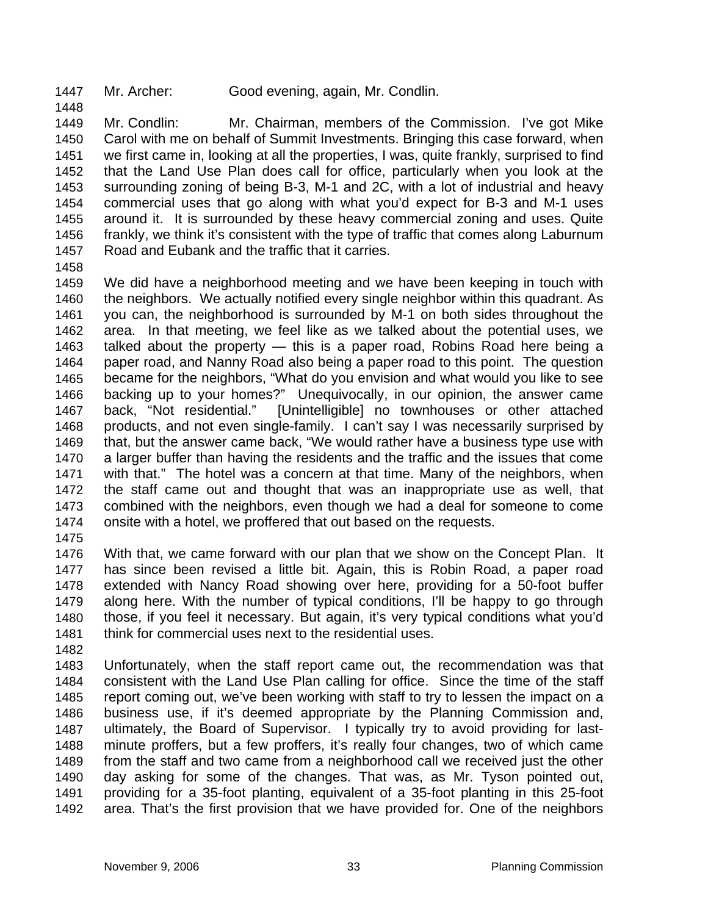1447 Mr. Archer: Good evening, again, Mr. Condlin.

1449 1450 1451 1452 1453 1454 1455 1456 1457 Mr. Condlin: Mr. Chairman, members of the Commission. I've got Mike Carol with me on behalf of Summit Investments. Bringing this case forward, when we first came in, looking at all the properties, I was, quite frankly, surprised to find that the Land Use Plan does call for office, particularly when you look at the surrounding zoning of being B-3, M-1 and 2C, with a lot of industrial and heavy commercial uses that go along with what you'd expect for B-3 and M-1 uses around it. It is surrounded by these heavy commercial zoning and uses. Quite frankly, we think it's consistent with the type of traffic that comes along Laburnum Road and Eubank and the traffic that it carries.

1458

1448

1459 1460 1461 1462 1463 1464 1465 1466 1467 1468 1469 1470 1471 1472 1473 1474 We did have a neighborhood meeting and we have been keeping in touch with the neighbors. We actually notified every single neighbor within this quadrant. As you can, the neighborhood is surrounded by M-1 on both sides throughout the area. In that meeting, we feel like as we talked about the potential uses, we talked about the property — this is a paper road, Robins Road here being a paper road, and Nanny Road also being a paper road to this point. The question became for the neighbors, "What do you envision and what would you like to see backing up to your homes?" Unequivocally, in our opinion, the answer came back, "Not residential." [Unintelligible] no townhouses or other attached products, and not even single-family. I can't say I was necessarily surprised by that, but the answer came back, "We would rather have a business type use with a larger buffer than having the residents and the traffic and the issues that come with that." The hotel was a concern at that time. Many of the neighbors, when the staff came out and thought that was an inappropriate use as well, that combined with the neighbors, even though we had a deal for someone to come onsite with a hotel, we proffered that out based on the requests.

1475

1476 1477 1478 1479 1480 1481 With that, we came forward with our plan that we show on the Concept Plan. It has since been revised a little bit. Again, this is Robin Road, a paper road extended with Nancy Road showing over here, providing for a 50-foot buffer along here. With the number of typical conditions, I'll be happy to go through those, if you feel it necessary. But again, it's very typical conditions what you'd think for commercial uses next to the residential uses.

1482

1483 1484 1485 1486 1487 1488 1489 1490 1491 1492 Unfortunately, when the staff report came out, the recommendation was that consistent with the Land Use Plan calling for office. Since the time of the staff report coming out, we've been working with staff to try to lessen the impact on a business use, if it's deemed appropriate by the Planning Commission and, ultimately, the Board of Supervisor. I typically try to avoid providing for lastminute proffers, but a few proffers, it's really four changes, two of which came from the staff and two came from a neighborhood call we received just the other day asking for some of the changes. That was, as Mr. Tyson pointed out, providing for a 35-foot planting, equivalent of a 35-foot planting in this 25-foot area. That's the first provision that we have provided for. One of the neighbors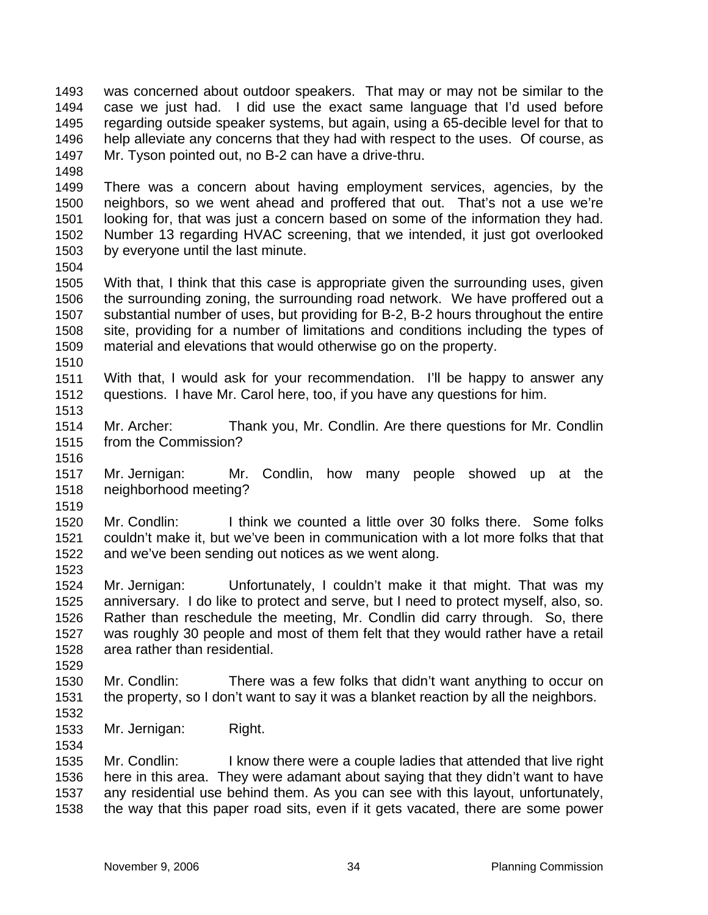was concerned about outdoor speakers. That may or may not be similar to the case we just had. I did use the exact same language that I'd used before regarding outside speaker systems, but again, using a 65-decible level for that to help alleviate any concerns that they had with respect to the uses. Of course, as Mr. Tyson pointed out, no B-2 can have a drive-thru. 1493 1494 1495 1496 1497

1498

1499 1500 1501 1502 1503 There was a concern about having employment services, agencies, by the neighbors, so we went ahead and proffered that out. That's not a use we're looking for, that was just a concern based on some of the information they had. Number 13 regarding HVAC screening, that we intended, it just got overlooked by everyone until the last minute.

1504

1505 1506 1507 1508 1509 1510 With that, I think that this case is appropriate given the surrounding uses, given the surrounding zoning, the surrounding road network. We have proffered out a substantial number of uses, but providing for B-2, B-2 hours throughout the entire site, providing for a number of limitations and conditions including the types of material and elevations that would otherwise go on the property.

1511 1512 With that, I would ask for your recommendation. I'll be happy to answer any questions. I have Mr. Carol here, too, if you have any questions for him.

1514 1515 Mr. Archer: Thank you, Mr. Condlin. Are there questions for Mr. Condlin from the Commission?

1516

1519

1523

1513

1517 1518 Mr. Jernigan: Mr. Condlin, how many people showed up at the neighborhood meeting?

1520 1521 1522 Mr. Condlin: I think we counted a little over 30 folks there. Some folks couldn't make it, but we've been in communication with a lot more folks that that and we've been sending out notices as we went along.

1524 1525 1526 1527 1528 Mr. Jernigan: Unfortunately, I couldn't make it that might. That was my anniversary. I do like to protect and serve, but I need to protect myself, also, so. Rather than reschedule the meeting, Mr. Condlin did carry through. So, there was roughly 30 people and most of them felt that they would rather have a retail area rather than residential.

1530 1531 Mr. Condlin: There was a few folks that didn't want anything to occur on the property, so I don't want to say it was a blanket reaction by all the neighbors.

1532 1533

1534

1529

Mr. Jernigan: Right.

1535 1536 1537 1538 Mr. Condlin: I know there were a couple ladies that attended that live right here in this area. They were adamant about saying that they didn't want to have any residential use behind them. As you can see with this layout, unfortunately, the way that this paper road sits, even if it gets vacated, there are some power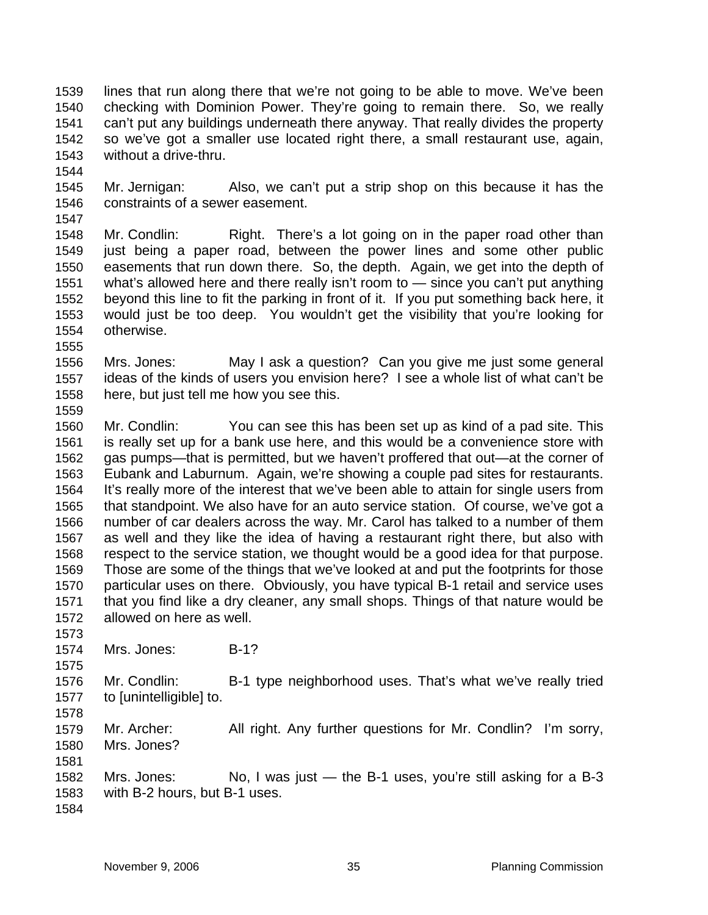lines that run along there that we're not going to be able to move. We've been checking with Dominion Power. They're going to remain there. So, we really can't put any buildings underneath there anyway. That really divides the property so we've got a smaller use located right there, a small restaurant use, again, without a drive-thru. 1539 1540 1541 1542 1543

1544

1547

1555

1559

1545 1546 Mr. Jernigan: Also, we can't put a strip shop on this because it has the constraints of a sewer easement.

1548 1549 1550 1551 1552 1553 1554 Mr. Condlin: Right. There's a lot going on in the paper road other than just being a paper road, between the power lines and some other public easements that run down there. So, the depth. Again, we get into the depth of what's allowed here and there really isn't room to — since you can't put anything beyond this line to fit the parking in front of it. If you put something back here, it would just be too deep. You wouldn't get the visibility that you're looking for otherwise.

1556 1557 1558 Mrs. Jones: May I ask a question? Can you give me just some general ideas of the kinds of users you envision here? I see a whole list of what can't be here, but just tell me how you see this.

1560 1561 1562 1563 1564 1565 1566 1567 1568 1569 1570 1571 1572 Mr. Condlin: You can see this has been set up as kind of a pad site. This is really set up for a bank use here, and this would be a convenience store with gas pumps—that is permitted, but we haven't proffered that out—at the corner of Eubank and Laburnum. Again, we're showing a couple pad sites for restaurants. It's really more of the interest that we've been able to attain for single users from that standpoint. We also have for an auto service station. Of course, we've got a number of car dealers across the way. Mr. Carol has talked to a number of them as well and they like the idea of having a restaurant right there, but also with respect to the service station, we thought would be a good idea for that purpose. Those are some of the things that we've looked at and put the footprints for those particular uses on there. Obviously, you have typical B-1 retail and service uses that you find like a dry cleaner, any small shops. Things of that nature would be allowed on here as well.

1574 Mrs. Jones: B-1?

1576 1577 Mr. Condlin: B-1 type neighborhood uses. That's what we've really tried to [unintelligible] to.

1579 1580 Mr. Archer: All right. Any further questions for Mr. Condlin? I'm sorry, Mrs. Jones?

1582 1583 Mrs. Jones:  $N_0$ , I was just  $-$  the B-1 uses, you're still asking for a B-3 with B-2 hours, but B-1 uses.

1584

1573

1575

1578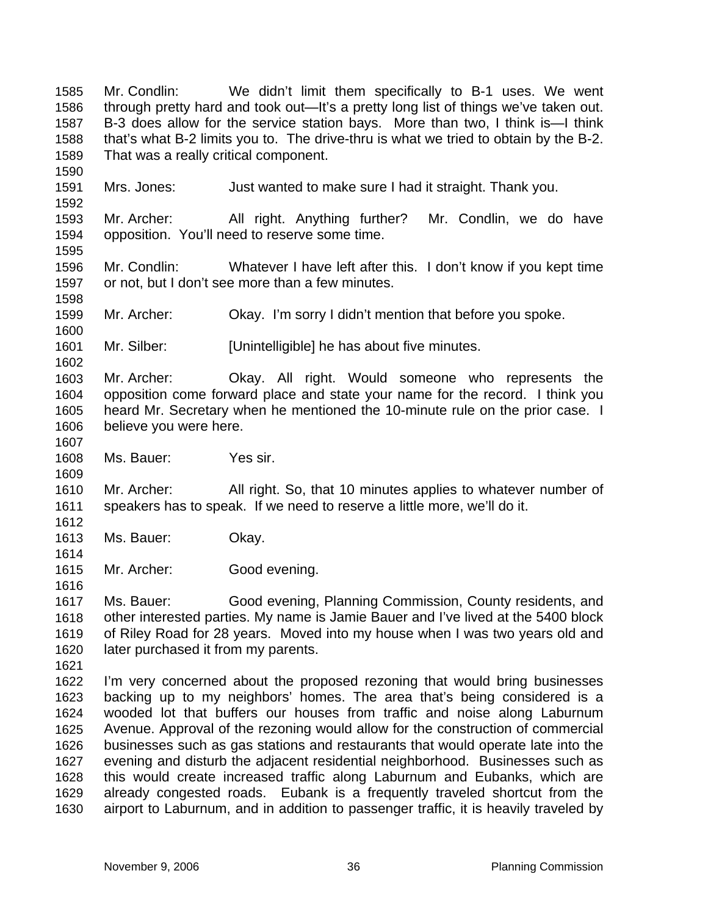Mr. Condlin: We didn't limit them specifically to B-1 uses. We went through pretty hard and took out—It's a pretty long list of things we've taken out. B-3 does allow for the service station bays. More than two, I think is—I think that's what B-2 limits you to. The drive-thru is what we tried to obtain by the B-2. That was a really critical component. 1585 1586 1587 1588 1589 1590 1591 1592 1593 1594 1595 1596 1597 1598 1599 1600 1601 1602 1603 1604 1605 1606 1607 1608 1609 1610 1611 1612 1613 1614 1615 1616 1617 1618 1619 1620 1621 1622 1623 1624 1625 1626 1627 1628 1629 1630 Mrs. Jones: Just wanted to make sure I had it straight. Thank you. Mr. Archer: All right. Anything further? Mr. Condlin, we do have opposition. You'll need to reserve some time. Mr. Condlin: Whatever I have left after this. I don't know if you kept time or not, but I don't see more than a few minutes. Mr. Archer: Okay. I'm sorry I didn't mention that before you spoke. Mr. Silber: [Unintelligible] he has about five minutes. Mr. Archer: Okay. All right. Would someone who represents the opposition come forward place and state your name for the record. I think you heard Mr. Secretary when he mentioned the 10-minute rule on the prior case. I believe you were here. Ms. Bauer: Yes sir. Mr. Archer: All right. So, that 10 minutes applies to whatever number of speakers has to speak. If we need to reserve a little more, we'll do it. Ms. Bauer: Okay. Mr. Archer: Good evening. Ms. Bauer: Good evening, Planning Commission, County residents, and other interested parties. My name is Jamie Bauer and I've lived at the 5400 block of Riley Road for 28 years. Moved into my house when I was two years old and later purchased it from my parents. I'm very concerned about the proposed rezoning that would bring businesses backing up to my neighbors' homes. The area that's being considered is a wooded lot that buffers our houses from traffic and noise along Laburnum Avenue. Approval of the rezoning would allow for the construction of commercial businesses such as gas stations and restaurants that would operate late into the evening and disturb the adjacent residential neighborhood. Businesses such as this would create increased traffic along Laburnum and Eubanks, which are already congested roads. Eubank is a frequently traveled shortcut from the airport to Laburnum, and in addition to passenger traffic, it is heavily traveled by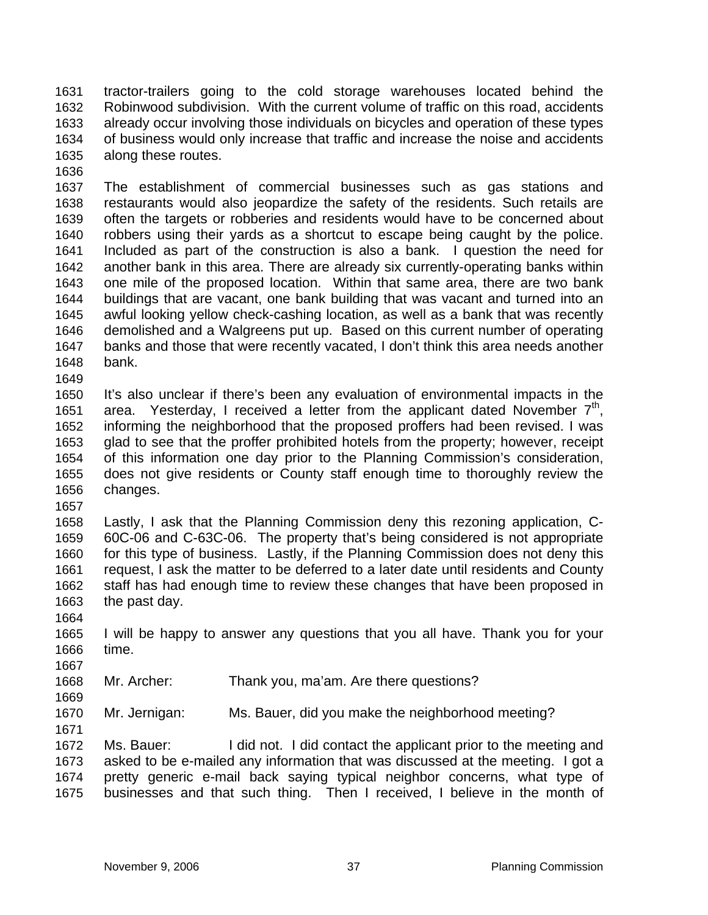tractor-trailers going to the cold storage warehouses located behind the Robinwood subdivision. With the current volume of traffic on this road, accidents already occur involving those individuals on bicycles and operation of these types of business would only increase that traffic and increase the noise and accidents along these routes. 1631 1632 1633 1634 1635

1637 1638 1639 1640 1641 1642 1643 1644 1645 1646 1647 1648 The establishment of commercial businesses such as gas stations and restaurants would also jeopardize the safety of the residents. Such retails are often the targets or robberies and residents would have to be concerned about robbers using their yards as a shortcut to escape being caught by the police. Included as part of the construction is also a bank. I question the need for another bank in this area. There are already six currently-operating banks within one mile of the proposed location. Within that same area, there are two bank buildings that are vacant, one bank building that was vacant and turned into an awful looking yellow check-cashing location, as well as a bank that was recently demolished and a Walgreens put up. Based on this current number of operating banks and those that were recently vacated, I don't think this area needs another bank.

1650 1651 1652 1653 1654 1655 1656 It's also unclear if there's been any evaluation of environmental impacts in the area. Yesterday, I received a letter from the applicant dated November  $7<sup>th</sup>$ . informing the neighborhood that the proposed proffers had been revised. I was glad to see that the proffer prohibited hotels from the property; however, receipt of this information one day prior to the Planning Commission's consideration, does not give residents or County staff enough time to thoroughly review the changes.

1658 1659 1660 1661 1662 1663 Lastly, I ask that the Planning Commission deny this rezoning application, C-60C-06 and C-63C-06. The property that's being considered is not appropriate for this type of business. Lastly, if the Planning Commission does not deny this request, I ask the matter to be deferred to a later date until residents and County staff has had enough time to review these changes that have been proposed in the past day.

1665 1666 I will be happy to answer any questions that you all have. Thank you for your time.

1668 Mr. Archer: Thank you, ma'am. Are there questions?

1670 Mr. Jernigan: Ms. Bauer, did you make the neighborhood meeting?

1672 1673 1674 1675 Ms. Bauer: I did not. I did contact the applicant prior to the meeting and asked to be e-mailed any information that was discussed at the meeting. I got a pretty generic e-mail back saying typical neighbor concerns, what type of businesses and that such thing. Then I received, I believe in the month of

1636

1649

1657

1664

1667

1669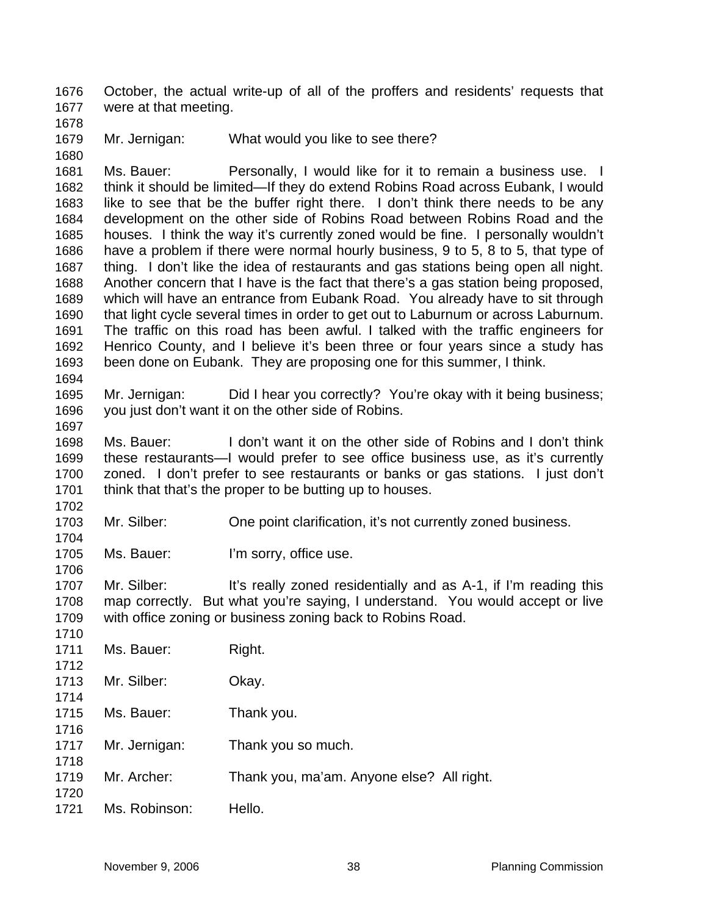October, the actual write-up of all of the proffers and residents' requests that were at that meeting. 1676 1677

- 1678
- 1679 1680

Mr. Jernigan: What would you like to see there?

1681 1682 1683 1684 1685 1686 1687 1688 1689 1690 1691 1692 1693 1694 Ms. Bauer: Personally, I would like for it to remain a business use. I think it should be limited—If they do extend Robins Road across Eubank, I would like to see that be the buffer right there. I don't think there needs to be any development on the other side of Robins Road between Robins Road and the houses. I think the way it's currently zoned would be fine. I personally wouldn't have a problem if there were normal hourly business, 9 to 5, 8 to 5, that type of thing. I don't like the idea of restaurants and gas stations being open all night. Another concern that I have is the fact that there's a gas station being proposed, which will have an entrance from Eubank Road. You already have to sit through that light cycle several times in order to get out to Laburnum or across Laburnum. The traffic on this road has been awful. I talked with the traffic engineers for Henrico County, and I believe it's been three or four years since a study has been done on Eubank. They are proposing one for this summer, I think.

1695 1696 Mr. Jernigan: Did I hear you correctly? You're okay with it being business; you just don't want it on the other side of Robins.

1697

1704

1706

1698 1699 1700 1701 1702 Ms. Bauer: I don't want it on the other side of Robins and I don't think these restaurants—I would prefer to see office business use, as it's currently zoned. I don't prefer to see restaurants or banks or gas stations. I just don't think that that's the proper to be butting up to houses.

1703 Mr. Silber: One point clarification, it's not currently zoned business.

1705 Ms. Bauer: I'm sorry, office use.

1707 1708 1709 Mr. Silber: It's really zoned residentially and as A-1, if I'm reading this map correctly. But what you're saying, I understand. You would accept or live with office zoning or business zoning back to Robins Road.

| 1710 |               |                                           |
|------|---------------|-------------------------------------------|
| 1711 | Ms. Bauer:    | Right.                                    |
| 1712 |               |                                           |
| 1713 | Mr. Silber:   | Okay.                                     |
| 1714 |               |                                           |
| 1715 | Ms. Bauer:    | Thank you.                                |
| 1716 |               |                                           |
| 1717 | Mr. Jernigan: | Thank you so much.                        |
| 1718 |               |                                           |
| 1719 | Mr. Archer:   | Thank you, ma'am. Anyone else? All right. |
| 1720 |               |                                           |
| 1721 | Ms. Robinson: | Hello.                                    |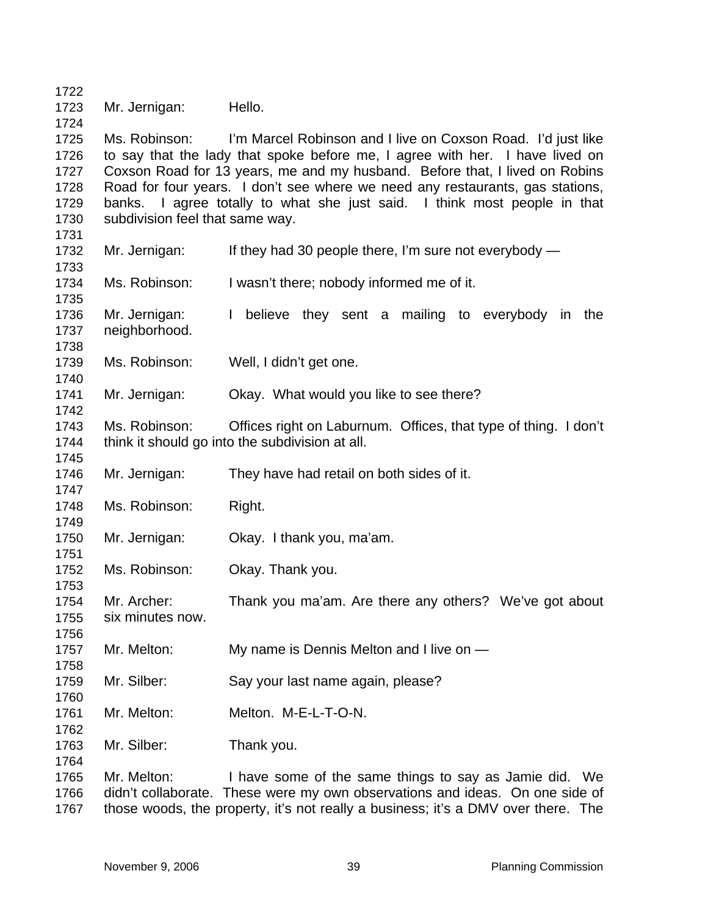Mr. Jernigan: Hello.

 Ms. Robinson: I'm Marcel Robinson and I live on Coxson Road. I'd just like to say that the lady that spoke before me, I agree with her. I have lived on Coxson Road for 13 years, me and my husband. Before that, I lived on Robins Road for four years. I don't see where we need any restaurants, gas stations, banks. I agree totally to what she just said. I think most people in that subdivision feel that same way.

- Mr. Jernigan: If they had 30 people there, I'm sure not everybody —
- Ms. Robinson: I wasn't there; nobody informed me of it.
- Mr. Jernigan: I believe they sent a mailing to everybody in the neighborhood.
- Ms. Robinson: Well, I didn't get one.
- Mr. Jernigan: Okay. What would you like to see there?
- Ms. Robinson: Offices right on Laburnum. Offices, that type of thing. I don't think it should go into the subdivision at all.
- Mr. Jernigan: They have had retail on both sides of it.
- Ms. Robinson: Right.
- Mr. Jernigan: Okay. I thank you, ma'am.
- Ms. Robinson: Okay. Thank you.
- Mr. Archer: Thank you ma'am. Are there any others? We've got about six minutes now.
- Mr. Melton: My name is Dennis Melton and I live on —
- Mr. Silber: Say your last name again, please?
- Mr. Melton: Melton. M-E-L-T-O-N.
- Mr. Silber: Thank you.
- Mr. Melton: I have some of the same things to say as Jamie did. We didn't collaborate. These were my own observations and ideas. On one side of those woods, the property, it's not really a business; it's a DMV over there. The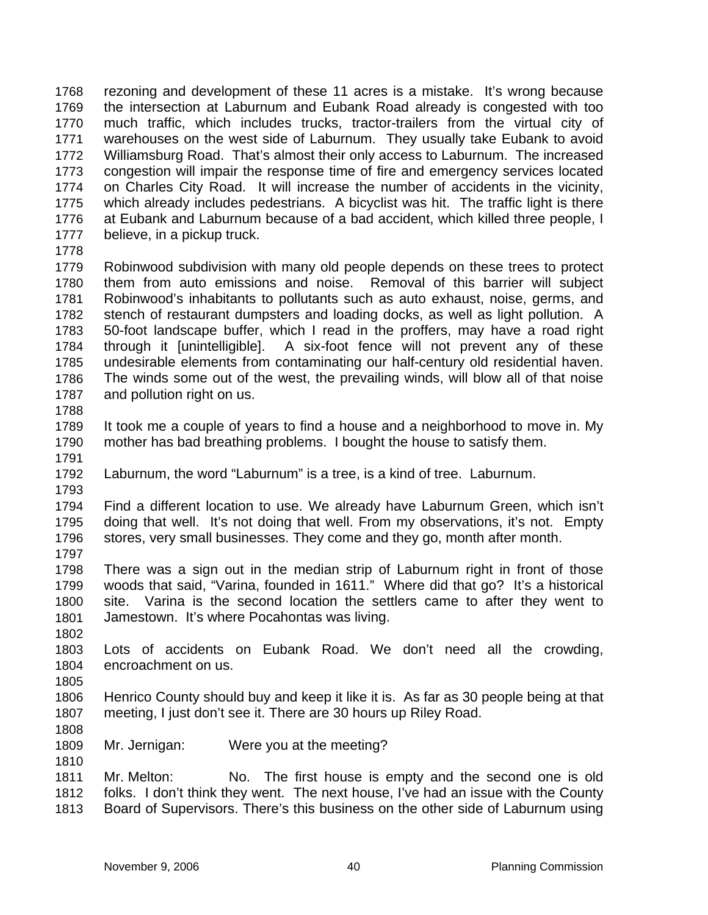rezoning and development of these 11 acres is a mistake. It's wrong because the intersection at Laburnum and Eubank Road already is congested with too much traffic, which includes trucks, tractor-trailers from the virtual city of warehouses on the west side of Laburnum. They usually take Eubank to avoid Williamsburg Road. That's almost their only access to Laburnum. The increased congestion will impair the response time of fire and emergency services located on Charles City Road. It will increase the number of accidents in the vicinity, which already includes pedestrians. A bicyclist was hit. The traffic light is there at Eubank and Laburnum because of a bad accident, which killed three people, I believe, in a pickup truck. 1768 1769 1770 1771 1772 1773 1774 1775 1776 1777

1778

1779 1780 1781 1782 1783 1784 1785 1786 1787 Robinwood subdivision with many old people depends on these trees to protect them from auto emissions and noise. Removal of this barrier will subject Robinwood's inhabitants to pollutants such as auto exhaust, noise, germs, and stench of restaurant dumpsters and loading docks, as well as light pollution. A 50-foot landscape buffer, which I read in the proffers, may have a road right through it [unintelligible]. A six-foot fence will not prevent any of these undesirable elements from contaminating our half-century old residential haven. The winds some out of the west, the prevailing winds, will blow all of that noise and pollution right on us.

1788

1789 1790 It took me a couple of years to find a house and a neighborhood to move in. My mother has bad breathing problems. I bought the house to satisfy them.

1791

1793

1792 Laburnum, the word "Laburnum" is a tree, is a kind of tree. Laburnum.

1794 1795 1796 Find a different location to use. We already have Laburnum Green, which isn't doing that well. It's not doing that well. From my observations, it's not. Empty stores, very small businesses. They come and they go, month after month.

1797

1798 1799 1800 1801 There was a sign out in the median strip of Laburnum right in front of those woods that said, "Varina, founded in 1611." Where did that go? It's a historical site. Varina is the second location the settlers came to after they went to Jamestown. It's where Pocahontas was living.

1802

1805

1803 1804 Lots of accidents on Eubank Road. We don't need all the crowding, encroachment on us.

1806 1807 Henrico County should buy and keep it like it is. As far as 30 people being at that meeting, I just don't see it. There are 30 hours up Riley Road.

1808

1809 Mr. Jernigan: Were you at the meeting?

1810

1811 1812 1813 Mr. Melton: No. The first house is empty and the second one is old folks. I don't think they went. The next house, I've had an issue with the County Board of Supervisors. There's this business on the other side of Laburnum using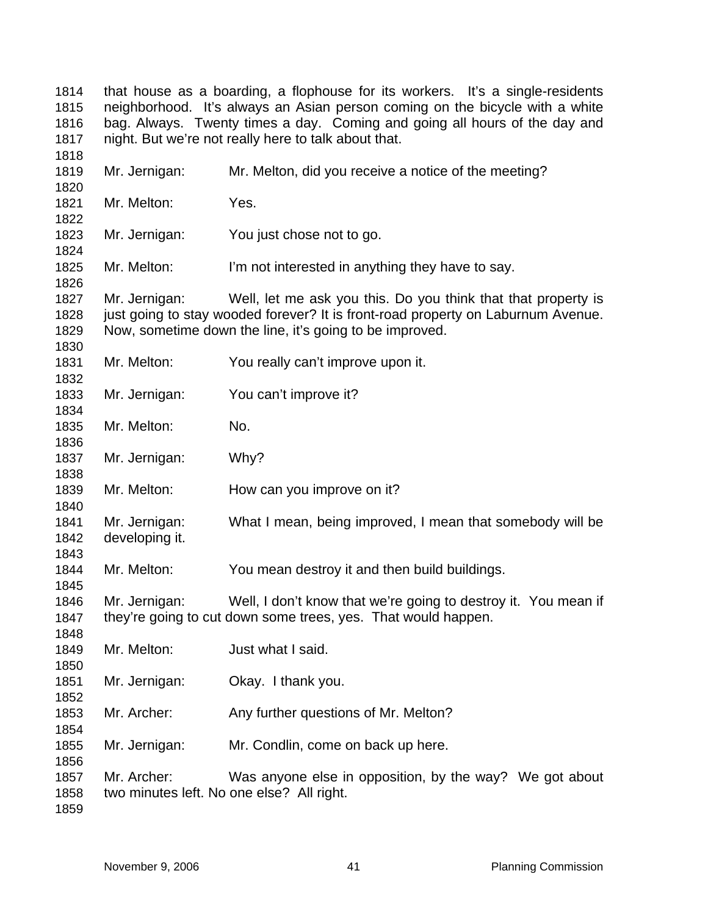that house as a boarding, a flophouse for its workers. It's a single-residents neighborhood. It's always an Asian person coming on the bicycle with a white bag. Always. Twenty times a day. Coming and going all hours of the day and night. But we're not really here to talk about that. Mr. Jernigan: Mr. Melton, did you receive a notice of the meeting? Mr. Melton: Yes. Mr. Jernigan: You just chose not to go. Mr. Melton: I'm not interested in anything they have to say. Mr. Jernigan: Well, let me ask you this. Do you think that that property is just going to stay wooded forever? It is front-road property on Laburnum Avenue. Now, sometime down the line, it's going to be improved. Mr. Melton: You really can't improve upon it. Mr. Jernigan: You can't improve it? Mr. Melton: No. Mr. Jernigan: Why? Mr. Melton: How can you improve on it? Mr. Jernigan: What I mean, being improved, I mean that somebody will be developing it. Mr. Melton: You mean destroy it and then build buildings. Mr. Jernigan: Well, I don't know that we're going to destroy it. You mean if they're going to cut down some trees, yes. That would happen. Mr. Melton: Just what I said. Mr. Jernigan: Okay. I thank you. Mr. Archer: Any further questions of Mr. Melton? Mr. Jernigan: Mr. Condlin, come on back up here. Mr. Archer: Was anyone else in opposition, by the way? We got about two minutes left. No one else? All right.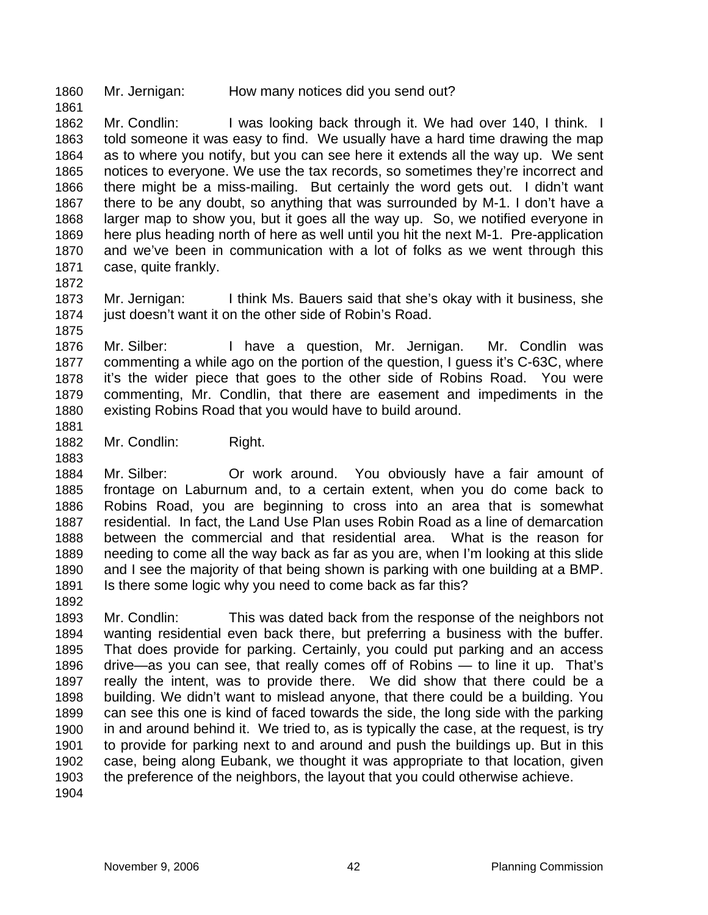1860 Mr. Jernigan: How many notices did you send out?

1862 1863 1864 1865 1866 1867 1868 1869 1870 1871 Mr. Condlin: I was looking back through it. We had over 140, I think. I told someone it was easy to find. We usually have a hard time drawing the map as to where you notify, but you can see here it extends all the way up. We sent notices to everyone. We use the tax records, so sometimes they're incorrect and there might be a miss-mailing. But certainly the word gets out. I didn't want there to be any doubt, so anything that was surrounded by M-1. I don't have a larger map to show you, but it goes all the way up. So, we notified everyone in here plus heading north of here as well until you hit the next M-1. Pre-application and we've been in communication with a lot of folks as we went through this case, quite frankly.

1872

1875

1861

1873 1874 Mr. Jernigan: I think Ms. Bauers said that she's okay with it business, she just doesn't want it on the other side of Robin's Road.

1876 1877 1878 1879 1880 Mr. Silber: I have a question, Mr. Jernigan. Mr. Condlin was commenting a while ago on the portion of the question, I guess it's C-63C, where it's the wider piece that goes to the other side of Robins Road. You were commenting, Mr. Condlin, that there are easement and impediments in the existing Robins Road that you would have to build around.

1881 1882

1883

Mr. Condlin: Right.

1884 1885 1886 1887 1888 1889 1890 1891 Mr. Silber: Or work around. You obviously have a fair amount of frontage on Laburnum and, to a certain extent, when you do come back to Robins Road, you are beginning to cross into an area that is somewhat residential. In fact, the Land Use Plan uses Robin Road as a line of demarcation between the commercial and that residential area. What is the reason for needing to come all the way back as far as you are, when I'm looking at this slide and I see the majority of that being shown is parking with one building at a BMP. Is there some logic why you need to come back as far this?

1892

1893 1894 1895 1896 1897 1898 1899 1900 1901 1902 1903 Mr. Condlin: This was dated back from the response of the neighbors not wanting residential even back there, but preferring a business with the buffer. That does provide for parking. Certainly, you could put parking and an access drive—as you can see, that really comes off of Robins — to line it up. That's really the intent, was to provide there. We did show that there could be a building. We didn't want to mislead anyone, that there could be a building. You can see this one is kind of faced towards the side, the long side with the parking in and around behind it. We tried to, as is typically the case, at the request, is try to provide for parking next to and around and push the buildings up. But in this case, being along Eubank, we thought it was appropriate to that location, given the preference of the neighbors, the layout that you could otherwise achieve.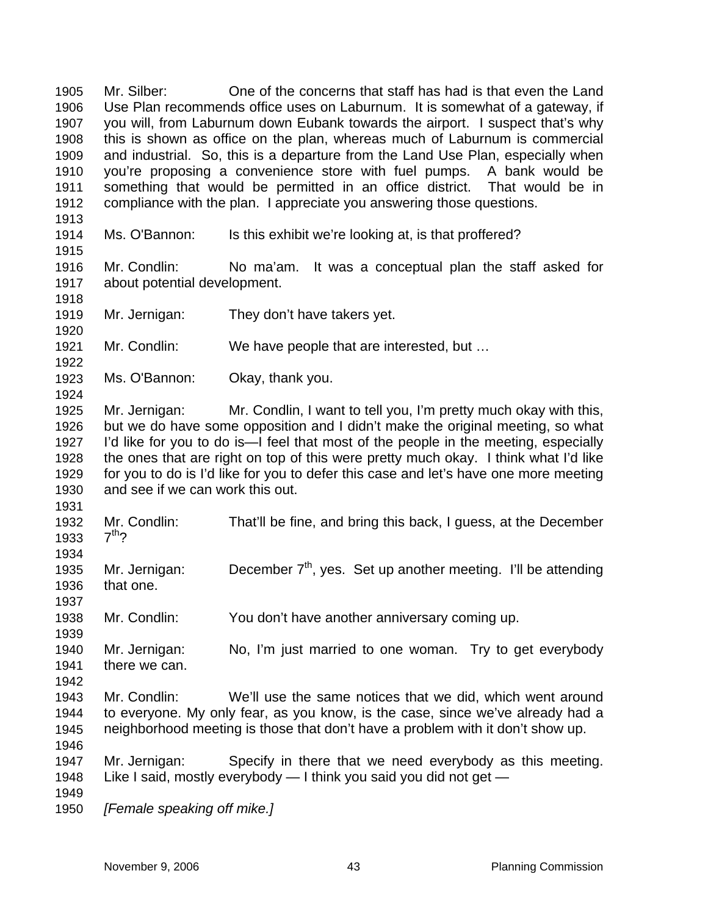Mr. Silber: One of the concerns that staff has had is that even the Land Use Plan recommends office uses on Laburnum. It is somewhat of a gateway, if you will, from Laburnum down Eubank towards the airport. I suspect that's why this is shown as office on the plan, whereas much of Laburnum is commercial and industrial. So, this is a departure from the Land Use Plan, especially when you're proposing a convenience store with fuel pumps. A bank would be something that would be permitted in an office district. That would be in compliance with the plan. I appreciate you answering those questions. 1905 1906 1907 1908 1909 1910 1911 1912 1913 1914 1915 1916 1917 1918 1919 1920 1921 1922 1923 1924 1925 1926 1927 1928 1929 1930 1931 1932 1933 1934 1935 1936 1937 1938 1939 1940 1941 1942 1943 1944 1945 1946 1947 1948 1949 1950 Ms. O'Bannon: Is this exhibit we're looking at, is that proffered? Mr. Condlin: No ma'am. It was a conceptual plan the staff asked for about potential development. Mr. Jernigan: They don't have takers yet. Mr. Condlin: We have people that are interested, but … Ms. O'Bannon: Okay, thank you. Mr. Jernigan: Mr. Condlin, I want to tell you, I'm pretty much okay with this, but we do have some opposition and I didn't make the original meeting, so what I'd like for you to do is—I feel that most of the people in the meeting, especially the ones that are right on top of this were pretty much okay. I think what I'd like for you to do is I'd like for you to defer this case and let's have one more meeting and see if we can work this out. Mr. Condlin: That'll be fine, and bring this back, I guess, at the December  $7<sup>th</sup>$ ? Mr. Jernigan: December  $7<sup>th</sup>$ , yes. Set up another meeting. I'll be attending that one. Mr. Condlin: You don't have another anniversary coming up. Mr. Jernigan: No, I'm just married to one woman. Try to get everybody there we can. Mr. Condlin: We'll use the same notices that we did, which went around to everyone. My only fear, as you know, is the case, since we've already had a neighborhood meeting is those that don't have a problem with it don't show up. Mr. Jernigan: Specify in there that we need everybody as this meeting. Like I said, mostly everybody — I think you said you did not get — *[Female speaking off mike.]*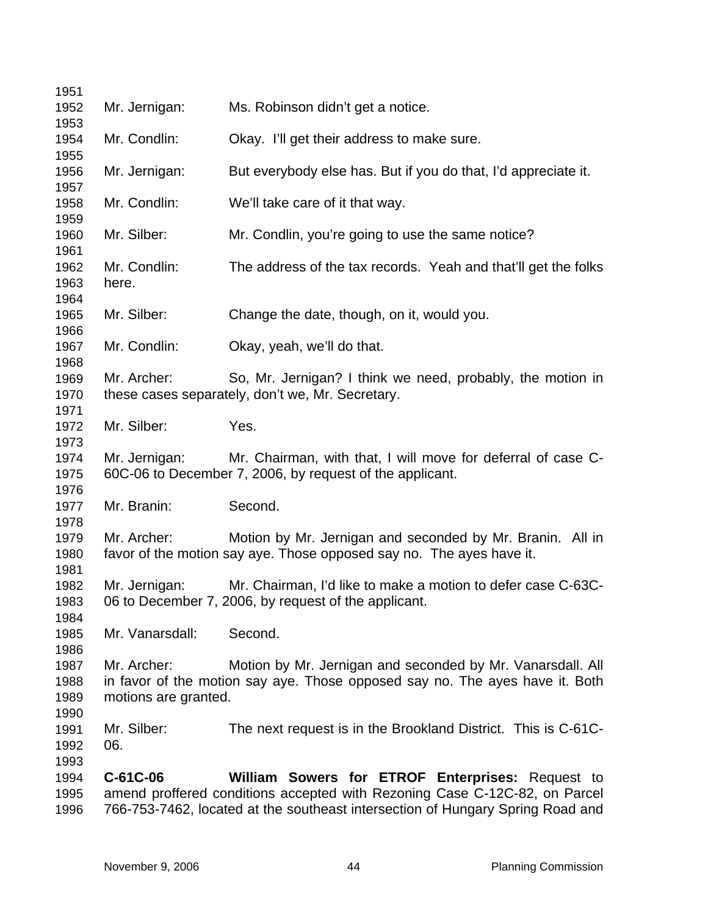| 1951                         |                                     |                                                                                                                                                                                                                  |
|------------------------------|-------------------------------------|------------------------------------------------------------------------------------------------------------------------------------------------------------------------------------------------------------------|
| 1952                         | Mr. Jernigan:                       | Ms. Robinson didn't get a notice.                                                                                                                                                                                |
| 1953<br>1954<br>1955         | Mr. Condlin:                        | Okay. I'll get their address to make sure.                                                                                                                                                                       |
| 1956<br>1957                 | Mr. Jernigan:                       | But everybody else has. But if you do that, I'd appreciate it.                                                                                                                                                   |
| 1958<br>1959                 | Mr. Condlin:                        | We'll take care of it that way.                                                                                                                                                                                  |
| 1960<br>1961                 | Mr. Silber:                         | Mr. Condlin, you're going to use the same notice?                                                                                                                                                                |
| 1962<br>1963<br>1964         | Mr. Condlin:<br>here.               | The address of the tax records. Yeah and that'll get the folks                                                                                                                                                   |
| 1965<br>1966                 | Mr. Silber:                         | Change the date, though, on it, would you.                                                                                                                                                                       |
| 1967<br>1968                 | Mr. Condlin:                        | Okay, yeah, we'll do that.                                                                                                                                                                                       |
| 1969<br>1970<br>1971         | Mr. Archer:                         | So, Mr. Jernigan? I think we need, probably, the motion in<br>these cases separately, don't we, Mr. Secretary.                                                                                                   |
| 1972<br>1973                 | Mr. Silber:                         | Yes.                                                                                                                                                                                                             |
| 1974<br>1975<br>1976         | Mr. Jernigan:                       | Mr. Chairman, with that, I will move for deferral of case C-<br>60C-06 to December 7, 2006, by request of the applicant.                                                                                         |
| 1977<br>1978                 | Mr. Branin:                         | Second.                                                                                                                                                                                                          |
| 1979<br>1980                 | Mr. Archer:                         | Motion by Mr. Jernigan and seconded by Mr. Branin. All in<br>favor of the motion say aye. Those opposed say no. The ayes have it.                                                                                |
| 1981<br>1982<br>1983<br>1984 | Mr. Jernigan:                       | Mr. Chairman, I'd like to make a motion to defer case C-63C-<br>06 to December 7, 2006, by request of the applicant.                                                                                             |
| 1985<br>1986                 | Mr. Vanarsdall:                     | Second.                                                                                                                                                                                                          |
| 1987<br>1988<br>1989<br>1990 | Mr. Archer:<br>motions are granted. | Motion by Mr. Jernigan and seconded by Mr. Vanarsdall. All<br>in favor of the motion say aye. Those opposed say no. The ayes have it. Both                                                                       |
| 1991<br>1992<br>1993         | Mr. Silber:<br>06.                  | The next request is in the Brookland District. This is C-61C-                                                                                                                                                    |
| 1994<br>1995<br>1996         | C-61C-06                            | William Sowers for ETROF Enterprises: Request to<br>amend proffered conditions accepted with Rezoning Case C-12C-82, on Parcel<br>766-753-7462, located at the southeast intersection of Hungary Spring Road and |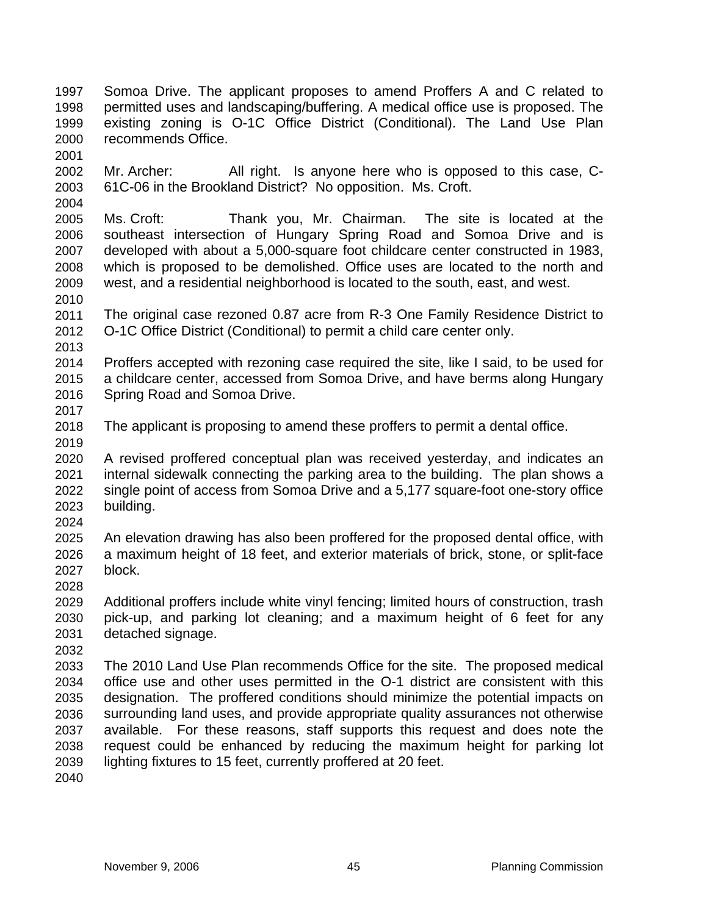- Somoa Drive. The applicant proposes to amend Proffers A and C related to permitted uses and landscaping/buffering. A medical office use is proposed. The existing zoning is O-1C Office District (Conditional). The Land Use Plan recommends Office. 1997 1998 1999 2000
- 2002 2003 Mr. Archer: All right. Is anyone here who is opposed to this case, C-61C-06 in the Brookland District? No opposition. Ms. Croft.
- 2005 2006 2007 2008 2009 Ms. Croft: Thank you, Mr. Chairman. The site is located at the southeast intersection of Hungary Spring Road and Somoa Drive and is developed with about a 5,000-square foot childcare center constructed in 1983, which is proposed to be demolished. Office uses are located to the north and west, and a residential neighborhood is located to the south, east, and west.
- 2011 2012 The original case rezoned 0.87 acre from R-3 One Family Residence District to O-1C Office District (Conditional) to permit a child care center only.
- 2013

2019

2024

2028

2010

2001

- 2014 2015 2016 2017 Proffers accepted with rezoning case required the site, like I said, to be used for a childcare center, accessed from Somoa Drive, and have berms along Hungary Spring Road and Somoa Drive.
- 2018 The applicant is proposing to amend these proffers to permit a dental office.
- 2020 2021 2022 2023 A revised proffered conceptual plan was received yesterday, and indicates an internal sidewalk connecting the parking area to the building. The plan shows a single point of access from Somoa Drive and a 5,177 square-foot one-story office building.
- 2025 2026 2027 An elevation drawing has also been proffered for the proposed dental office, with a maximum height of 18 feet, and exterior materials of brick, stone, or split-face block.
- 2029 2030 2031 Additional proffers include white vinyl fencing; limited hours of construction, trash pick-up, and parking lot cleaning; and a maximum height of 6 feet for any detached signage.
- 2032
- 2033 2034 2035 2036 2037 2038 2039 The 2010 Land Use Plan recommends Office for the site. The proposed medical office use and other uses permitted in the O-1 district are consistent with this designation. The proffered conditions should minimize the potential impacts on surrounding land uses, and provide appropriate quality assurances not otherwise available. For these reasons, staff supports this request and does note the request could be enhanced by reducing the maximum height for parking lot lighting fixtures to 15 feet, currently proffered at 20 feet.
- 2040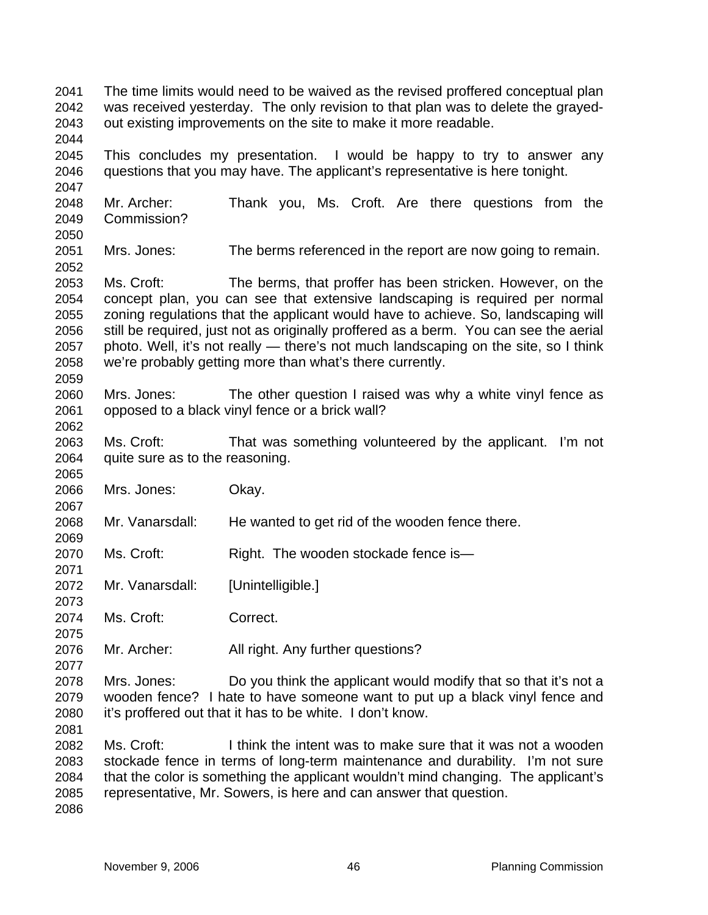The time limits would need to be waived as the revised proffered conceptual plan was received yesterday. The only revision to that plan was to delete the grayedout existing improvements on the site to make it more readable. 2041 2042 2043 2044 2045 2046 2047 2048 2049 2050 2051 2052 2053 2054 2055 2056 2057 2058 2059 2060 2061 2062 2063 2064 2065 2066 2067 2068 2069 2070 2071 2072 2073 2074 2075 2076 2077 2078 2079 2080 2081 2082 2083 2084 2085 2086 This concludes my presentation. I would be happy to try to answer any questions that you may have. The applicant's representative is here tonight. Mr. Archer: Thank you, Ms. Croft. Are there questions from the Commission? Mrs. Jones: The berms referenced in the report are now going to remain. Ms. Croft: The berms, that proffer has been stricken. However, on the concept plan, you can see that extensive landscaping is required per normal zoning regulations that the applicant would have to achieve. So, landscaping will still be required, just not as originally proffered as a berm. You can see the aerial photo. Well, it's not really — there's not much landscaping on the site, so I think we're probably getting more than what's there currently. Mrs. Jones: The other question I raised was why a white vinyl fence as opposed to a black vinyl fence or a brick wall? Ms. Croft: That was something volunteered by the applicant. I'm not quite sure as to the reasoning. Mrs. Jones: Okay. Mr. Vanarsdall: He wanted to get rid of the wooden fence there. Ms. Croft: Right. The wooden stockade fence is— Mr. Vanarsdall: [Unintelligible.] Ms. Croft: Correct. Mr. Archer: All right. Any further questions? Mrs. Jones: Do you think the applicant would modify that so that it's not a wooden fence? I hate to have someone want to put up a black vinyl fence and it's proffered out that it has to be white. I don't know. Ms. Croft: I think the intent was to make sure that it was not a wooden stockade fence in terms of long-term maintenance and durability. I'm not sure that the color is something the applicant wouldn't mind changing. The applicant's representative, Mr. Sowers, is here and can answer that question.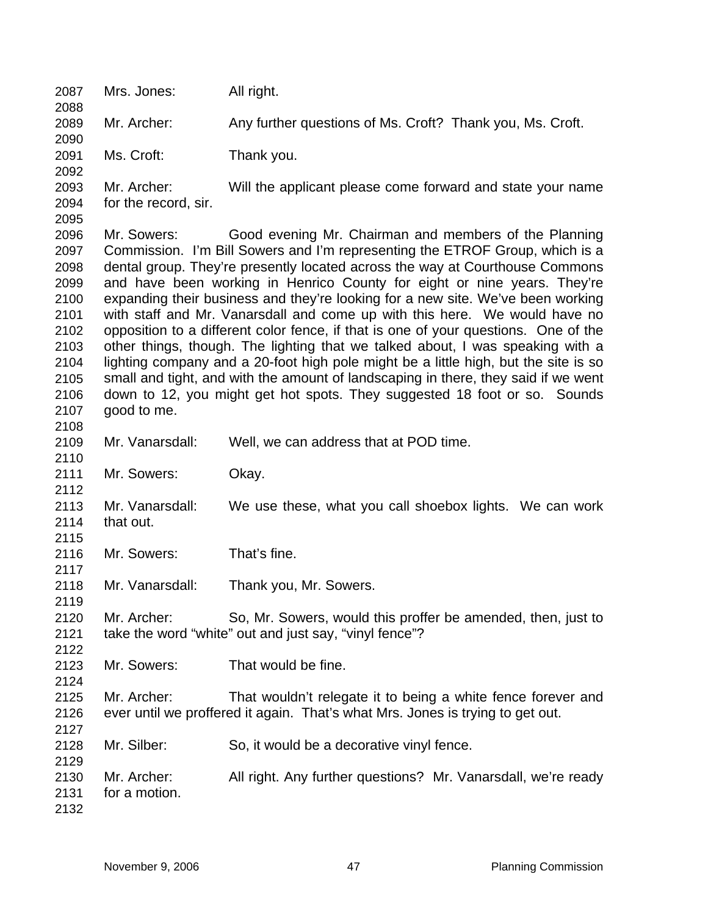2087 Mrs. Jones: All right. 2088 2089 2090 2091 2092 2093 2094 2095 2096 2097 2098 2099 2100 2101 2102 2103 2104 2105 2106 2107 2108 2109 2110 2111 2112 2113 2114 2115 2116 2117 2118 2119 2120 2121 2122 2123 2124 2125 2126 2127 2128 2129 2130 2131 2132 Mr. Archer: Any further questions of Ms. Croft? Thank you, Ms. Croft. Ms. Croft: Thank you. Mr. Archer: Will the applicant please come forward and state your name for the record, sir. Mr. Sowers: Good evening Mr. Chairman and members of the Planning Commission. I'm Bill Sowers and I'm representing the ETROF Group, which is a dental group. They're presently located across the way at Courthouse Commons and have been working in Henrico County for eight or nine years. They're expanding their business and they're looking for a new site. We've been working with staff and Mr. Vanarsdall and come up with this here. We would have no opposition to a different color fence, if that is one of your questions. One of the other things, though. The lighting that we talked about, I was speaking with a lighting company and a 20-foot high pole might be a little high, but the site is so small and tight, and with the amount of landscaping in there, they said if we went down to 12, you might get hot spots. They suggested 18 foot or so. Sounds good to me. Mr. Vanarsdall: Well, we can address that at POD time. Mr. Sowers: Okay. Mr. Vanarsdall: We use these, what you call shoebox lights. We can work that out. Mr. Sowers: That's fine. Mr. Vanarsdall: Thank you, Mr. Sowers. Mr. Archer: So, Mr. Sowers, would this proffer be amended, then, just to take the word "white" out and just say, "vinyl fence"? Mr. Sowers: That would be fine. Mr. Archer: That wouldn't relegate it to being a white fence forever and ever until we proffered it again. That's what Mrs. Jones is trying to get out. Mr. Silber: So, it would be a decorative vinyl fence. Mr. Archer: All right. Any further questions? Mr. Vanarsdall, we're ready for a motion.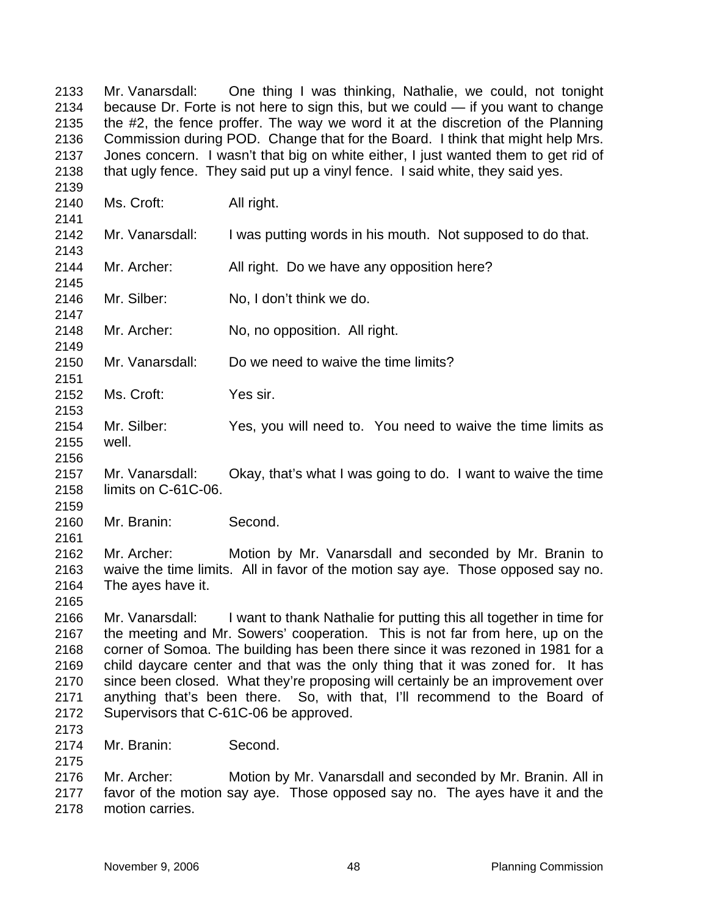Mr. Vanarsdall: One thing I was thinking, Nathalie, we could, not tonight because Dr. Forte is not here to sign this, but we could — if you want to change the #2, the fence proffer. The way we word it at the discretion of the Planning Commission during POD. Change that for the Board. I think that might help Mrs. Jones concern. I wasn't that big on white either, I just wanted them to get rid of that ugly fence. They said put up a vinyl fence. I said white, they said yes. 2133 2134 2135 2136 2137 2138

2140 2141 2142 2143 2144 2145 2146 2147 2148 2149 2150 2151 2152 2153 2154 2155 2156 2157 2158 2159 2160 2161 2162 2163 2164 2165 2166 2167 2168 2169 2170 2171 2172 2173 2174 2175 2176 2177 2178 Ms. Croft: All right. Mr. Vanarsdall: I was putting words in his mouth. Not supposed to do that. Mr. Archer: All right. Do we have any opposition here? Mr. Silber: No, I don't think we do. Mr. Archer: No, no opposition. All right. Mr. Vanarsdall: Do we need to waive the time limits? Ms. Croft: Yes sir. Mr. Silber: Yes, you will need to. You need to waive the time limits as well. Mr. Vanarsdall: Okay, that's what I was going to do. I want to waive the time limits on C-61C-06. Mr. Branin: Second. Mr. Archer: Motion by Mr. Vanarsdall and seconded by Mr. Branin to waive the time limits. All in favor of the motion say aye. Those opposed say no. The ayes have it. Mr. Vanarsdall: I want to thank Nathalie for putting this all together in time for the meeting and Mr. Sowers' cooperation. This is not far from here, up on the corner of Somoa. The building has been there since it was rezoned in 1981 for a child daycare center and that was the only thing that it was zoned for. It has since been closed. What they're proposing will certainly be an improvement over anything that's been there. So, with that, I'll recommend to the Board of Supervisors that C-61C-06 be approved. Mr. Branin: Second. Mr. Archer: Motion by Mr. Vanarsdall and seconded by Mr. Branin. All in favor of the motion say aye. Those opposed say no. The ayes have it and the motion carries.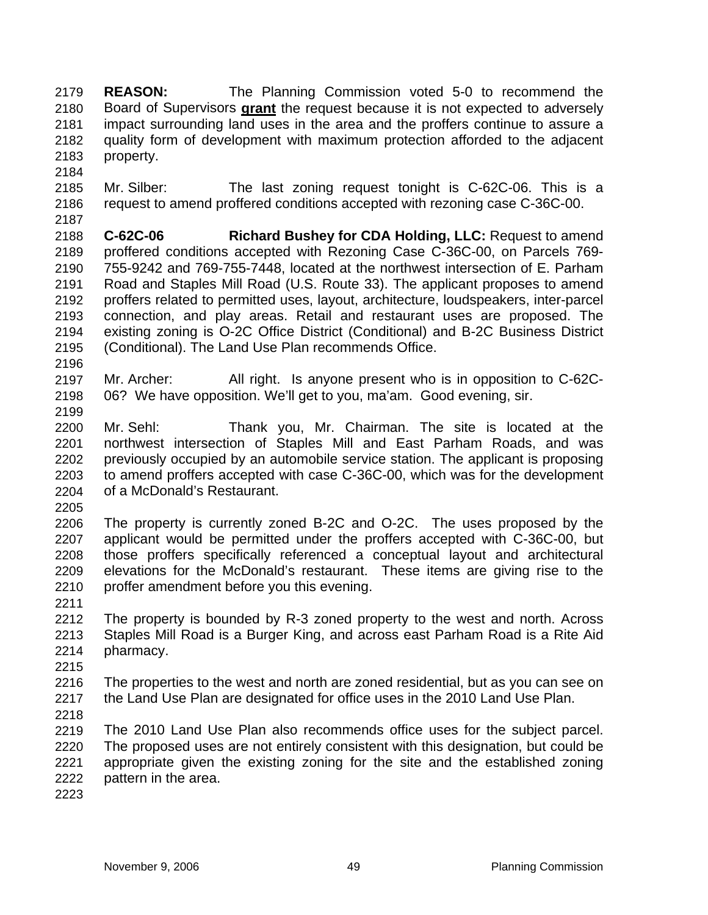**REASON:** The Planning Commission voted 5-0 to recommend the Board of Supervisors **grant** the request because it is not expected to adversely 2179 impact surrounding land uses in the area and the proffers continue to assure a quality form of development with maximum protection afforded to the adjacent property. 2180 2181 2182 2183

- 2185 2186 2187 Mr. Silber: The last zoning request tonight is C-62C-06. This is a request to amend proffered conditions accepted with rezoning case C-36C-00.
- 2188 2189 2190 2191 2192 2193 2194 2195 **C-62C-06 Richard Bushey for CDA Holding, LLC:** Request to amend proffered conditions accepted with Rezoning Case C-36C-00, on Parcels 769- 755-9242 and 769-755-7448, located at the northwest intersection of E. Parham Road and Staples Mill Road (U.S. Route 33). The applicant proposes to amend proffers related to permitted uses, layout, architecture, loudspeakers, inter-parcel connection, and play areas. Retail and restaurant uses are proposed. The existing zoning is O-2C Office District (Conditional) and B-2C Business District (Conditional). The Land Use Plan recommends Office.
- 2196

2184

- 2197 2198 2199 Mr. Archer: All right. Is anyone present who is in opposition to C-62C-06? We have opposition. We'll get to you, ma'am. Good evening, sir.
- 2200 2201 2202 2203 2204 Mr. Sehl: Thank you, Mr. Chairman. The site is located at the northwest intersection of Staples Mill and East Parham Roads, and was previously occupied by an automobile service station. The applicant is proposing to amend proffers accepted with case C-36C-00, which was for the development of a McDonald's Restaurant.
- 2205
- 2206 2207 2208 2209 2210 The property is currently zoned B-2C and O-2C. The uses proposed by the applicant would be permitted under the proffers accepted with C-36C-00, but those proffers specifically referenced a conceptual layout and architectural elevations for the McDonald's restaurant. These items are giving rise to the proffer amendment before you this evening.
- 2211
- 2212 2213 2214 The property is bounded by R-3 zoned property to the west and north. Across Staples Mill Road is a Burger King, and across east Parham Road is a Rite Aid pharmacy.
- 2215
- 2216 2217 The properties to the west and north are zoned residential, but as you can see on the Land Use Plan are designated for office uses in the 2010 Land Use Plan.
- 2218

2219 2220 2221 2222 The 2010 Land Use Plan also recommends office uses for the subject parcel. The proposed uses are not entirely consistent with this designation, but could be appropriate given the existing zoning for the site and the established zoning pattern in the area.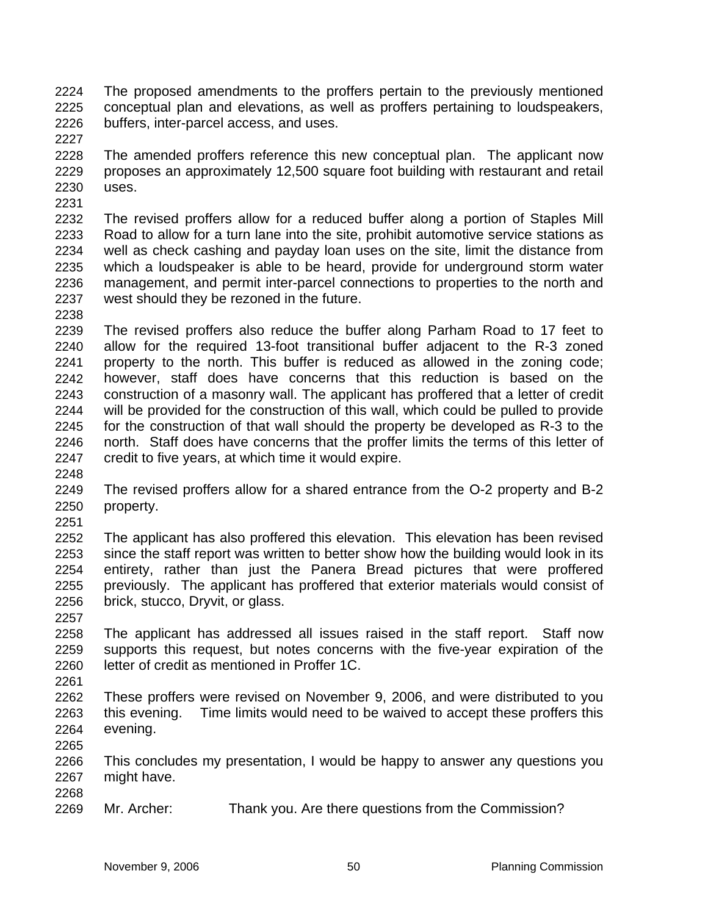The proposed amendments to the proffers pertain to the previously mentioned conceptual plan and elevations, as well as proffers pertaining to loudspeakers, buffers, inter-parcel access, and uses. 2224 2225 2226

2228 2229 2230 2231 The amended proffers reference this new conceptual plan. The applicant now proposes an approximately 12,500 square foot building with restaurant and retail uses.

2232 2233 2234 2235 2236 2237 The revised proffers allow for a reduced buffer along a portion of Staples Mill Road to allow for a turn lane into the site, prohibit automotive service stations as well as check cashing and payday loan uses on the site, limit the distance from which a loudspeaker is able to be heard, provide for underground storm water management, and permit inter-parcel connections to properties to the north and west should they be rezoned in the future.

2238

2227

2239 2240 2241 2242 2243 2244 2245 2246 2247 The revised proffers also reduce the buffer along Parham Road to 17 feet to allow for the required 13-foot transitional buffer adjacent to the R-3 zoned property to the north. This buffer is reduced as allowed in the zoning code; however, staff does have concerns that this reduction is based on the construction of a masonry wall. The applicant has proffered that a letter of credit will be provided for the construction of this wall, which could be pulled to provide for the construction of that wall should the property be developed as R-3 to the north. Staff does have concerns that the proffer limits the terms of this letter of credit to five years, at which time it would expire.

2248

2249 2250 The revised proffers allow for a shared entrance from the O-2 property and B-2 property.

2251

2252 2253 2254 2255 2256 The applicant has also proffered this elevation. This elevation has been revised since the staff report was written to better show how the building would look in its entirety, rather than just the Panera Bread pictures that were proffered previously. The applicant has proffered that exterior materials would consist of brick, stucco, Dryvit, or glass.

2258 2259 2260 The applicant has addressed all issues raised in the staff report. Staff now supports this request, but notes concerns with the five-year expiration of the letter of credit as mentioned in Proffer 1C.

2261

2257

2262 2263 2264 These proffers were revised on November 9, 2006, and were distributed to you this evening. Time limits would need to be waived to accept these proffers this evening.

2265

2266 2267 2268 This concludes my presentation, I would be happy to answer any questions you might have.

2269 Mr. Archer: Thank you. Are there questions from the Commission?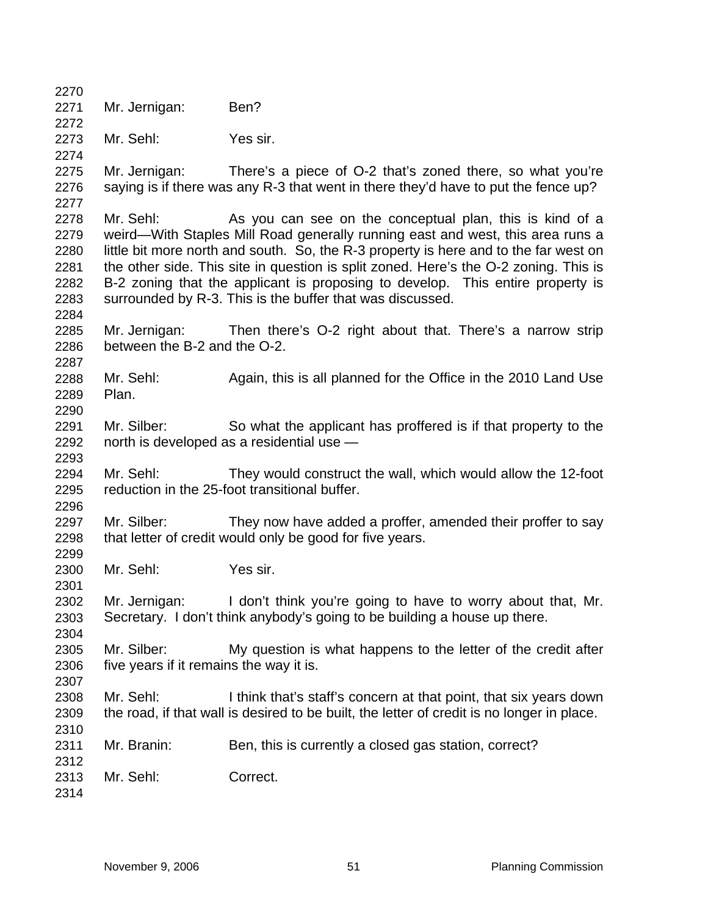2270 2271 2272 2273 2274 2275 2276 2277 2278 2279 2280 2281 2282 2283 2284 2285 2286 2287 2288 2289 2290 2291 2292 2293 2294 2295 2296 2297 2298 2299 2300 2301 2302 2303 2304 2305 2306 2307 2308 2309 2310 2311 2312 2313 2314 Mr. Jernigan: Ben? Mr. Sehl: Yes sir. Mr. Jernigan: There's a piece of O-2 that's zoned there, so what you're saying is if there was any R-3 that went in there they'd have to put the fence up? Mr. Sehl: As you can see on the conceptual plan, this is kind of a weird—With Staples Mill Road generally running east and west, this area runs a little bit more north and south. So, the R-3 property is here and to the far west on the other side. This site in question is split zoned. Here's the O-2 zoning. This is B-2 zoning that the applicant is proposing to develop. This entire property is surrounded by R-3. This is the buffer that was discussed. Mr. Jernigan: Then there's O-2 right about that. There's a narrow strip between the B-2 and the O-2. Mr. Sehl: Again, this is all planned for the Office in the 2010 Land Use Plan. Mr. Silber: So what the applicant has proffered is if that property to the north is developed as a residential use — Mr. Sehl: They would construct the wall, which would allow the 12-foot reduction in the 25-foot transitional buffer. Mr. Silber: They now have added a proffer, amended their proffer to say that letter of credit would only be good for five years. Mr. Sehl: Yes sir. Mr. Jernigan: I don't think you're going to have to worry about that, Mr. Secretary. I don't think anybody's going to be building a house up there. Mr. Silber: My question is what happens to the letter of the credit after five years if it remains the way it is. Mr. Sehl: I think that's staff's concern at that point, that six years down the road, if that wall is desired to be built, the letter of credit is no longer in place. Mr. Branin: Ben, this is currently a closed gas station, correct? Mr. Sehl: Correct.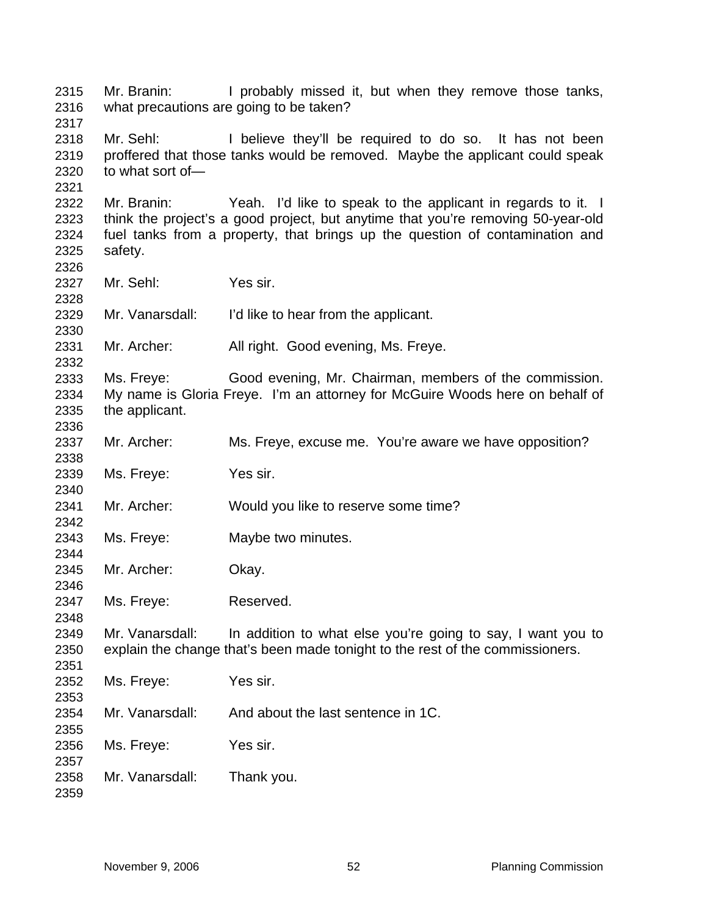Mr. Branin: I probably missed it, but when they remove those tanks, what precautions are going to be taken? Mr. Sehl: I believe they'll be required to do so. It has not been proffered that those tanks would be removed. Maybe the applicant could speak to what sort of— Mr. Branin: Yeah. I'd like to speak to the applicant in regards to it. I think the project's a good project, but anytime that you're removing 50-year-old fuel tanks from a property, that brings up the question of contamination and safety. Mr. Sehl: Yes sir. Mr. Vanarsdall: I'd like to hear from the applicant. Mr. Archer: All right. Good evening, Ms. Freye. Ms. Freye: Good evening, Mr. Chairman, members of the commission. My name is Gloria Freye. I'm an attorney for McGuire Woods here on behalf of the applicant. Mr. Archer: Ms. Freye, excuse me. You're aware we have opposition? Ms. Freye: Yes sir. Mr. Archer: Would you like to reserve some time? Ms. Freye: Maybe two minutes. Mr. Archer: Okay. Ms. Freye: Reserved. Mr. Vanarsdall: In addition to what else you're going to say, I want you to explain the change that's been made tonight to the rest of the commissioners. Ms. Freye: Yes sir. Mr. Vanarsdall: And about the last sentence in 1C. Ms. Freye: Yes sir. Mr. Vanarsdall: Thank you.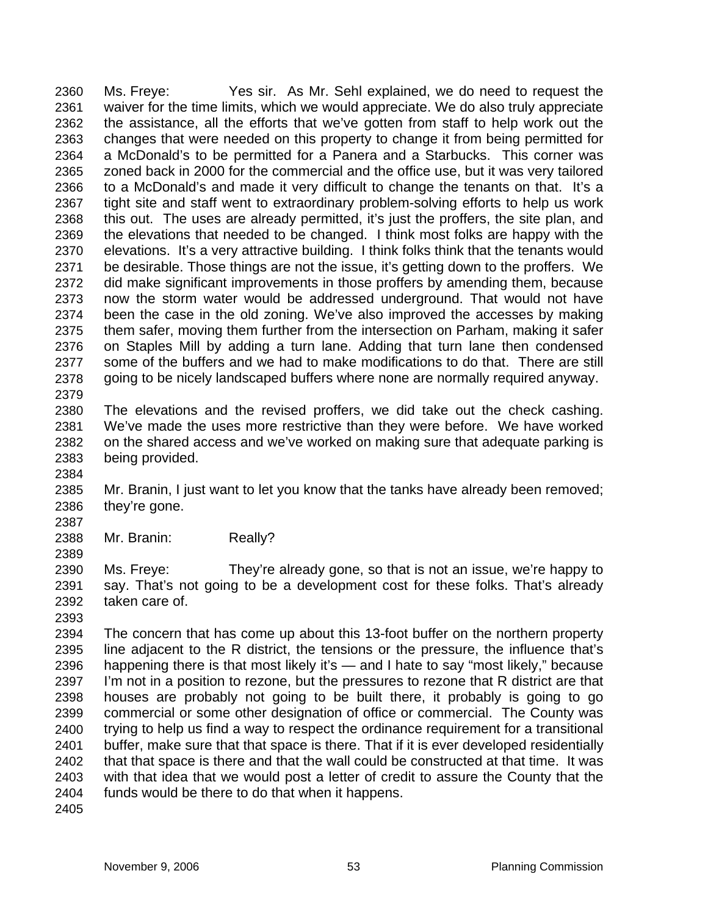Ms. Freye: Yes sir. As Mr. Sehl explained, we do need to request the waiver for the time limits, which we would appreciate. We do also truly appreciate the assistance, all the efforts that we've gotten from staff to help work out the changes that were needed on this property to change it from being permitted for a McDonald's to be permitted for a Panera and a Starbucks. This corner was zoned back in 2000 for the commercial and the office use, but it was very tailored to a McDonald's and made it very difficult to change the tenants on that. It's a tight site and staff went to extraordinary problem-solving efforts to help us work this out. The uses are already permitted, it's just the proffers, the site plan, and the elevations that needed to be changed. I think most folks are happy with the elevations. It's a very attractive building. I think folks think that the tenants would be desirable. Those things are not the issue, it's getting down to the proffers. We did make significant improvements in those proffers by amending them, because now the storm water would be addressed underground. That would not have been the case in the old zoning. We've also improved the accesses by making them safer, moving them further from the intersection on Parham, making it safer on Staples Mill by adding a turn lane. Adding that turn lane then condensed some of the buffers and we had to make modifications to do that. There are still going to be nicely landscaped buffers where none are normally required anyway. 2360 2361 2362 2363 2364 2365 2366 2367 2368 2369 2370 2371 2372 2373 2374 2375 2376 2377 2378 2379

2380 2381 2382 2383 The elevations and the revised proffers, we did take out the check cashing. We've made the uses more restrictive than they were before. We have worked on the shared access and we've worked on making sure that adequate parking is being provided.

2384

2385 2386 Mr. Branin, I just want to let you know that the tanks have already been removed; they're gone.

2388 Mr. Branin: Really?

2389

2387

2390 2391 2392 Ms. Freye: They're already gone, so that is not an issue, we're happy to say. That's not going to be a development cost for these folks. That's already taken care of.

2393

2394 2395 2396 2397 2398 2399 2400 2401 2402 2403 2404 The concern that has come up about this 13-foot buffer on the northern property line adjacent to the R district, the tensions or the pressure, the influence that's happening there is that most likely it's — and I hate to say "most likely," because I'm not in a position to rezone, but the pressures to rezone that R district are that houses are probably not going to be built there, it probably is going to go commercial or some other designation of office or commercial. The County was trying to help us find a way to respect the ordinance requirement for a transitional buffer, make sure that that space is there. That if it is ever developed residentially that that space is there and that the wall could be constructed at that time. It was with that idea that we would post a letter of credit to assure the County that the funds would be there to do that when it happens.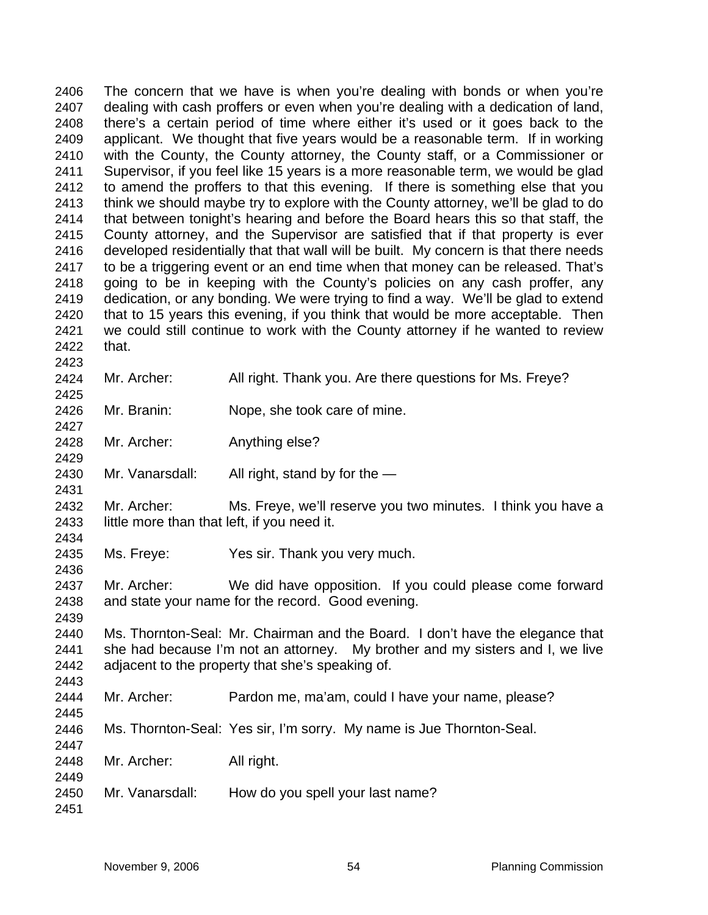The concern that we have is when you're dealing with bonds or when you're dealing with cash proffers or even when you're dealing with a dedication of land, there's a certain period of time where either it's used or it goes back to the applicant. We thought that five years would be a reasonable term. If in working with the County, the County attorney, the County staff, or a Commissioner or Supervisor, if you feel like 15 years is a more reasonable term, we would be glad to amend the proffers to that this evening. If there is something else that you think we should maybe try to explore with the County attorney, we'll be glad to do that between tonight's hearing and before the Board hears this so that staff, the County attorney, and the Supervisor are satisfied that if that property is ever developed residentially that that wall will be built. My concern is that there needs to be a triggering event or an end time when that money can be released. That's going to be in keeping with the County's policies on any cash proffer, any dedication, or any bonding. We were trying to find a way. We'll be glad to extend that to 15 years this evening, if you think that would be more acceptable. Then we could still continue to work with the County attorney if he wanted to review that. 2406 2407 2408 2409 2410 2411 2412 2413 2414 2415 2416 2417 2418 2419 2420 2421 2422 2423

- 2424 2425 Mr. Archer: All right. Thank you. Are there questions for Ms. Freye?
- 2426 Mr. Branin: Nope, she took care of mine.
- 2428 Mr. Archer: Anything else?
- 2430 Mr. Vanarsdall: All right, stand by for the  $-$
- 2432 2433 Mr. Archer: Ms. Freye, we'll reserve you two minutes. I think you have a little more than that left, if you need it.

2435 Ms. Freye: Yes sir. Thank you very much.

- 2437 2438 Mr. Archer: We did have opposition. If you could please come forward and state your name for the record. Good evening.
- 2440 2441 2442 2443 Ms. Thornton-Seal: Mr. Chairman and the Board. I don't have the elegance that she had because I'm not an attorney. My brother and my sisters and I, we live adjacent to the property that she's speaking of.
- 2444 Mr. Archer: Pardon me, ma'am, could I have your name, please?
- 2446 Ms. Thornton-Seal: Yes sir, I'm sorry. My name is Jue Thornton-Seal.
- 2448 Mr. Archer: All right.
- 2450 Mr. Vanarsdall: How do you spell your last name?

2451

2427

2429

2431

2434

2436

2439

2445

2447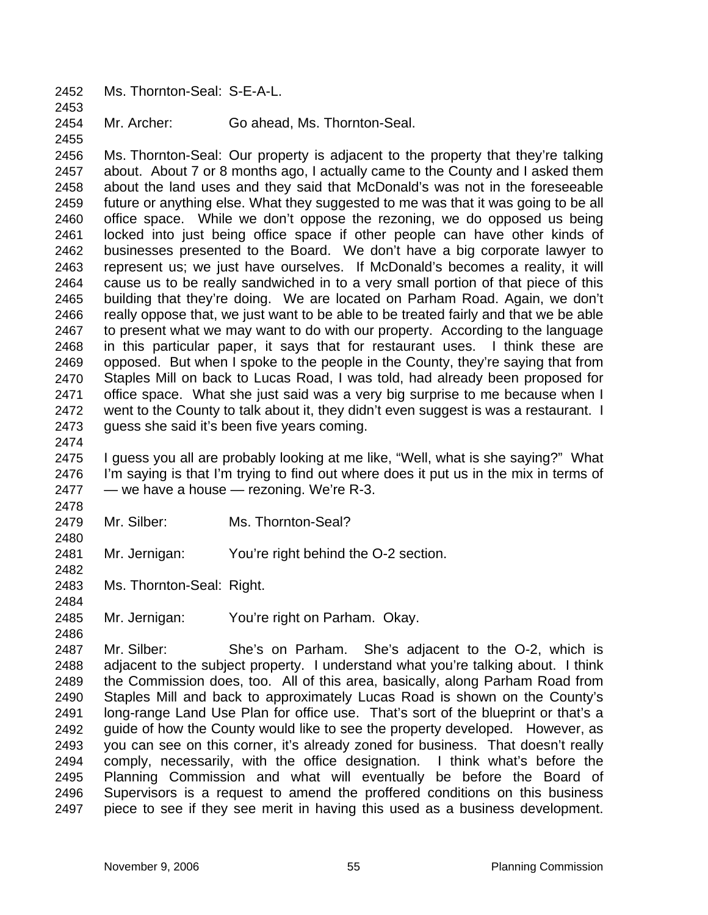2452 Ms. Thornton-Seal: S-E-A-L.

2454 Mr. Archer: Go ahead, Ms. Thornton-Seal.

2456 2457 2458 2459 2460 2461 2462 2463 2464 2465 2466 2467 2468 2469 2470 2471 2472 2473 Ms. Thornton-Seal: Our property is adjacent to the property that they're talking about. About 7 or 8 months ago, I actually came to the County and I asked them about the land uses and they said that McDonald's was not in the foreseeable future or anything else. What they suggested to me was that it was going to be all office space. While we don't oppose the rezoning, we do opposed us being locked into just being office space if other people can have other kinds of businesses presented to the Board. We don't have a big corporate lawyer to represent us; we just have ourselves. If McDonald's becomes a reality, it will cause us to be really sandwiched in to a very small portion of that piece of this building that they're doing. We are located on Parham Road. Again, we don't really oppose that, we just want to be able to be treated fairly and that we be able to present what we may want to do with our property. According to the language in this particular paper, it says that for restaurant uses. I think these are opposed. But when I spoke to the people in the County, they're saying that from Staples Mill on back to Lucas Road, I was told, had already been proposed for office space. What she just said was a very big surprise to me because when I went to the County to talk about it, they didn't even suggest is was a restaurant. I guess she said it's been five years coming.

2474

2478

2480

2482

2453

2455

2475 2476 2477 I guess you all are probably looking at me like, "Well, what is she saying?" What I'm saying is that I'm trying to find out where does it put us in the mix in terms of — we have a house — rezoning. We're R-3.

- 2479 Mr. Silber: Ms. Thornton-Seal?
- 2481 Mr. Jernigan: You're right behind the O-2 section.
- 2483 Ms. Thornton-Seal: Right.
- 2484

2485 Mr. Jernigan: You're right on Parham. Okay.

2486

2487 2488 2489 2490 2491 2492 2493 2494 2495 2496 2497 Mr. Silber: She's on Parham. She's adjacent to the O-2, which is adjacent to the subject property. I understand what you're talking about. I think the Commission does, too. All of this area, basically, along Parham Road from Staples Mill and back to approximately Lucas Road is shown on the County's long-range Land Use Plan for office use. That's sort of the blueprint or that's a guide of how the County would like to see the property developed. However, as you can see on this corner, it's already zoned for business. That doesn't really comply, necessarily, with the office designation. I think what's before the Planning Commission and what will eventually be before the Board of Supervisors is a request to amend the proffered conditions on this business piece to see if they see merit in having this used as a business development.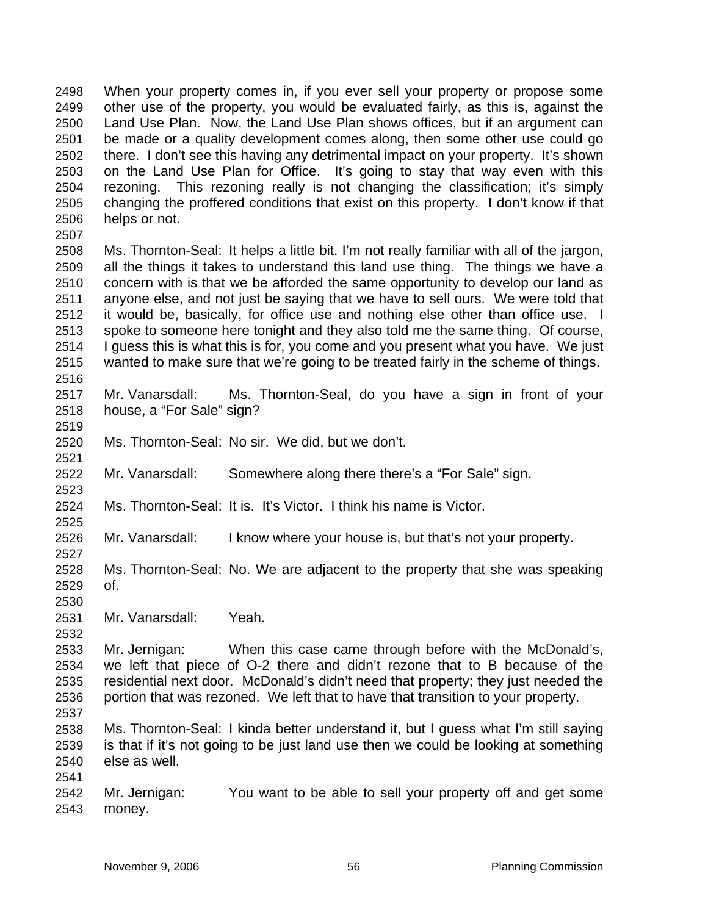When your property comes in, if you ever sell your property or propose some other use of the property, you would be evaluated fairly, as this is, against the Land Use Plan. Now, the Land Use Plan shows offices, but if an argument can be made or a quality development comes along, then some other use could go there. I don't see this having any detrimental impact on your property. It's shown on the Land Use Plan for Office. It's going to stay that way even with this rezoning. This rezoning really is not changing the classification; it's simply changing the proffered conditions that exist on this property. I don't know if that helps or not. 2498 2499 2500 2501 2502 2503 2504 2505 2506

2508 2509 2510 2511 2512 2513 2514 2515 2516 Ms. Thornton-Seal: It helps a little bit. I'm not really familiar with all of the jargon, all the things it takes to understand this land use thing. The things we have a concern with is that we be afforded the same opportunity to develop our land as anyone else, and not just be saying that we have to sell ours. We were told that it would be, basically, for office use and nothing else other than office use. I spoke to someone here tonight and they also told me the same thing. Of course, I guess this is what this is for, you come and you present what you have. We just wanted to make sure that we're going to be treated fairly in the scheme of things.

- 2517 2518 Mr. Vanarsdall: Ms. Thornton-Seal, do you have a sign in front of your house, a "For Sale" sign?
- 2520 Ms. Thornton-Seal: No sir. We did, but we don't.
- 2522 Mr. Vanarsdall: Somewhere along there there's a "For Sale" sign.
- 2524 Ms. Thornton-Seal: It is. It's Victor. I think his name is Victor.
- 2526 Mr. Vanarsdall: I know where your house is, but that's not your property.
- 2528 2529 Ms. Thornton-Seal: No. We are adjacent to the property that she was speaking of.
- 2530 2531

2507

2519

2521

2523

2525

2527

2532

Mr. Vanarsdall: Yeah.

2533 2534 2535 2536 Mr. Jernigan: When this case came through before with the McDonald's, we left that piece of O-2 there and didn't rezone that to B because of the residential next door. McDonald's didn't need that property; they just needed the portion that was rezoned. We left that to have that transition to your property.

- 2537
- 2538 2539 2540 2541 Ms. Thornton-Seal: I kinda better understand it, but I guess what I'm still saying is that if it's not going to be just land use then we could be looking at something else as well.
- 2542 2543 Mr. Jernigan: You want to be able to sell your property off and get some money.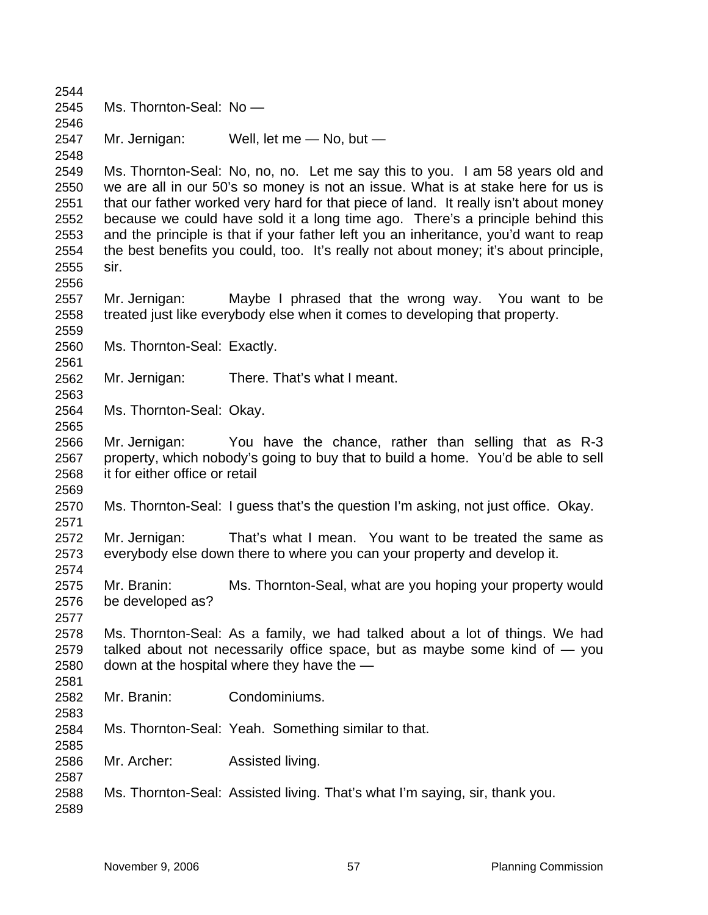Ms. Thornton-Seal: No — Mr. Jernigan: Well, let me - No, but -Ms. Thornton-Seal: No, no, no. Let me say this to you. I am 58 years old and we are all in our 50's so money is not an issue. What is at stake here for us is that our father worked very hard for that piece of land. It really isn't about money because we could have sold it a long time ago. There's a principle behind this and the principle is that if your father left you an inheritance, you'd want to reap the best benefits you could, too. It's really not about money; it's about principle, sir. Mr. Jernigan: Maybe I phrased that the wrong way. You want to be treated just like everybody else when it comes to developing that property. Ms. Thornton-Seal: Exactly. Mr. Jernigan: There. That's what I meant. Ms. Thornton-Seal: Okay. Mr. Jernigan: You have the chance, rather than selling that as R-3 property, which nobody's going to buy that to build a home. You'd be able to sell it for either office or retail Ms. Thornton-Seal: I guess that's the question I'm asking, not just office. Okay. Mr. Jernigan: That's what I mean. You want to be treated the same as everybody else down there to where you can your property and develop it. Mr. Branin: Ms. Thornton-Seal, what are you hoping your property would be developed as? Ms. Thornton-Seal: As a family, we had talked about a lot of things. We had talked about not necessarily office space, but as maybe some kind of — you down at the hospital where they have the — Mr. Branin: Condominiums. Ms. Thornton-Seal: Yeah. Something similar to that. Mr. Archer: Assisted living. Ms. Thornton-Seal: Assisted living. That's what I'm saying, sir, thank you.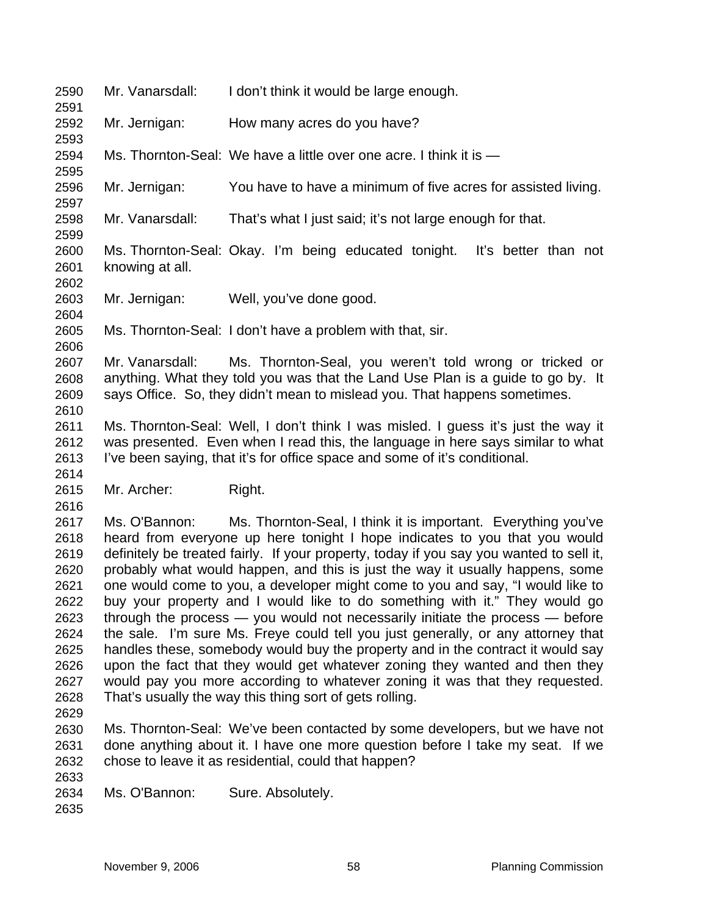| 2590<br>2591                                                                                                                 | Mr. Vanarsdall: | I don't think it would be large enough.                                                                                                                                                                                                                                                                                                                                                                                                                                                                                                                                                                                                                                                                                                                                                                                                                                                                                                                                                                                                                                                                                                      |
|------------------------------------------------------------------------------------------------------------------------------|-----------------|----------------------------------------------------------------------------------------------------------------------------------------------------------------------------------------------------------------------------------------------------------------------------------------------------------------------------------------------------------------------------------------------------------------------------------------------------------------------------------------------------------------------------------------------------------------------------------------------------------------------------------------------------------------------------------------------------------------------------------------------------------------------------------------------------------------------------------------------------------------------------------------------------------------------------------------------------------------------------------------------------------------------------------------------------------------------------------------------------------------------------------------------|
| 2592<br>2593                                                                                                                 | Mr. Jernigan:   | How many acres do you have?                                                                                                                                                                                                                                                                                                                                                                                                                                                                                                                                                                                                                                                                                                                                                                                                                                                                                                                                                                                                                                                                                                                  |
| 2594<br>2595                                                                                                                 |                 | Ms. Thornton-Seal: We have a little over one acre. I think it is —                                                                                                                                                                                                                                                                                                                                                                                                                                                                                                                                                                                                                                                                                                                                                                                                                                                                                                                                                                                                                                                                           |
| 2596<br>2597                                                                                                                 | Mr. Jernigan:   | You have to have a minimum of five acres for assisted living.                                                                                                                                                                                                                                                                                                                                                                                                                                                                                                                                                                                                                                                                                                                                                                                                                                                                                                                                                                                                                                                                                |
| 2598                                                                                                                         | Mr. Vanarsdall: | That's what I just said; it's not large enough for that.                                                                                                                                                                                                                                                                                                                                                                                                                                                                                                                                                                                                                                                                                                                                                                                                                                                                                                                                                                                                                                                                                     |
| 2599<br>2600<br>2601<br>2602                                                                                                 | knowing at all. | Ms. Thornton-Seal: Okay. I'm being educated tonight. It's better than not                                                                                                                                                                                                                                                                                                                                                                                                                                                                                                                                                                                                                                                                                                                                                                                                                                                                                                                                                                                                                                                                    |
| 2603<br>2604                                                                                                                 | Mr. Jernigan:   | Well, you've done good.                                                                                                                                                                                                                                                                                                                                                                                                                                                                                                                                                                                                                                                                                                                                                                                                                                                                                                                                                                                                                                                                                                                      |
| 2605<br>2606                                                                                                                 |                 | Ms. Thornton-Seal: I don't have a problem with that, sir.                                                                                                                                                                                                                                                                                                                                                                                                                                                                                                                                                                                                                                                                                                                                                                                                                                                                                                                                                                                                                                                                                    |
| 2607<br>2608<br>2609<br>2610                                                                                                 | Mr. Vanarsdall: | Ms. Thornton-Seal, you weren't told wrong or tricked or<br>anything. What they told you was that the Land Use Plan is a guide to go by. It<br>says Office. So, they didn't mean to mislead you. That happens sometimes.                                                                                                                                                                                                                                                                                                                                                                                                                                                                                                                                                                                                                                                                                                                                                                                                                                                                                                                      |
| 2611<br>2612<br>2613                                                                                                         |                 | Ms. Thornton-Seal: Well, I don't think I was misled. I guess it's just the way it<br>was presented. Even when I read this, the language in here says similar to what<br>I've been saying, that it's for office space and some of it's conditional.                                                                                                                                                                                                                                                                                                                                                                                                                                                                                                                                                                                                                                                                                                                                                                                                                                                                                           |
| 2614<br>2615                                                                                                                 | Mr. Archer:     | Right.                                                                                                                                                                                                                                                                                                                                                                                                                                                                                                                                                                                                                                                                                                                                                                                                                                                                                                                                                                                                                                                                                                                                       |
| 2616<br>2617<br>2618<br>2619<br>2620<br>2621<br>2622<br>2623<br>2624<br>2625<br>2626<br>2627<br>2628<br>2629<br>2630<br>2631 | Ms. O'Bannon:   | Ms. Thornton-Seal, I think it is important. Everything you've<br>heard from everyone up here tonight I hope indicates to you that you would<br>definitely be treated fairly. If your property, today if you say you wanted to sell it,<br>probably what would happen, and this is just the way it usually happens, some<br>one would come to you, a developer might come to you and say, "I would like to<br>buy your property and I would like to do something with it." They would go<br>through the process $-$ you would not necessarily initiate the process $-$ before<br>the sale. I'm sure Ms. Freye could tell you just generally, or any attorney that<br>handles these, somebody would buy the property and in the contract it would say<br>upon the fact that they would get whatever zoning they wanted and then they<br>would pay you more according to whatever zoning it was that they requested.<br>That's usually the way this thing sort of gets rolling.<br>Ms. Thornton-Seal: We've been contacted by some developers, but we have not<br>done anything about it. I have one more question before I take my seat. If we |
| 2632<br>2633                                                                                                                 |                 | chose to leave it as residential, could that happen?                                                                                                                                                                                                                                                                                                                                                                                                                                                                                                                                                                                                                                                                                                                                                                                                                                                                                                                                                                                                                                                                                         |
| 2634<br>2635                                                                                                                 | Ms. O'Bannon:   | Sure. Absolutely.                                                                                                                                                                                                                                                                                                                                                                                                                                                                                                                                                                                                                                                                                                                                                                                                                                                                                                                                                                                                                                                                                                                            |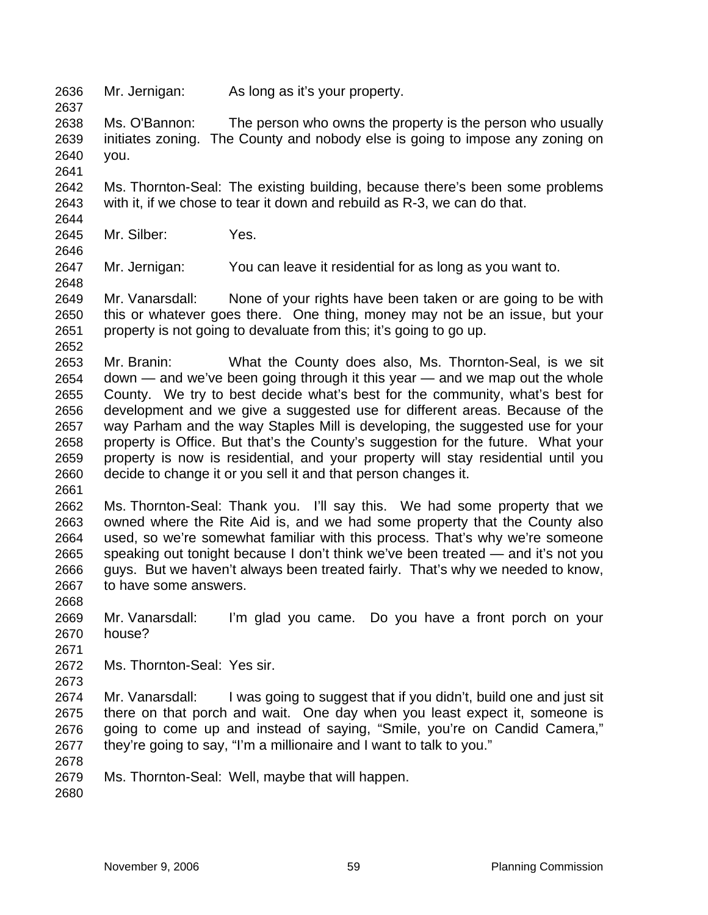2636 Mr. Jernigan: As long as it's your property.

2638 2639 2640 Ms. O'Bannon: The person who owns the property is the person who usually initiates zoning. The County and nobody else is going to impose any zoning on you.

2642 2643 2644 Ms. Thornton-Seal: The existing building, because there's been some problems with it, if we chose to tear it down and rebuild as R-3, we can do that.

2645 Mr. Silber: Yes.

2647 Mr. Jernigan: You can leave it residential for as long as you want to.

2649 2650 2651 2652 Mr. Vanarsdall: None of your rights have been taken or are going to be with this or whatever goes there. One thing, money may not be an issue, but your property is not going to devaluate from this; it's going to go up.

2653 2654 2655 2656 2657 2658 2659 2660 Mr. Branin: What the County does also, Ms. Thornton-Seal, is we sit down — and we've been going through it this year — and we map out the whole County. We try to best decide what's best for the community, what's best for development and we give a suggested use for different areas. Because of the way Parham and the way Staples Mill is developing, the suggested use for your property is Office. But that's the County's suggestion for the future. What your property is now is residential, and your property will stay residential until you decide to change it or you sell it and that person changes it.

2661

2637

2641

2646

2648

2662 2663 2664 2665 2666 2667 Ms. Thornton-Seal: Thank you. I'll say this. We had some property that we owned where the Rite Aid is, and we had some property that the County also used, so we're somewhat familiar with this process. That's why we're someone speaking out tonight because I don't think we've been treated — and it's not you guys. But we haven't always been treated fairly. That's why we needed to know, to have some answers.

2668 2669 2670 Mr. Vanarsdall: I'm glad you came. Do you have a front porch on your house?

2671

2672 Ms. Thornton-Seal: Yes sir.

2673

2674 2675 2676 2677 Mr. Vanarsdall: I was going to suggest that if you didn't, build one and just sit there on that porch and wait. One day when you least expect it, someone is going to come up and instead of saying, "Smile, you're on Candid Camera," they're going to say, "I'm a millionaire and I want to talk to you."

2678

2679 Ms. Thornton-Seal: Well, maybe that will happen.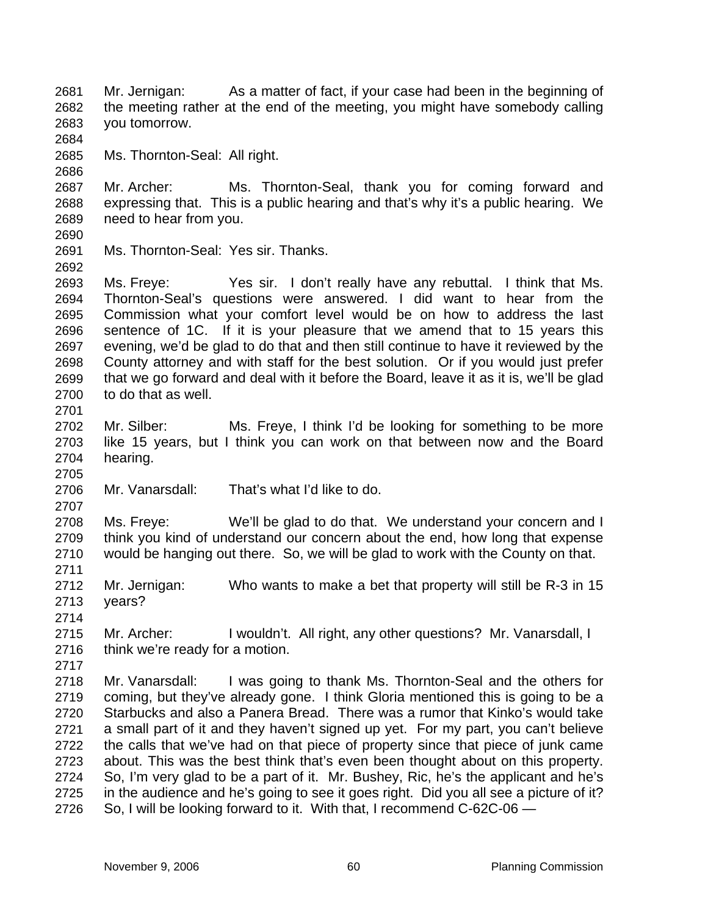Mr. Jernigan: As a matter of fact, if your case had been in the beginning of the meeting rather at the end of the meeting, you might have somebody calling you tomorrow. 2681 2682 2683 2684 2685 2686 2687 2688 2689 2690 2691 2692 2693 2694 2695 2696 2697 2698 2699 2700 2701 2702 2703 2704 2705 2706 2707 2708 2709 2710 2711 2712 2713 2714 2715 2716 2717 2718 2719 2720 2721 2722 2723 2724 2725 2726 Ms. Thornton-Seal: All right. Mr. Archer: Ms. Thornton-Seal, thank you for coming forward and expressing that. This is a public hearing and that's why it's a public hearing. We need to hear from you. Ms. Thornton-Seal: Yes sir. Thanks. Ms. Freye: Yes sir. I don't really have any rebuttal. I think that Ms. Thornton-Seal's questions were answered. I did want to hear from the Commission what your comfort level would be on how to address the last sentence of 1C. If it is your pleasure that we amend that to 15 years this evening, we'd be glad to do that and then still continue to have it reviewed by the County attorney and with staff for the best solution. Or if you would just prefer that we go forward and deal with it before the Board, leave it as it is, we'll be glad to do that as well. Mr. Silber: Ms. Freye, I think I'd be looking for something to be more like 15 years, but I think you can work on that between now and the Board hearing. Mr. Vanarsdall: That's what I'd like to do. Ms. Freye: We'll be glad to do that. We understand your concern and I think you kind of understand our concern about the end, how long that expense would be hanging out there. So, we will be glad to work with the County on that. Mr. Jernigan: Who wants to make a bet that property will still be R-3 in 15 years? Mr. Archer: I wouldn't. All right, any other questions? Mr. Vanarsdall, I think we're ready for a motion. Mr. Vanarsdall: I was going to thank Ms. Thornton-Seal and the others for coming, but they've already gone. I think Gloria mentioned this is going to be a Starbucks and also a Panera Bread. There was a rumor that Kinko's would take a small part of it and they haven't signed up yet. For my part, you can't believe the calls that we've had on that piece of property since that piece of junk came about. This was the best think that's even been thought about on this property. So, I'm very glad to be a part of it. Mr. Bushey, Ric, he's the applicant and he's in the audience and he's going to see it goes right. Did you all see a picture of it? So, I will be looking forward to it. With that, I recommend C-62C-06 —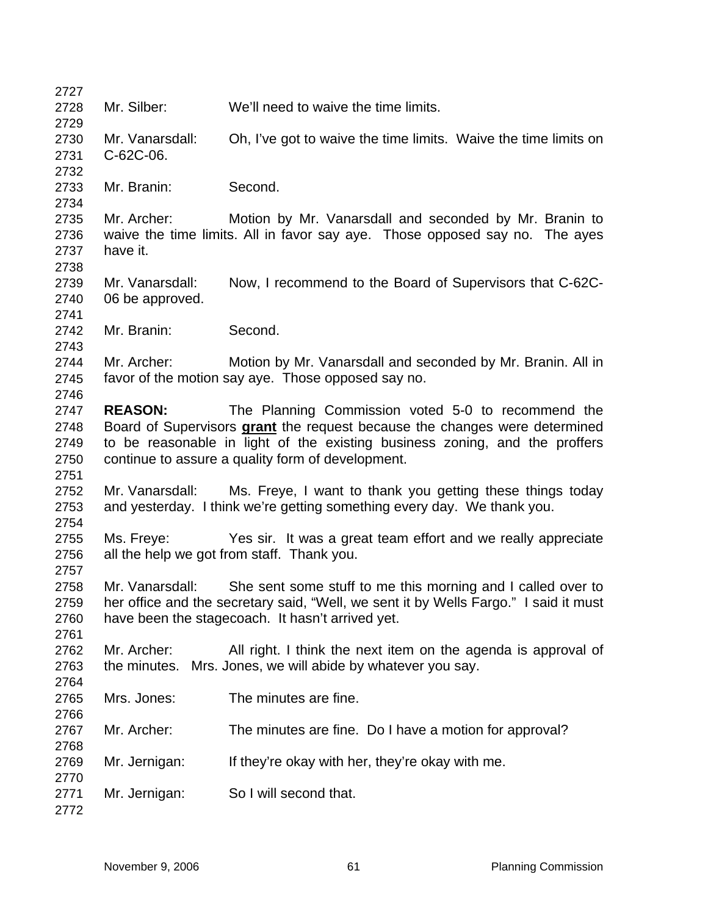| 2727 |                 |                                                                                      |
|------|-----------------|--------------------------------------------------------------------------------------|
| 2728 | Mr. Silber:     | We'll need to waive the time limits.                                                 |
| 2729 |                 |                                                                                      |
| 2730 | Mr. Vanarsdall: | Oh, I've got to waive the time limits. Waive the time limits on                      |
| 2731 | C-62C-06.       |                                                                                      |
| 2732 |                 |                                                                                      |
| 2733 | Mr. Branin:     | Second.                                                                              |
| 2734 |                 |                                                                                      |
| 2735 | Mr. Archer:     | Motion by Mr. Vanarsdall and seconded by Mr. Branin to                               |
| 2736 |                 | waive the time limits. All in favor say aye. Those opposed say no. The ayes          |
| 2737 | have it.        |                                                                                      |
| 2738 |                 |                                                                                      |
| 2739 | Mr. Vanarsdall: | Now, I recommend to the Board of Supervisors that C-62C-                             |
| 2740 | 06 be approved. |                                                                                      |
| 2741 |                 |                                                                                      |
| 2742 | Mr. Branin:     | Second.                                                                              |
| 2743 |                 |                                                                                      |
| 2744 | Mr. Archer:     | Motion by Mr. Vanarsdall and seconded by Mr. Branin. All in                          |
| 2745 |                 | favor of the motion say aye. Those opposed say no.                                   |
| 2746 |                 |                                                                                      |
| 2747 | <b>REASON:</b>  | The Planning Commission voted 5-0 to recommend the                                   |
| 2748 |                 | Board of Supervisors grant the request because the changes were determined           |
| 2749 |                 | to be reasonable in light of the existing business zoning, and the proffers          |
| 2750 |                 | continue to assure a quality form of development.                                    |
| 2751 |                 |                                                                                      |
| 2752 | Mr. Vanarsdall: | Ms. Freye, I want to thank you getting these things today                            |
| 2753 |                 | and yesterday. I think we're getting something every day. We thank you.              |
| 2754 |                 |                                                                                      |
| 2755 | Ms. Freve:      | Yes sir. It was a great team effort and we really appreciate                         |
| 2756 |                 | all the help we got from staff. Thank you.                                           |
| 2757 |                 |                                                                                      |
| 2758 | Mr. Vanarsdall: | She sent some stuff to me this morning and I called over to                          |
| 2759 |                 | her office and the secretary said, "Well, we sent it by Wells Fargo." I said it must |
| 2760 |                 | have been the stagecoach. It hasn't arrived yet.                                     |
| 2761 |                 |                                                                                      |
| 2762 | Mr. Archer:     | All right. I think the next item on the agenda is approval of                        |
| 2763 | the minutes.    | Mrs. Jones, we will abide by whatever you say.                                       |
| 2764 |                 |                                                                                      |
| 2765 | Mrs. Jones:     | The minutes are fine.                                                                |
| 2766 |                 |                                                                                      |
| 2767 | Mr. Archer:     | The minutes are fine. Do I have a motion for approval?                               |
| 2768 |                 |                                                                                      |
| 2769 | Mr. Jernigan:   | If they're okay with her, they're okay with me.                                      |
| 2770 |                 |                                                                                      |
| 2771 | Mr. Jernigan:   | So I will second that.                                                               |
| 2772 |                 |                                                                                      |
|      |                 |                                                                                      |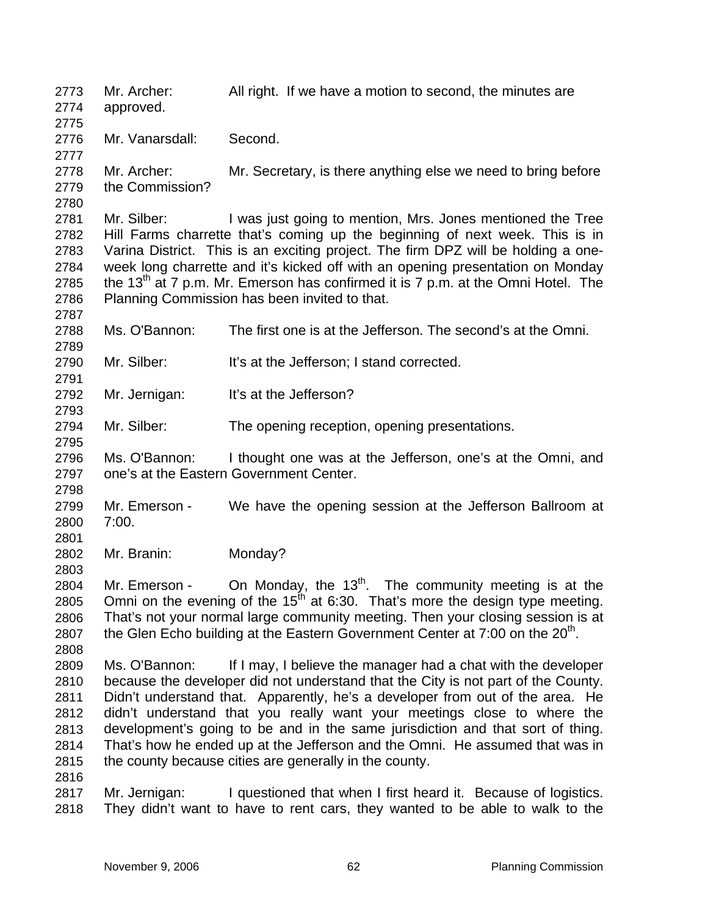Mr. Archer: All right. If we have a motion to second, the minutes are approved. 2773 2774 2775 2776 2777 2778 2779 2780 2781 2782 2783 2784 2785 2786 2787 2788 2789 2790 2791 2792 2793 2794 2795 2796 2797 2798 2799 2800 2801 2802 2803 2804 2805 2806 2807 2808 2809 2810 2811 2812 2813 2814 2815 2816 2817 2818 Mr. Vanarsdall: Second. Mr. Archer: Mr. Secretary, is there anything else we need to bring before the Commission? Mr. Silber: I was just going to mention, Mrs. Jones mentioned the Tree Hill Farms charrette that's coming up the beginning of next week. This is in Varina District. This is an exciting project. The firm DPZ will be holding a oneweek long charrette and it's kicked off with an opening presentation on Monday the 13<sup>th</sup> at 7 p.m. Mr. Emerson has confirmed it is 7 p.m. at the Omni Hotel. The Planning Commission has been invited to that. Ms. O'Bannon: The first one is at the Jefferson. The second's at the Omni. Mr. Silber: It's at the Jefferson; I stand corrected. Mr. Jernigan: It's at the Jefferson? Mr. Silber: The opening reception, opening presentations. Ms. O'Bannon: I thought one was at the Jefferson, one's at the Omni, and one's at the Eastern Government Center. Mr. Emerson - We have the opening session at the Jefferson Ballroom at 7:00. Mr. Branin: Monday? Mr. Emerson - On Monday, the  $13<sup>th</sup>$ . The community meeting is at the Omni on the evening of the 15<sup>th</sup> at 6:30. That's more the design type meeting. That's not your normal large community meeting. Then your closing session is at the Glen Echo building at the Eastern Government Center at  $7:00$  on the  $20<sup>th</sup>$ . Ms. O'Bannon: If I may, I believe the manager had a chat with the developer because the developer did not understand that the City is not part of the County. Didn't understand that. Apparently, he's a developer from out of the area. He didn't understand that you really want your meetings close to where the development's going to be and in the same jurisdiction and that sort of thing. That's how he ended up at the Jefferson and the Omni. He assumed that was in the county because cities are generally in the county. Mr. Jernigan: I questioned that when I first heard it. Because of logistics. They didn't want to have to rent cars, they wanted to be able to walk to the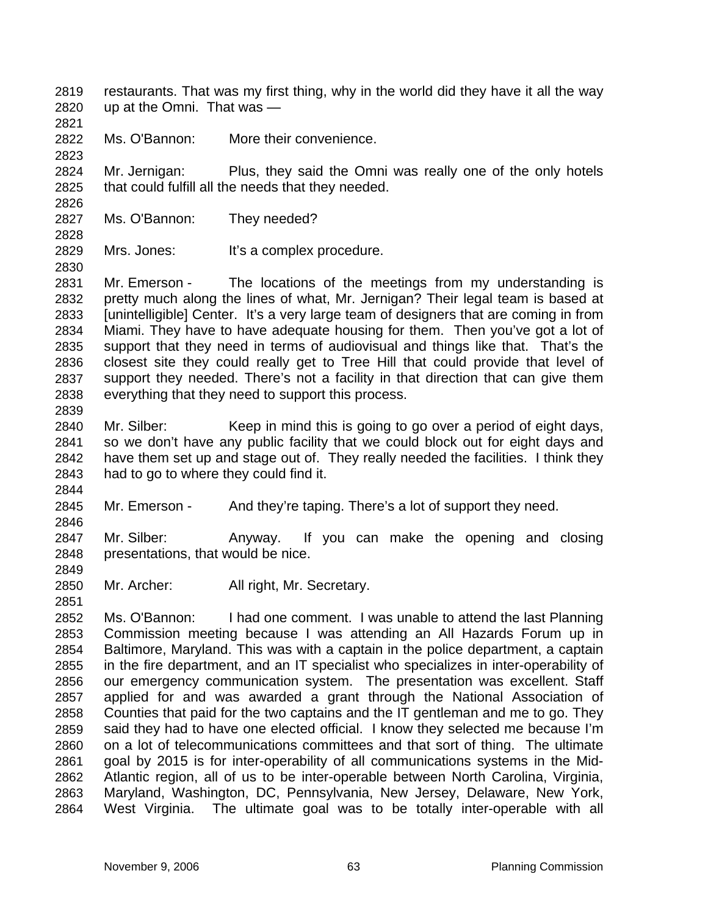restaurants. That was my first thing, why in the world did they have it all the way up at the Omni. That was — 2819 2820

2821

2823

2826

2828

2830

2839

2844

2846

2849

2851

2822 Ms. O'Bannon: More their convenience.

2824 2825 Mr. Jernigan: Plus, they said the Omni was really one of the only hotels that could fulfill all the needs that they needed.

- 2827 Ms. O'Bannon: They needed?
- 2829 Mrs. Jones: It's a complex procedure.

2831 2832 2833 2834 2835 2836 2837 2838 Mr. Emerson - The locations of the meetings from my understanding is pretty much along the lines of what, Mr. Jernigan? Their legal team is based at [unintelligible] Center. It's a very large team of designers that are coming in from Miami. They have to have adequate housing for them. Then you've got a lot of support that they need in terms of audiovisual and things like that. That's the closest site they could really get to Tree Hill that could provide that level of support they needed. There's not a facility in that direction that can give them everything that they need to support this process.

2840 2841 2842 2843 Mr. Silber: Keep in mind this is going to go over a period of eight days, so we don't have any public facility that we could block out for eight days and have them set up and stage out of. They really needed the facilities. I think they had to go to where they could find it.

2845 Mr. Emerson - And they're taping. There's a lot of support they need.

2847 2848 Mr. Silber: Anyway. If you can make the opening and closing presentations, that would be nice.

2850 Mr. Archer: All right, Mr. Secretary.

2852 2853 2854 2855 2856 2857 2858 2859 2860 2861 2862 2863 2864 Ms. O'Bannon: I had one comment. I was unable to attend the last Planning Commission meeting because I was attending an All Hazards Forum up in Baltimore, Maryland. This was with a captain in the police department, a captain in the fire department, and an IT specialist who specializes in inter-operability of our emergency communication system. The presentation was excellent. Staff applied for and was awarded a grant through the National Association of Counties that paid for the two captains and the IT gentleman and me to go. They said they had to have one elected official. I know they selected me because I'm on a lot of telecommunications committees and that sort of thing. The ultimate goal by 2015 is for inter-operability of all communications systems in the Mid-Atlantic region, all of us to be inter-operable between North Carolina, Virginia, Maryland, Washington, DC, Pennsylvania, New Jersey, Delaware, New York, West Virginia. The ultimate goal was to be totally inter-operable with all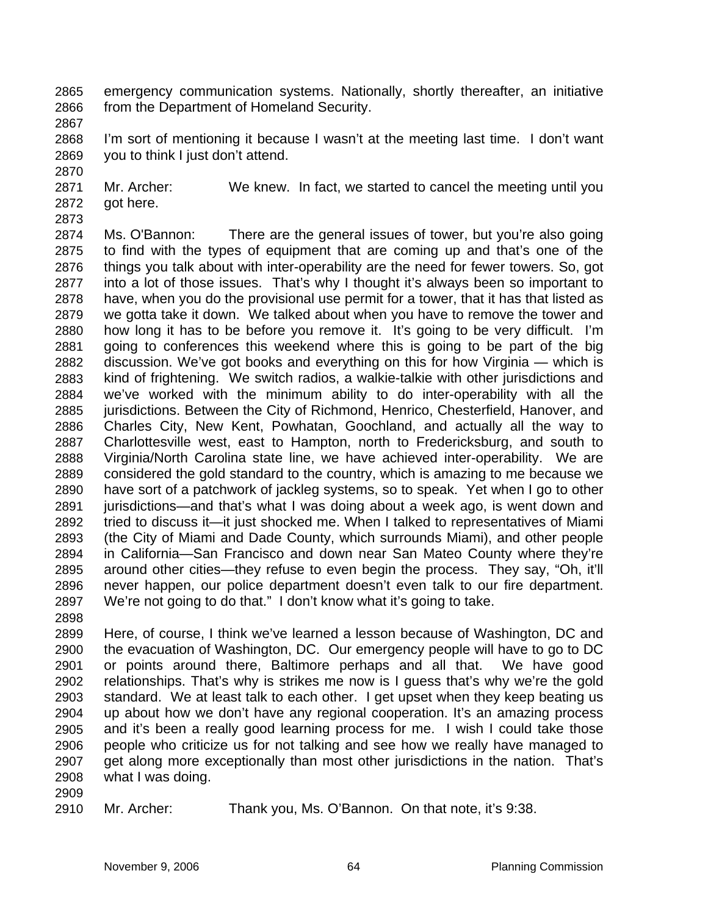- emergency communication systems. Nationally, shortly thereafter, an initiative from the Department of Homeland Security. 2865 2866
- 2867

2870

- 2868 2869 I'm sort of mentioning it because I wasn't at the meeting last time. I don't want you to think I just don't attend.
- 2871 2872 Mr. Archer: We knew. In fact, we started to cancel the meeting until you got here.
- 2873

2874 2875 2876 2877 2878 2879 2880 2881 2882 2883 2884 2885 2886 2887 2888 2889 2890 2891 2892 2893 2894 2895 2896 2897 Ms. O'Bannon: There are the general issues of tower, but you're also going to find with the types of equipment that are coming up and that's one of the things you talk about with inter-operability are the need for fewer towers. So, got into a lot of those issues. That's why I thought it's always been so important to have, when you do the provisional use permit for a tower, that it has that listed as we gotta take it down. We talked about when you have to remove the tower and how long it has to be before you remove it. It's going to be very difficult. I'm going to conferences this weekend where this is going to be part of the big discussion. We've got books and everything on this for how Virginia — which is kind of frightening. We switch radios, a walkie-talkie with other jurisdictions and we've worked with the minimum ability to do inter-operability with all the jurisdictions. Between the City of Richmond, Henrico, Chesterfield, Hanover, and Charles City, New Kent, Powhatan, Goochland, and actually all the way to Charlottesville west, east to Hampton, north to Fredericksburg, and south to Virginia/North Carolina state line, we have achieved inter-operability. We are considered the gold standard to the country, which is amazing to me because we have sort of a patchwork of jackleg systems, so to speak. Yet when I go to other jurisdictions—and that's what I was doing about a week ago, is went down and tried to discuss it—it just shocked me. When I talked to representatives of Miami (the City of Miami and Dade County, which surrounds Miami), and other people in California—San Francisco and down near San Mateo County where they're around other cities—they refuse to even begin the process. They say, "Oh, it'll never happen, our police department doesn't even talk to our fire department. We're not going to do that." I don't know what it's going to take.

2898

2899 2900 2901 2902 2903 2904 2905 2906 2907 2908 Here, of course, I think we've learned a lesson because of Washington, DC and the evacuation of Washington, DC. Our emergency people will have to go to DC or points around there, Baltimore perhaps and all that. We have good relationships. That's why is strikes me now is I guess that's why we're the gold standard. We at least talk to each other. I get upset when they keep beating us up about how we don't have any regional cooperation. It's an amazing process and it's been a really good learning process for me. I wish I could take those people who criticize us for not talking and see how we really have managed to get along more exceptionally than most other jurisdictions in the nation. That's what I was doing.

2909

2910 Mr. Archer: Thank you, Ms. O'Bannon. On that note, it's 9:38.